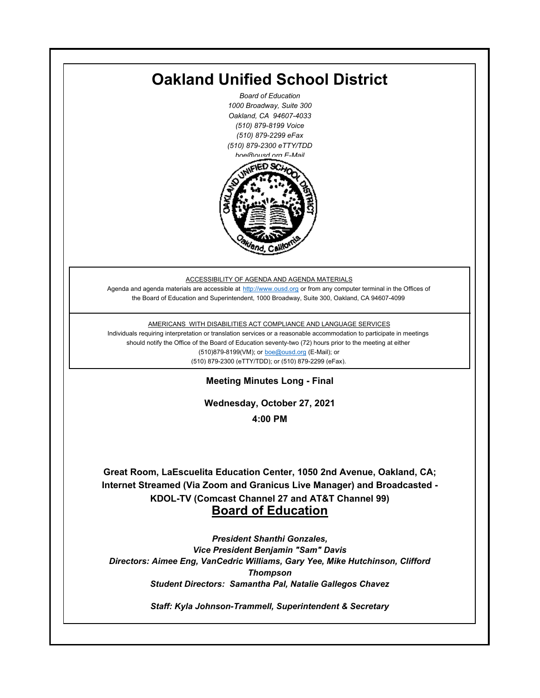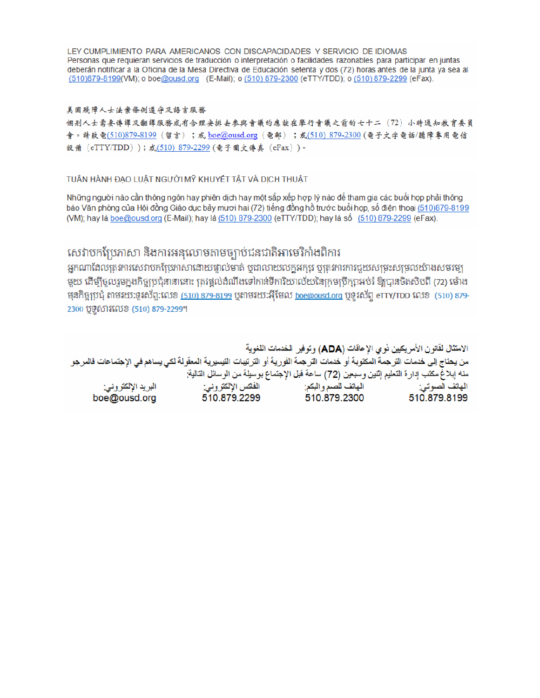LEY CUMPLIMIENTO PARA AMERICANOS CON DISCAPACIDADES Y SERVICIO DE IDIOMAS Personas que requieran servicios de traducción o interpretación o facilidades razonables para participar en juntas deberán notificar a la Oficina de la Mesa Directiva de Educación setenta y dos (72) horas antes de la junta ya sea al (510)879-8199(VM); o boe@ousd.org (E-Mail); o (510) 879-2300 (eTTY/TDD); o (510) 879-2299 (eFax).

### 美国残障人士法案條例遵守及語言服務

個别人士需要傳譯及翻譯服務或有合理安排去參與會議的應該在舉行會議之前的七十二 (72) 小時通知教育委員 會。請致電(510)879-8199(留言);或 boe@ousd.org (電郵) ;或(510) 879-2300 (電子文字電話/聽障專用電信 設備 (eTTY/TDD));或(510)879-2299(電子圖文傳真 (eFax))。

## TUÂN HÀNH ĐẠO LUẬT NGƯỜI MỸ KHUYẾT TẤT VÀ DỊCH THUẬT

Những người nào cần thông ngôn hay phiên dịch hay một sắp xếp hợp lý nào để tham gia các buổi họp phải thông báo Văn phòng của Hội đồng Giáo dục bảy mươi hai (72) tiếng đồng hồ trước buổi họp, số điện thoại (510)879-8199 (VM); hay là boe@ousd.org (E-Mail); hay là (510) 879-2300 (eTTY/TDD); hay là số (510) 879-2299 (eFax).

# សេវាបកប្រែភាសា និងការអនុលោមតាមច្បាប់ជនជាតិអាមេរិកាំងពិការ

អកណាដែលតេវការសេវាបកប្រែភាសាដោយផ្ទាល់មាត់ ឬជាលាយលក្ខអក្សរ ឬត្រូវការការជួយសម្រះសម្រលយ៉ាងសមរម្យ មយ ដើម្បីចលរមកងកិច្ចប្រជុំនានានោះ ត្រូវផ្តល់ដំណឹងទៅកាន់ទីការិយាល័យនៃក្រមប្រឹក្សាអប់រំ ឱ្យបានចិតសិបពី (72) ម៉ោង ម្មនកិច្ចប្រជុំ តាមរយៈទូរស័ព្ទ:លេខ (<u>510) 879-8199</u> បុតាមរយៈអ៊ីមែល <u>boe@ousd.org</u> បុទ្**រ**ស័ព្ទ eTTY/TDD លេខ (510) 879-2300 ប៊ូទ្មិសារលេខ (510) 879-2299។

الامتثال لقانون الأمريكيين نو ي الإعاقات (ADA) وتوفير الخدمات اللغوية من يحتاج إلى خدمات التر جمة المكتوبة أو خدمات التر جمة الفورية أو الترتيبات التيسيرية المعفّولة لكي يساهم في الإجتماعات فالمرجو منه إبلاغ مكتب إدارة التعليم إثنين وسبعين (72) ساعة قبل الإجتماع بوسيلة من الوسائل التالية: البريد الإلكتروني: 510.879.2299 boe@ousd.org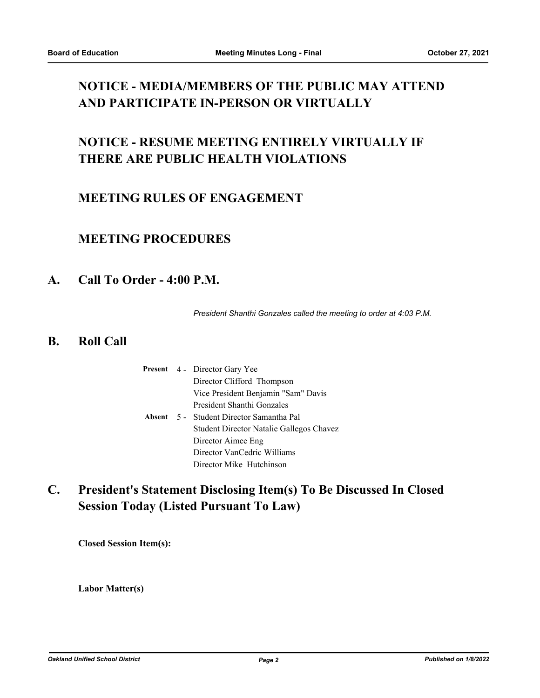# **NOTICE - MEDIA/MEMBERS OF THE PUBLIC MAY ATTEND AND PARTICIPATE IN-PERSON OR VIRTUALLY**

# **NOTICE - RESUME MEETING ENTIRELY VIRTUALLY IF THERE ARE PUBLIC HEALTH VIOLATIONS**

## **MEETING RULES OF ENGAGEMENT**

## **MEETING PROCEDURES**

## **A. Call To Order - 4:00 P.M.**

*President Shanthi Gonzales called the meeting to order at 4:03 P.M.*

## **B. Roll Call**

|  | <b>Present</b> 4 - Director Gary Yee     |
|--|------------------------------------------|
|  | Director Clifford Thompson               |
|  | Vice President Benjamin "Sam" Davis      |
|  | President Shanthi Gonzales               |
|  | Absent 5 - Student Director Samantha Pal |
|  | Student Director Natalie Gallegos Chavez |
|  | Director Aimee Eng                       |
|  | Director VanCedric Williams              |
|  | Director Mike Hutchinson                 |

#### **President's Statement Disclosing Item(s) To Be Discussed In Closed Session Today (Listed Pursuant To Law) C.**

**Closed Session Item(s):**

**Labor Matter(s)**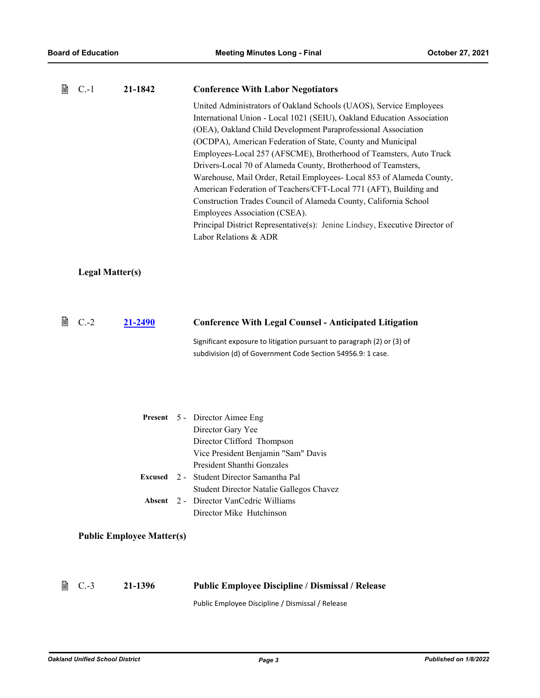| B | $C-1$<br>21-1842                 | <b>Conference With Labor Negotiators</b>                                                                                                                                                                                                                                                                                                                                                                                                                                                                                                                                                                                                                                                                                                                                       |
|---|----------------------------------|--------------------------------------------------------------------------------------------------------------------------------------------------------------------------------------------------------------------------------------------------------------------------------------------------------------------------------------------------------------------------------------------------------------------------------------------------------------------------------------------------------------------------------------------------------------------------------------------------------------------------------------------------------------------------------------------------------------------------------------------------------------------------------|
|   |                                  | United Administrators of Oakland Schools (UAOS), Service Employees<br>International Union - Local 1021 (SEIU), Oakland Education Association<br>(OEA), Oakland Child Development Paraprofessional Association<br>(OCDPA), American Federation of State, County and Municipal<br>Employees-Local 257 (AFSCME), Brotherhood of Teamsters, Auto Truck<br>Drivers-Local 70 of Alameda County, Brotherhood of Teamsters,<br>Warehouse, Mail Order, Retail Employees- Local 853 of Alameda County,<br>American Federation of Teachers/CFT-Local 771 (AFT), Building and<br>Construction Trades Council of Alameda County, California School<br>Employees Association (CSEA).<br>Principal District Representative(s): Jenine Lindsey, Executive Director of<br>Labor Relations & ADR |
|   | <b>Legal Matter(s)</b>           |                                                                                                                                                                                                                                                                                                                                                                                                                                                                                                                                                                                                                                                                                                                                                                                |
| ₿ | $C.-2$<br>21-2490                | <b>Conference With Legal Counsel - Anticipated Litigation</b>                                                                                                                                                                                                                                                                                                                                                                                                                                                                                                                                                                                                                                                                                                                  |
|   |                                  | Significant exposure to litigation pursuant to paragraph (2) or (3) of<br>subdivision (d) of Government Code Section 54956.9: 1 case.                                                                                                                                                                                                                                                                                                                                                                                                                                                                                                                                                                                                                                          |
|   | <b>Present</b>                   | 5 - Director Aimee Eng<br>Director Gary Yee<br>Director Clifford Thompson<br>Vice President Benjamin "Sam" Davis                                                                                                                                                                                                                                                                                                                                                                                                                                                                                                                                                                                                                                                               |
|   | Excused                          | President Shanthi Gonzales<br>2 - Student Director Samantha Pal                                                                                                                                                                                                                                                                                                                                                                                                                                                                                                                                                                                                                                                                                                                |
|   | Absent                           | Student Director Natalie Gallegos Chavez<br>2 - Director VanCedric Williams                                                                                                                                                                                                                                                                                                                                                                                                                                                                                                                                                                                                                                                                                                    |
|   |                                  | Director Mike Hutchinson                                                                                                                                                                                                                                                                                                                                                                                                                                                                                                                                                                                                                                                                                                                                                       |
|   | <b>Public Employee Matter(s)</b> |                                                                                                                                                                                                                                                                                                                                                                                                                                                                                                                                                                                                                                                                                                                                                                                |
| 閶 | $C.-3$<br>21-1396                | <b>Public Employee Discipline / Dismissal / Release</b><br>Public Employee Discipline / Dismissal / Release                                                                                                                                                                                                                                                                                                                                                                                                                                                                                                                                                                                                                                                                    |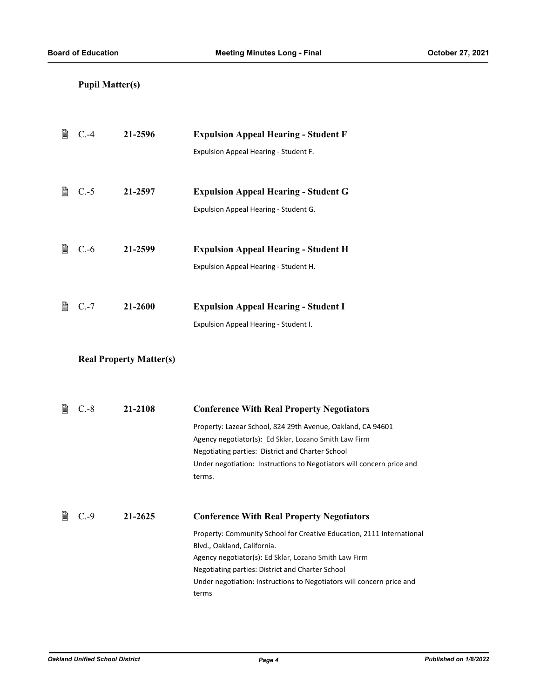## **Pupil Matter(s)**

| 閶 | $C.-4$ | 21-2596                        | <b>Expulsion Appeal Hearing - Student F</b><br>Expulsion Appeal Hearing - Student F.                                                                                                                                                                                                                                                                    |
|---|--------|--------------------------------|---------------------------------------------------------------------------------------------------------------------------------------------------------------------------------------------------------------------------------------------------------------------------------------------------------------------------------------------------------|
| 閶 | $C.-5$ | 21-2597                        | <b>Expulsion Appeal Hearing - Student G</b><br>Expulsion Appeal Hearing - Student G.                                                                                                                                                                                                                                                                    |
| 閶 | $C.-6$ | 21-2599                        | <b>Expulsion Appeal Hearing - Student H</b><br>Expulsion Appeal Hearing - Student H.                                                                                                                                                                                                                                                                    |
| 閶 | $C.-7$ | 21-2600                        | <b>Expulsion Appeal Hearing - Student I</b><br>Expulsion Appeal Hearing - Student I.                                                                                                                                                                                                                                                                    |
|   |        | <b>Real Property Matter(s)</b> |                                                                                                                                                                                                                                                                                                                                                         |
| 閶 | $C.-8$ | 21-2108                        | <b>Conference With Real Property Negotiators</b><br>Property: Lazear School, 824 29th Avenue, Oakland, CA 94601<br>Agency negotiator(s): Ed Sklar, Lozano Smith Law Firm<br>Negotiating parties: District and Charter School<br>Under negotiation: Instructions to Negotiators will concern price and<br>terms.                                         |
| 閆 | $C.-9$ | 21-2625                        | <b>Conference With Real Property Negotiators</b><br>Property: Community School for Creative Education, 2111 International<br>Blvd., Oakland, California.<br>Agency negotiator(s): Ed Sklar, Lozano Smith Law Firm<br>Negotiating parties: District and Charter School<br>Under negotiation: Instructions to Negotiators will concern price and<br>terms |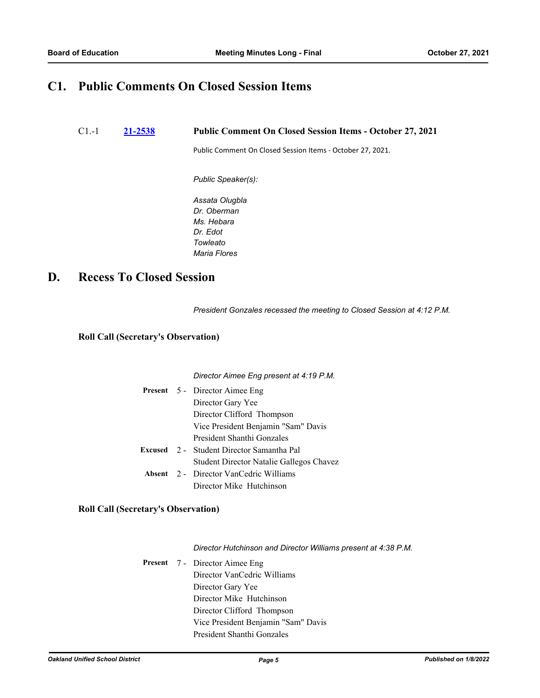## **C1. Public Comments On Closed Session Items**

C1.-1 **[21-2538](http://ousd.legistar.com/gateway.aspx?m=l&id=/matter.aspx?key=53672) Public Comment On Closed Session Items - October 27, 2021**

Public Comment On Closed Session Items - October 27, 2021.

*Public Speaker(s):*

*Assata Olugbla Dr. Oberman Ms. Hebara Dr. Edot Towleato Maria Flores*

## **D. Recess To Closed Session**

*President Gonzales recessed the meeting to Closed Session at 4:12 P.M.*

## **Roll Call (Secretary's Observation)**

#### *Director Aimee Eng present at 4:19 P.M.*

|  | <b>Present</b> 5 - Director Aimee Eng            |  |
|--|--------------------------------------------------|--|
|  | Director Gary Yee                                |  |
|  | Director Clifford Thompson                       |  |
|  | Vice President Benjamin "Sam" Davis              |  |
|  | President Shanthi Gonzales                       |  |
|  | <b>Excused</b> 2 - Student Director Samantha Pal |  |
|  | Student Director Natalie Gallegos Chavez         |  |
|  | <b>Absent</b> 2 - Director VanCedric Williams    |  |
|  | Director Mike Hutchinson                         |  |

## **Roll Call (Secretary's Observation)**

*Director Hutchinson and Director Williams present at 4:38 P.M.*

Present 7 - Director Aimee Eng Director VanCedric Williams Director Gary Yee Director Mike Hutchinson Director Clifford Thompson Vice President Benjamin "Sam" Davis President Shanthi Gonzales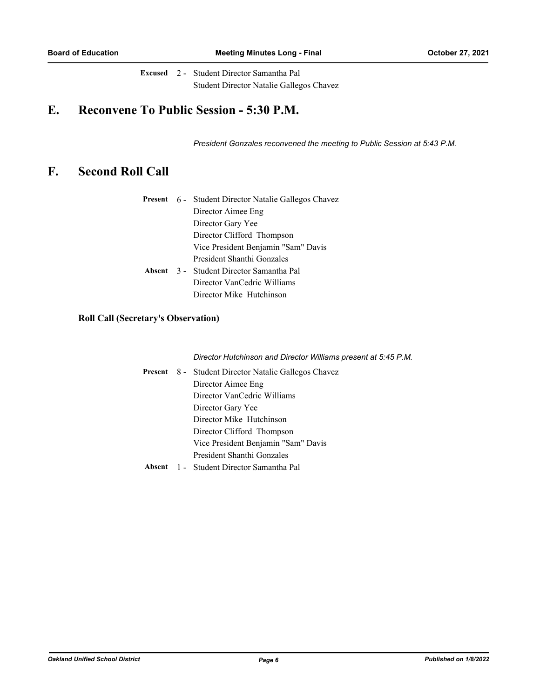Excused 2 - Student Director Samantha Pal Student Director Natalie Gallegos Chavez

# **E. Reconvene To Public Session - 5:30 P.M.**

*President Gonzales reconvened the meeting to Public Session at 5:43 P.M.*

# **F. Second Roll Call**

|  | <b>Present</b> 6 - Student Director Natalie Gallegos Chavez |  |
|--|-------------------------------------------------------------|--|
|  | Director Aimee Eng                                          |  |
|  | Director Gary Yee                                           |  |
|  | Director Clifford Thompson                                  |  |
|  | Vice President Benjamin "Sam" Davis                         |  |
|  | President Shanthi Gonzales                                  |  |
|  | Absent 3 - Student Director Samantha Pal                    |  |
|  | Director VanCedric Williams                                 |  |
|  | Director Mike Hutchinson                                    |  |

## **Roll Call (Secretary's Observation)**

*Director Hutchinson and Director Williams present at 5:45 P.M.*

|  | <b>Present</b> 8 - Student Director Natalie Gallegos Chavez |  |
|--|-------------------------------------------------------------|--|
|  | Director Aimee Eng                                          |  |
|  | Director VanCedric Williams                                 |  |
|  | Director Gary Yee                                           |  |
|  | Director Mike Hutchinson                                    |  |
|  | Director Clifford Thompson                                  |  |
|  | Vice President Benjamin "Sam" Davis                         |  |
|  | President Shanthi Gonzales                                  |  |
|  | Absent 1 - Student Director Samantha Pal                    |  |

*Oakland Unified School District Page 6 Published on 1/8/2022*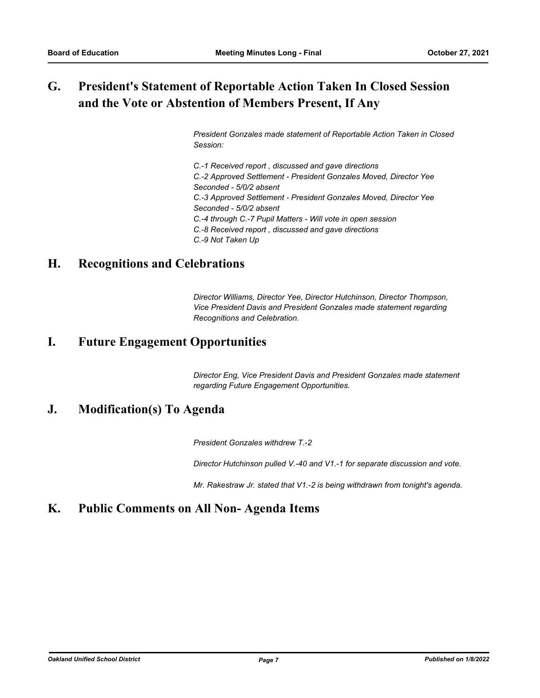### **President's Statement of Reportable Action Taken In Closed Session and the Vote or Abstention of Members Present, If Any G.**

*President Gonzales made statement of Reportable Action Taken in Closed Session:*

*C.-1 Received report , discussed and gave directions C.-2 Approved Settlement - President Gonzales Moved, Director Yee Seconded - 5/0/2 absent C.-3 Approved Settlement - President Gonzales Moved, Director Yee Seconded - 5/0/2 absent C.-4 through C.-7 Pupil Matters - Will vote in open session C.-8 Received report , discussed and gave directions C.-9 Not Taken Up*

## **H. Recognitions and Celebrations**

*Director Williams, Director Yee, Director Hutchinson, Director Thompson, Vice President Davis and President Gonzales made statement regarding Recognitions and Celebration.*

## **I. Future Engagement Opportunities**

*Director Eng, Vice President Davis and President Gonzales made statement regarding Future Engagement Opportunities.*

## **J. Modification(s) To Agenda**

*President Gonzales withdrew T.-2*

*Director Hutchinson pulled V.-40 and V1.-1 for separate discussion and vote.* 

*Mr. Rakestraw Jr. stated that V1.-2 is being withdrawn from tonight's agenda.*

## **K. Public Comments on All Non- Agenda Items**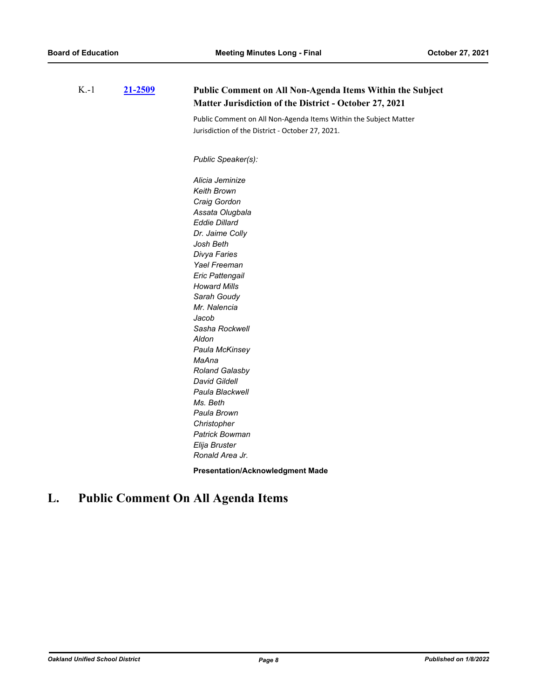| $K-1$ | 21-2509 | Public Comment on All Non-Agenda Items Within the Subject<br>Matter Jurisdiction of the District - October 27, 2021 |
|-------|---------|---------------------------------------------------------------------------------------------------------------------|
|       |         | Public Comment on All Non-Agenda Items Within the Subject Matter                                                    |
|       |         | Jurisdiction of the District - October 27, 2021.                                                                    |
|       |         | Public Speaker(s):                                                                                                  |
|       |         | Alicia Jeminize                                                                                                     |
|       |         | Keith Brown                                                                                                         |
|       |         | Craig Gordon                                                                                                        |
|       |         | Assata Olugbala                                                                                                     |
|       |         | <b>Eddie Dillard</b>                                                                                                |
|       |         | Dr. Jaime Colly                                                                                                     |
|       |         | Josh Beth                                                                                                           |
|       |         | Divya Faries                                                                                                        |
|       |         | Yael Freeman                                                                                                        |
|       |         | Eric Pattengail                                                                                                     |
|       |         | <b>Howard Mills</b>                                                                                                 |
|       |         | Sarah Goudy                                                                                                         |
|       |         | Mr. Nalencia                                                                                                        |
|       |         | Jacob                                                                                                               |
|       |         | Sasha Rockwell                                                                                                      |
|       |         | Aldon                                                                                                               |
|       |         | Paula McKinsey                                                                                                      |
|       |         | MaAna                                                                                                               |
|       |         | Roland Galasby                                                                                                      |
|       |         | <b>David Gildell</b>                                                                                                |
|       |         | Paula Blackwell                                                                                                     |
|       |         | Ms. Beth                                                                                                            |
|       |         | Paula Brown                                                                                                         |
|       |         | Christopher                                                                                                         |
|       |         | <b>Patrick Bowman</b>                                                                                               |
|       |         | Elija Bruster                                                                                                       |
|       |         | Ronald Area Jr.                                                                                                     |

**Presentation/Acknowledgment Made**

# **L. Public Comment On All Agenda Items**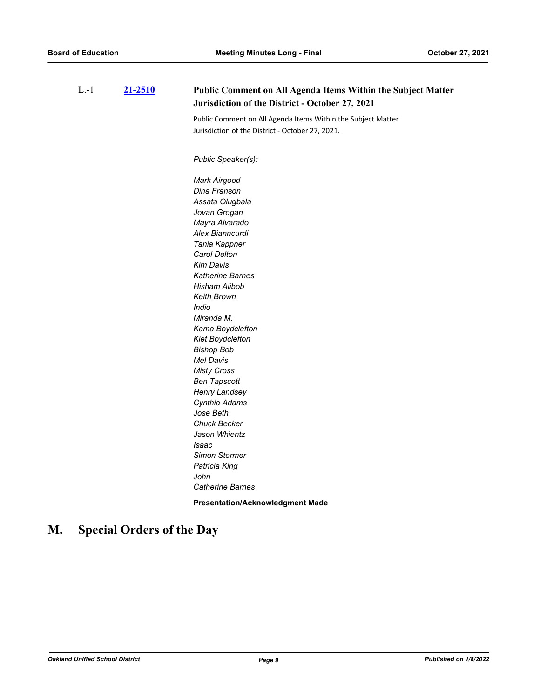| $L - 1$ | 21-2510 | Public Comment on All Agenda Items Within the Subject Matter<br>Jurisdiction of the District - October 27, 2021 |
|---------|---------|-----------------------------------------------------------------------------------------------------------------|
|         |         | Public Comment on All Agenda Items Within the Subject Matter                                                    |
|         |         | Jurisdiction of the District - October 27, 2021.                                                                |
|         |         |                                                                                                                 |
|         |         | Public Speaker(s):                                                                                              |
|         |         | Mark Airgood                                                                                                    |
|         |         | Dina Franson                                                                                                    |
|         |         | Assata Olugbala                                                                                                 |
|         |         | Jovan Grogan                                                                                                    |
|         |         | Mayra Alvarado                                                                                                  |
|         |         | Alex Bianncurdi                                                                                                 |
|         |         | Tania Kappner                                                                                                   |
|         |         | Carol Delton                                                                                                    |
|         |         | <b>Kim Davis</b>                                                                                                |
|         |         | Katherine Barnes                                                                                                |
|         |         | Hisham Alibob                                                                                                   |
|         |         | Keith Brown                                                                                                     |
|         |         | Indio                                                                                                           |
|         |         | Miranda M.                                                                                                      |
|         |         | Kama Boydclefton                                                                                                |
|         |         | Kiet Boydclefton                                                                                                |
|         |         | <b>Bishop Bob</b>                                                                                               |
|         |         | <b>Mel Davis</b>                                                                                                |
|         |         | <b>Misty Cross</b>                                                                                              |
|         |         | <b>Ben Tapscott</b>                                                                                             |
|         |         | Henry Landsey                                                                                                   |
|         |         | Cynthia Adams                                                                                                   |
|         |         | Jose Beth                                                                                                       |
|         |         | <b>Chuck Becker</b>                                                                                             |
|         |         | Jason Whientz                                                                                                   |
|         |         | Isaac                                                                                                           |
|         |         | Simon Stormer                                                                                                   |
|         |         | Patricia King                                                                                                   |
|         |         | John                                                                                                            |
|         |         | <b>Catherine Barnes</b>                                                                                         |

**Presentation/Acknowledgment Made**

# **M. Special Orders of the Day**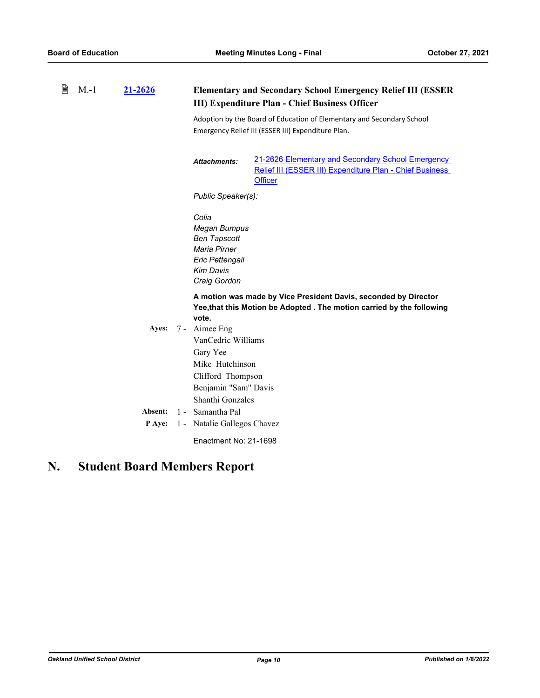| B | $M.-1$ | 21-2626                  |                                                                                                                          | <b>Elementary and Secondary School Emergency Relief III (ESSER)</b><br><b>III) Expenditure Plan - Chief Business Officer</b>              |  |  |
|---|--------|--------------------------|--------------------------------------------------------------------------------------------------------------------------|-------------------------------------------------------------------------------------------------------------------------------------------|--|--|
|   |        |                          |                                                                                                                          | Adoption by the Board of Education of Elementary and Secondary School<br>Emergency Relief III (ESSER III) Expenditure Plan.               |  |  |
|   |        |                          | Attachments:                                                                                                             | 21-2626 Elementary and Secondary School Emergency<br>Relief III (ESSER III) Expenditure Plan - Chief Business<br><b>Officer</b>           |  |  |
|   |        |                          |                                                                                                                          | Public Speaker(s):                                                                                                                        |  |  |
|   |        |                          | Colia<br><b>Megan Bumpus</b><br>Ben Tapscott<br>Maria Pirner<br>Eric Pettengail<br><b>Kim Davis</b><br>Craig Gordon      |                                                                                                                                           |  |  |
|   |        | Ayes:                    | vote.<br>7 - Aimee Eng<br>VanCedric Williams<br>Gary Yee<br>Mike Hutchinson<br>Clifford Thompson<br>Benjamin "Sam" Davis | A motion was made by Vice President Davis, seconded by Director<br>Yee, that this Motion be Adopted . The motion carried by the following |  |  |
|   |        | Absent:<br><b>P</b> Aye: | Shanthi Gonzales<br>Samantha Pal<br>$1 -$<br>1 - Natalie Gallegos Chavez<br>Enactment No: 21-1698                        |                                                                                                                                           |  |  |

# **N. Student Board Members Report**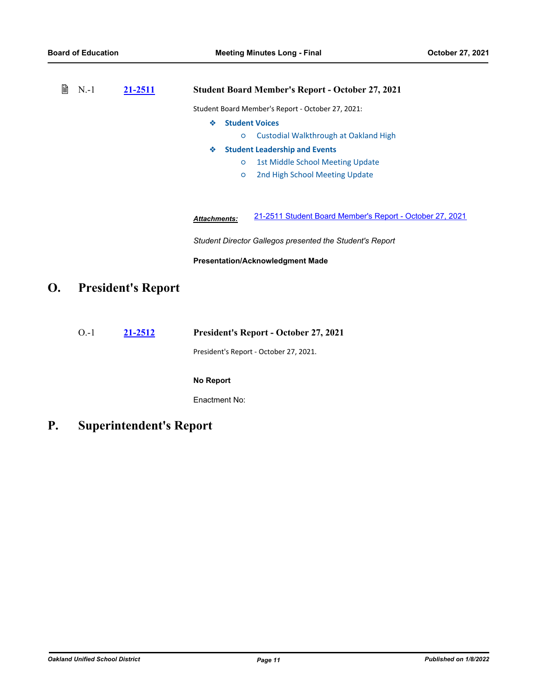| B<br>$N-1$ | 21-2511 | <b>Student Board Member's Report - October 27, 2021</b> |                                                          |
|------------|---------|---------------------------------------------------------|----------------------------------------------------------|
|            |         |                                                         | Student Board Member's Report - October 27, 2021:        |
|            |         | <b>Student Voices</b><br>❖                              |                                                          |
|            |         | $\circ$                                                 | Custodial Walkthrough at Oakland High                    |
|            |         | ❖                                                       | <b>Student Leadership and Events</b>                     |
|            |         | $\circ$                                                 | <b>1st Middle School Meeting Update</b>                  |
|            |         | $\circ$                                                 | 2nd High School Meeting Update                           |
|            |         |                                                         |                                                          |
|            |         |                                                         |                                                          |
|            |         | <b>Attachments:</b>                                     | 21-2511 Student Board Member's Report - October 27, 2021 |
|            |         |                                                         |                                                          |

*Student Director Gallegos presented the Student's Report*

**Presentation/Acknowledgment Made**

# **O. President's Report**

O.-1 **[21-2512](http://ousd.legistar.com/gateway.aspx?m=l&id=/matter.aspx?key=53646) President's Report - October 27, 2021**

President's Report - October 27, 2021.

#### **No Report**

Enactment No:

**P. Superintendent's Report**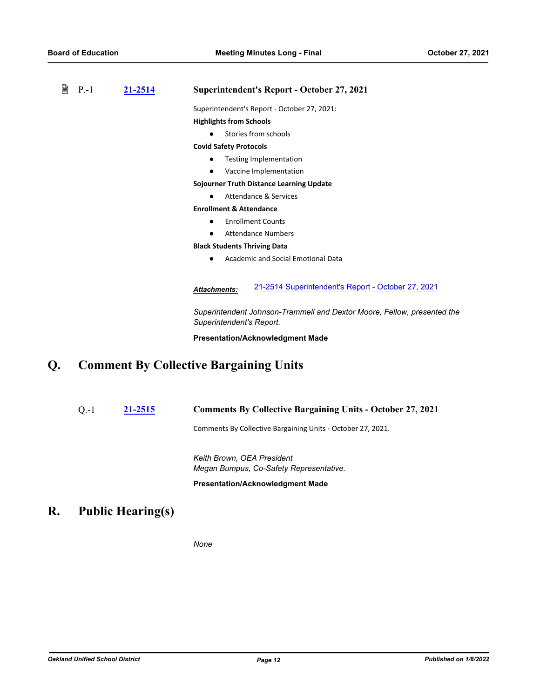| 閶 | $P - 1$ | 21-2514 | <b>Superintendent's Report - October 27, 2021</b>                                                   |
|---|---------|---------|-----------------------------------------------------------------------------------------------------|
|   |         |         | Superintendent's Report - October 27, 2021:                                                         |
|   |         |         | <b>Highlights from Schools</b>                                                                      |
|   |         |         | Stories from schools                                                                                |
|   |         |         | <b>Covid Safety Protocols</b>                                                                       |
|   |         |         | <b>Testing Implementation</b>                                                                       |
|   |         |         | Vaccine Implementation                                                                              |
|   |         |         | <b>Sojourner Truth Distance Learning Update</b>                                                     |
|   |         |         | Attendance & Services                                                                               |
|   |         |         | <b>Enrollment &amp; Attendance</b>                                                                  |
|   |         |         | <b>Enrollment Counts</b>                                                                            |
|   |         |         | <b>Attendance Numbers</b>                                                                           |
|   |         |         | <b>Black Students Thriving Data</b>                                                                 |
|   |         |         | Academic and Social Emotional Data                                                                  |
|   |         |         | 21-2514 Superintendent's Report - October 27, 2021<br><b>Attachments:</b>                           |
|   |         |         | Superintendent Johnson-Trammell and Dextor Moore, Fellow, presented the<br>Superintendent's Report. |
|   |         |         | <b>Presentation/Acknowledgment Made</b>                                                             |
|   |         |         | <b>Comment By Collective Bargaining Units</b>                                                       |

# **Q. Comment By Collective Bargaining Units**

Q.-1 **[21-2515](http://ousd.legistar.com/gateway.aspx?m=l&id=/matter.aspx?key=53649) Comments By Collective Bargaining Units - October 27, 2021**

Comments By Collective Bargaining Units - October 27, 2021.

*Keith Brown, OEA President Megan Bumpus, Co-Safety Representative.*

**Presentation/Acknowledgment Made**

# **R. Public Hearing(s)**

*None*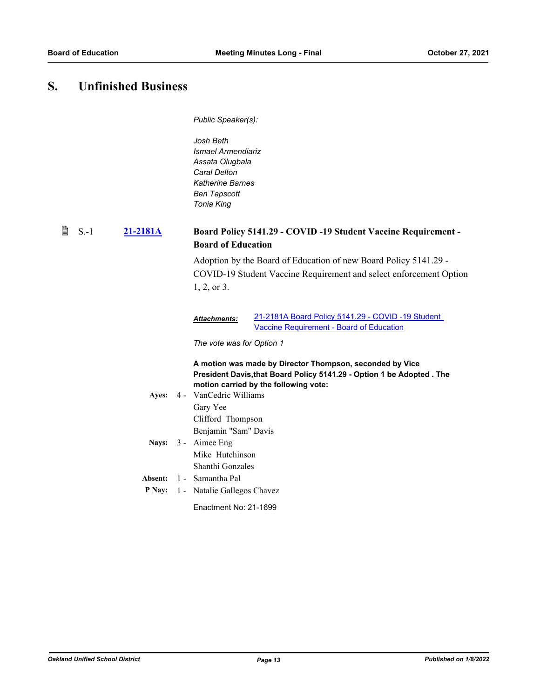# **S. Unfinished Business**

*Public Speaker(s):*

*Josh Beth Ismael Armendiariz Assata Olugbala Caral Delton Katherine Barnes Ben Tapscott Tonia King*

#### **[21-2181A](http://ousd.legistar.com/gateway.aspx?m=l&id=/matter.aspx?key=53755) Board Policy 5141.29 - COVID -19 Student Vaccine Requirement - Board of Education**  $\quad \blacksquare$  S.-1

Adoption by the Board of Education of new Board Policy 5141.29 - COVID-19 Student Vaccine Requirement and select enforcement Option 1, 2, or 3.

#### [21-2181A Board Policy 5141.29 - COVID -19 Student](http://ousd.legistar.com/gateway.aspx?M=F&ID=101310.pdf)  Vaccine Requirement - Board of Education *Attachments:*

*The vote was for Option 1*

**A motion was made by Director Thompson, seconded by Vice President Davis,that Board Policy 5141.29 - Option 1 be Adopted . The motion carried by the following vote:**

- Ayes: 4 VanCedric Williams Gary Yee Clifford Thompson Benjamin "Sam" Davis Nays: 3 - Aimee Eng
- Mike Hutchinson Shanthi Gonzales
- **Absent:** 1 Samantha Pal
- **P Nay:** 1 Natalie Gallegos Chavez
	- Enactment No: 21-1699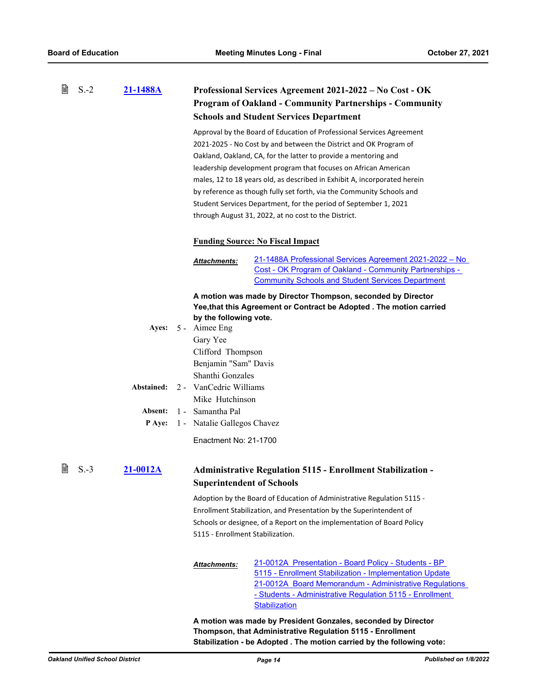|   | $S.-2$ | 21-1488A     |  | Professional Services Agreement 2021-2022 – No Cost - OK              |                                                                           |  |  |  |
|---|--------|--------------|--|-----------------------------------------------------------------------|---------------------------------------------------------------------------|--|--|--|
|   |        |              |  | <b>Program of Oakland - Community Partnerships - Community</b>        |                                                                           |  |  |  |
|   |        |              |  | <b>Schools and Student Services Department</b>                        |                                                                           |  |  |  |
|   |        |              |  | Approval by the Board of Education of Professional Services Agreement |                                                                           |  |  |  |
|   |        |              |  |                                                                       | 2021-2025 - No Cost by and between the District and OK Program of         |  |  |  |
|   |        |              |  | Oakland, Oakland, CA, for the latter to provide a mentoring and       |                                                                           |  |  |  |
|   |        |              |  | leadership development program that focuses on African American       |                                                                           |  |  |  |
|   |        |              |  |                                                                       | males, 12 to 18 years old, as described in Exhibit A, incorporated herein |  |  |  |
|   |        |              |  |                                                                       | by reference as though fully set forth, via the Community Schools and     |  |  |  |
|   |        |              |  |                                                                       | Student Services Department, for the period of September 1, 2021          |  |  |  |
|   |        |              |  |                                                                       | through August 31, 2022, at no cost to the District.                      |  |  |  |
|   |        |              |  |                                                                       | <b>Funding Source: No Fiscal Impact</b>                                   |  |  |  |
|   |        |              |  | <b>Attachments:</b>                                                   | 21-1488A Professional Services Agreement 2021-2022 - No                   |  |  |  |
|   |        |              |  |                                                                       | Cost - OK Program of Oakland - Community Partnerships -                   |  |  |  |
|   |        |              |  |                                                                       | <b>Community Schools and Student Services Department</b>                  |  |  |  |
|   |        |              |  |                                                                       | A motion was made by Director Thompson, seconded by Director              |  |  |  |
|   |        |              |  | Yee, that this Agreement or Contract be Adopted . The motion carried  |                                                                           |  |  |  |
|   |        |              |  | by the following vote.                                                |                                                                           |  |  |  |
|   |        | <b>Ayes:</b> |  | 5 - Aimee Eng                                                         |                                                                           |  |  |  |
|   |        |              |  | Gary Yee                                                              |                                                                           |  |  |  |
|   |        |              |  | Clifford Thompson<br>Benjamin "Sam" Davis<br>Shanthi Gonzales         |                                                                           |  |  |  |
|   |        |              |  |                                                                       |                                                                           |  |  |  |
|   |        | Abstained:   |  | 2 - VanCedric Williams                                                |                                                                           |  |  |  |
|   |        |              |  | Mike Hutchinson                                                       |                                                                           |  |  |  |
|   |        | Absent:      |  | 1 - Samantha Pal                                                      |                                                                           |  |  |  |
|   |        | P Aye:       |  | 1 - Natalie Gallegos Chavez                                           |                                                                           |  |  |  |
|   |        |              |  |                                                                       |                                                                           |  |  |  |
|   |        |              |  | Enactment No: 21-1700                                                 |                                                                           |  |  |  |
| B | $S.-3$ | 21-0012A     |  |                                                                       | Administrative Regulation 5115 - Enrollment Stabilization -               |  |  |  |
|   |        |              |  | <b>Superintendent of Schools</b>                                      |                                                                           |  |  |  |
|   |        |              |  |                                                                       | Adoption by the Board of Education of Administrative Regulation 5115 -    |  |  |  |
|   |        |              |  |                                                                       | Enrollment Stabilization, and Presentation by the Superintendent of       |  |  |  |
|   |        |              |  |                                                                       | Schools or designee, of a Report on the implementation of Board Policy    |  |  |  |
|   |        |              |  | 5115 - Enrollment Stabilization.                                      |                                                                           |  |  |  |
|   |        |              |  |                                                                       | 21-0012A Presentation - Board Policy - Students - BP                      |  |  |  |
|   |        |              |  | <b>Attachments:</b>                                                   | 5115 - Enrollment Stabilization - Implementation Update                   |  |  |  |
|   |        |              |  |                                                                       | 21-0012A Board Memorandum - Administrative Regulations                    |  |  |  |
|   |        |              |  |                                                                       | - Students - Administrative Regulation 5115 - Enrollment                  |  |  |  |
|   |        |              |  |                                                                       | <b>Stabilization</b>                                                      |  |  |  |

**A motion was made by President Gonzales, seconded by Director Thompson, that Administrative Regulation 5115 - Enrollment Stabilization - be Adopted . The motion carried by the following vote:**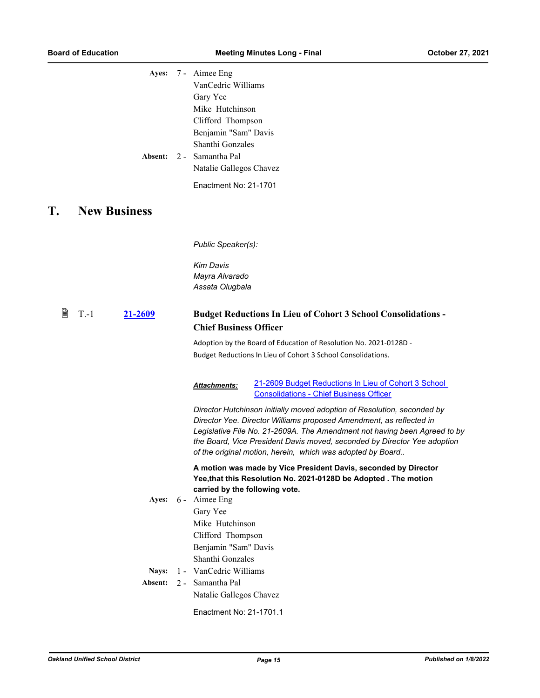|    | Ayes:<br>Absent:    | 7 - Aimee Eng<br>VanCedric Williams<br>Gary Yee<br>Mike Hutchinson<br>Clifford Thompson<br>Benjamin "Sam" Davis<br>Shanthi Gonzales<br>2 - Samantha Pal<br>Natalie Gallegos Chavez<br>Enactment No: 21-1701                                                                                                                                                           |
|----|---------------------|-----------------------------------------------------------------------------------------------------------------------------------------------------------------------------------------------------------------------------------------------------------------------------------------------------------------------------------------------------------------------|
| T. | <b>New Business</b> |                                                                                                                                                                                                                                                                                                                                                                       |
|    |                     | Public Speaker(s):<br><b>Kim Davis</b><br>Mayra Alvarado<br>Assata Olugbala                                                                                                                                                                                                                                                                                           |
| 閶  | $T-1$<br>21-2609    | <b>Budget Reductions In Lieu of Cohort 3 School Consolidations -</b><br><b>Chief Business Officer</b>                                                                                                                                                                                                                                                                 |
|    |                     | Adoption by the Board of Education of Resolution No. 2021-0128D -<br>Budget Reductions In Lieu of Cohort 3 School Consolidations.                                                                                                                                                                                                                                     |
|    |                     | 21-2609 Budget Reductions In Lieu of Cohort 3 School<br>Attachments:<br><b>Consolidations - Chief Business Officer</b>                                                                                                                                                                                                                                                |
|    |                     | Director Hutchinson initially moved adoption of Resolution, seconded by<br>Director Yee. Director Williams proposed Amendment, as reflected in<br>Legislative File No. 21-2609A. The Amendment not having been Agreed to by<br>the Board, Vice President Davis moved, seconded by Director Yee adoption<br>of the original motion, herein, which was adopted by Board |
|    |                     | A motion was made by Vice President Davis, seconded by Director<br>Yee, that this Resolution No. 2021-0128D be Adopted. The motion<br>carried by the following vote.                                                                                                                                                                                                  |
|    | Ayes:               | 6 - Aimee Eng<br>Gary Yee<br>Mike Hutchinson<br>Clifford Thompson<br>Benjamin "Sam" Davis<br>Shanthi Gonzales                                                                                                                                                                                                                                                         |
|    | Nays:<br>Absent:    | 1 - VanCedric Williams<br>2 - Samantha Pal                                                                                                                                                                                                                                                                                                                            |
|    |                     | Natalie Gallegos Chavez                                                                                                                                                                                                                                                                                                                                               |
|    |                     | Enactment No: 21-1701.1                                                                                                                                                                                                                                                                                                                                               |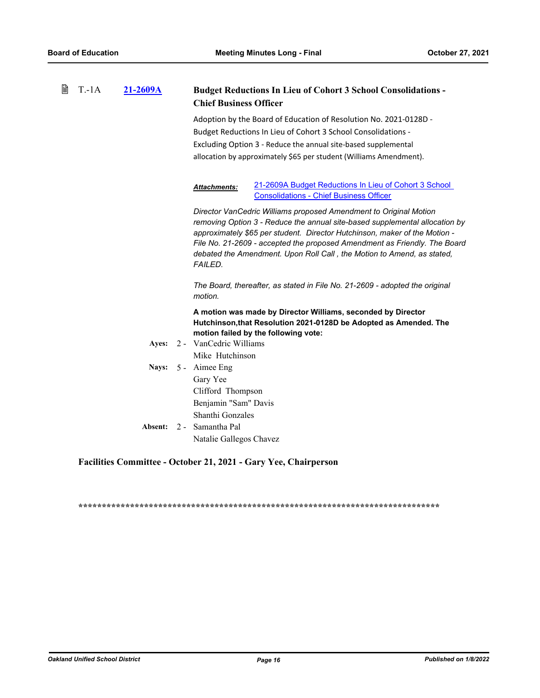| 閆 | $T.-1A$ | 21-2609A | <b>Budget Reductions In Lieu of Cohort 3 School Consolidations -</b><br><b>Chief Business Officer</b>                                                                                                                                                                                                                                                                                                   |  |  |
|---|---------|----------|---------------------------------------------------------------------------------------------------------------------------------------------------------------------------------------------------------------------------------------------------------------------------------------------------------------------------------------------------------------------------------------------------------|--|--|
|   |         |          | Adoption by the Board of Education of Resolution No. 2021-0128D -<br>Budget Reductions In Lieu of Cohort 3 School Consolidations -<br>Excluding Option 3 - Reduce the annual site-based supplemental<br>allocation by approximately \$65 per student (Williams Amendment).                                                                                                                              |  |  |
|   |         |          | 21-2609A Budget Reductions In Lieu of Cohort 3 School<br>Attachments:<br><b>Consolidations - Chief Business Officer</b>                                                                                                                                                                                                                                                                                 |  |  |
|   |         |          | Director VanCedric Williams proposed Amendment to Original Motion<br>removing Option 3 - Reduce the annual site-based supplemental allocation by<br>approximately \$65 per student. Director Hutchinson, maker of the Motion -<br>File No. 21-2609 - accepted the proposed Amendment as Friendly. The Board<br>debated the Amendment. Upon Roll Call, the Motion to Amend, as stated,<br><b>FAILED.</b> |  |  |
|   |         |          | The Board, thereafter, as stated in File No. 21-2609 - adopted the original<br>motion.                                                                                                                                                                                                                                                                                                                  |  |  |
|   |         |          | A motion was made by Director Williams, seconded by Director<br>Hutchinson, that Resolution 2021-0128D be Adopted as Amended. The<br>motion failed by the following vote:                                                                                                                                                                                                                               |  |  |
|   |         | Ayes:    | 2 - VanCedric Williams<br>Mike Hutchinson                                                                                                                                                                                                                                                                                                                                                               |  |  |
|   |         | Nays:    | 5 - Aimee Eng<br>Gary Yee<br>Clifford Thompson<br>Benjamin "Sam" Davis<br>Shanthi Gonzales                                                                                                                                                                                                                                                                                                              |  |  |
|   |         | Absent:  | 2 - Samantha Pal<br>Natalie Gallegos Chavez                                                                                                                                                                                                                                                                                                                                                             |  |  |

## **Facilities Committee - October 21, 2021 - Gary Yee, Chairperson**

**\*\*\*\*\*\*\*\*\*\*\*\*\*\*\*\*\*\*\*\*\*\*\*\*\*\*\*\*\*\*\*\*\*\*\*\*\*\*\*\*\*\*\*\*\*\*\*\*\*\*\*\*\*\*\*\*\*\*\*\*\*\*\*\*\*\*\*\*\*\*\*\*\*\*\*\*\***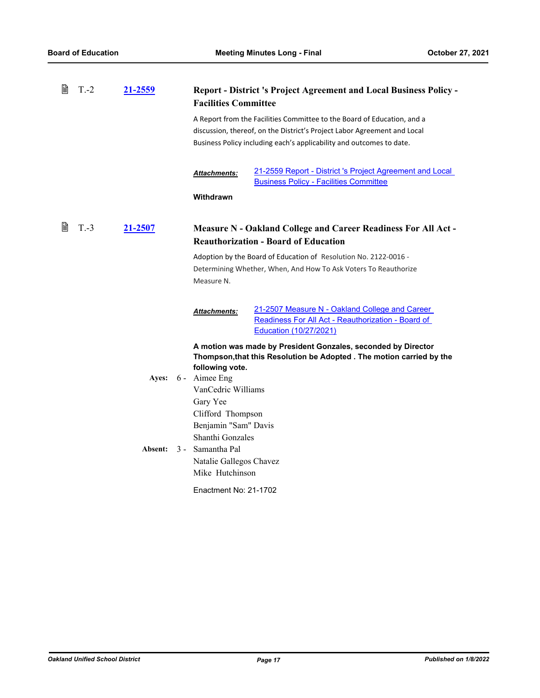| 閆 | $T - 2$ | 21-2559        | <b>Report - District 's Project Agreement and Local Business Policy -</b><br><b>Facilities Committee</b> |                                                                                                                                                                                                                             |
|---|---------|----------------|----------------------------------------------------------------------------------------------------------|-----------------------------------------------------------------------------------------------------------------------------------------------------------------------------------------------------------------------------|
|   |         |                |                                                                                                          | A Report from the Facilities Committee to the Board of Education, and a<br>discussion, thereof, on the District's Project Labor Agreement and Local<br>Business Policy including each's applicability and outcomes to date. |
|   |         |                | <b>Attachments:</b>                                                                                      | 21-2559 Report - District 's Project Agreement and Local<br><b>Business Policy - Facilities Committee</b>                                                                                                                   |
|   |         |                | Withdrawn                                                                                                |                                                                                                                                                                                                                             |
| Ħ | $T.-3$  | 21-2507        |                                                                                                          | <b>Measure N - Oakland College and Career Readiness For All Act -</b><br><b>Reauthorization - Board of Education</b>                                                                                                        |
|   |         |                | Measure N.                                                                                               | Adoption by the Board of Education of Resolution No. 2122-0016 -<br>Determining Whether, When, And How To Ask Voters To Reauthorize                                                                                         |
|   |         |                | <b>Attachments:</b>                                                                                      | 21-2507 Measure N - Oakland College and Career<br>Readiness For All Act - Reauthorization - Board of<br>Education (10/27/2021)                                                                                              |
|   |         |                |                                                                                                          | A motion was made by President Gonzales, seconded by Director<br>Thompson, that this Resolution be Adopted . The motion carried by the                                                                                      |
|   |         |                | following vote.<br>Ayes: 6 - Aimee Eng                                                                   |                                                                                                                                                                                                                             |
|   |         |                | VanCedric Williams                                                                                       |                                                                                                                                                                                                                             |
|   |         |                | Gary Yee                                                                                                 |                                                                                                                                                                                                                             |
|   |         |                | Clifford Thompson<br>Benjamin "Sam" Davis                                                                |                                                                                                                                                                                                                             |
|   |         |                | Shanthi Gonzales                                                                                         |                                                                                                                                                                                                                             |
|   |         | <b>Absent:</b> | 3 - Samantha Pal                                                                                         |                                                                                                                                                                                                                             |
|   |         |                | Natalie Gallegos Chavez                                                                                  |                                                                                                                                                                                                                             |
|   |         |                | Mike Hutchinson                                                                                          |                                                                                                                                                                                                                             |
|   |         |                | Enactment No: 21-1702                                                                                    |                                                                                                                                                                                                                             |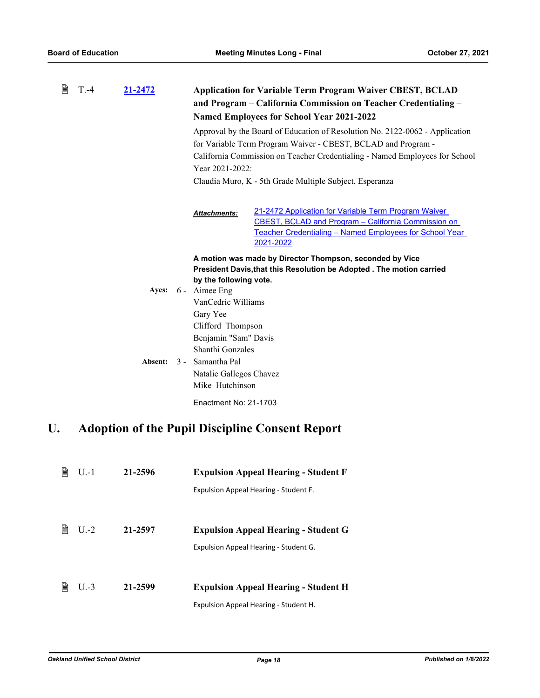| B | $T - 4$ | 21-2472 | <b>Application for Variable Term Program Waiver CBEST, BCLAD</b><br>and Program – California Commission on Teacher Credentialing –<br><b>Named Employees for School Year 2021-2022</b>                     |  |  |
|---|---------|---------|------------------------------------------------------------------------------------------------------------------------------------------------------------------------------------------------------------|--|--|
|   |         |         | Approval by the Board of Education of Resolution No. 2122-0062 - Application                                                                                                                               |  |  |
|   |         |         | for Variable Term Program Waiver - CBEST, BCLAD and Program -                                                                                                                                              |  |  |
|   |         |         | California Commission on Teacher Credentialing - Named Employees for School                                                                                                                                |  |  |
|   |         |         | Year 2021-2022:                                                                                                                                                                                            |  |  |
|   |         |         | Claudia Muro, K - 5th Grade Multiple Subject, Esperanza                                                                                                                                                    |  |  |
|   |         |         | 21-2472 Application for Variable Term Program Waiver<br><b>Attachments:</b><br>CBEST, BCLAD and Program - California Commission on<br>Teacher Credentialing – Named Employees for School Year<br>2021-2022 |  |  |
|   |         |         | A motion was made by Director Thompson, seconded by Vice                                                                                                                                                   |  |  |
|   |         |         |                                                                                                                                                                                                            |  |  |
|   |         |         | President Davis, that this Resolution be Adopted . The motion carried                                                                                                                                      |  |  |
|   |         |         | by the following vote.                                                                                                                                                                                     |  |  |
|   |         |         | Ayes: 6 - Aimee Eng                                                                                                                                                                                        |  |  |
|   |         |         | VanCedric Williams                                                                                                                                                                                         |  |  |
|   |         |         | Gary Yee                                                                                                                                                                                                   |  |  |
|   |         |         | Clifford Thompson                                                                                                                                                                                          |  |  |
|   |         |         | Benjamin "Sam" Davis                                                                                                                                                                                       |  |  |
|   |         |         | Shanthi Gonzales                                                                                                                                                                                           |  |  |
|   |         |         | Absent: 3 - Samantha Pal                                                                                                                                                                                   |  |  |
|   |         |         | Natalie Gallegos Chavez                                                                                                                                                                                    |  |  |
|   |         |         | Mike Hutchinson                                                                                                                                                                                            |  |  |
|   |         |         | Enactment No: 21-1703                                                                                                                                                                                      |  |  |

# **U. Adoption of the Pupil Discipline Consent Report**

| ₽ | $U - 1$ | 21-2596 | <b>Expulsion Appeal Hearing - Student F</b> |
|---|---------|---------|---------------------------------------------|
|   |         |         | Expulsion Appeal Hearing - Student F.       |
|   |         |         |                                             |
| 窅 | $U$ .-2 | 21-2597 | <b>Expulsion Appeal Hearing - Student G</b> |
|   |         |         | Expulsion Appeal Hearing - Student G.       |
|   |         |         |                                             |
| B | $U-3$   | 21-2599 | <b>Expulsion Appeal Hearing - Student H</b> |
|   |         |         | Expulsion Appeal Hearing - Student H.       |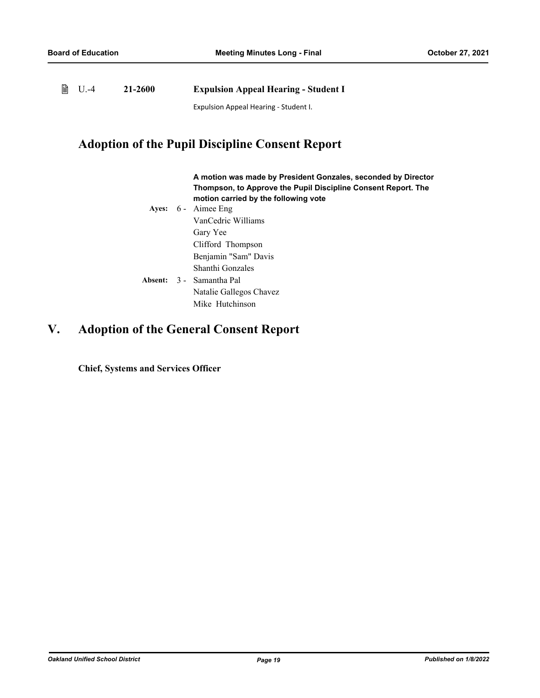▤ U.-4 **21-2600 Expulsion Appeal Hearing - Student I** Expulsion Appeal Hearing - Student I.

## **Adoption of the Pupil Discipline Consent Report**

## **A motion was made by President Gonzales, seconded by Director Thompson, to Approve the Pupil Discipline Consent Report. The motion carried by the following vote**

Ayes: 6 - Aimee Eng VanCedric Williams Gary Yee Clifford Thompson Benjamin "Sam" Davis Shanthi Gonzales Absent: 3 - Samantha Pal Natalie Gallegos Chavez Mike Hutchinson

# **V. Adoption of the General Consent Report**

**Chief, Systems and Services Officer**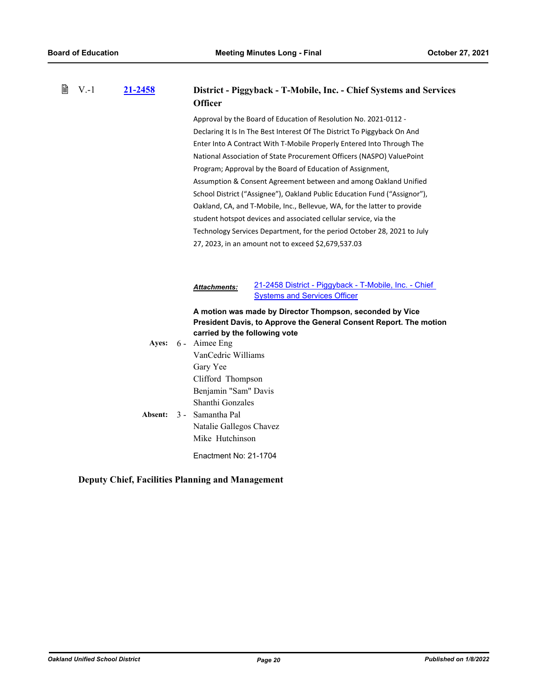| 閶<br>$V - 1$ |  | 21-2458        | <b>Officer</b>                                                                                                                                                                                                                                     | District - Piggyback - T-Mobile, Inc. - Chief Systems and Services                                                                                                                                                                                                                                                                                                                                                                                                                                                                                                                                                                                                                                                                                                                              |
|--------------|--|----------------|----------------------------------------------------------------------------------------------------------------------------------------------------------------------------------------------------------------------------------------------------|-------------------------------------------------------------------------------------------------------------------------------------------------------------------------------------------------------------------------------------------------------------------------------------------------------------------------------------------------------------------------------------------------------------------------------------------------------------------------------------------------------------------------------------------------------------------------------------------------------------------------------------------------------------------------------------------------------------------------------------------------------------------------------------------------|
|              |  |                |                                                                                                                                                                                                                                                    | Approval by the Board of Education of Resolution No. 2021-0112 -<br>Declaring It Is In The Best Interest Of The District To Piggyback On And<br>Enter Into A Contract With T-Mobile Properly Entered Into Through The<br>National Association of State Procurement Officers (NASPO) ValuePoint<br>Program; Approval by the Board of Education of Assignment,<br>Assumption & Consent Agreement between and among Oakland Unified<br>School District ("Assignee"), Oakland Public Education Fund ("Assignor"),<br>Oakland, CA, and T-Mobile, Inc., Bellevue, WA, for the latter to provide<br>student hotspot devices and associated cellular service, via the<br>Technology Services Department, for the period October 28, 2021 to July<br>27, 2023, in an amount not to exceed \$2,679,537.03 |
|              |  |                | <u>Attachments:</u>                                                                                                                                                                                                                                | 21-2458 District - Piggyback - T-Mobile, Inc. - Chief<br><b>Systems and Services Officer</b>                                                                                                                                                                                                                                                                                                                                                                                                                                                                                                                                                                                                                                                                                                    |
|              |  | <b>Absent:</b> | carried by the following vote<br>Ayes: 6 - Aimee Eng<br>VanCedric Williams<br>Gary Yee<br>Clifford Thompson<br>Benjamin "Sam" Davis<br>Shanthi Gonzales<br>3 - Samantha Pal<br>Natalie Gallegos Chavez<br>Mike Hutchinson<br>Enactment No: 21-1704 | A motion was made by Director Thompson, seconded by Vice<br>President Davis, to Approve the General Consent Report. The motion                                                                                                                                                                                                                                                                                                                                                                                                                                                                                                                                                                                                                                                                  |

## **Deputy Chief, Facilities Planning and Management**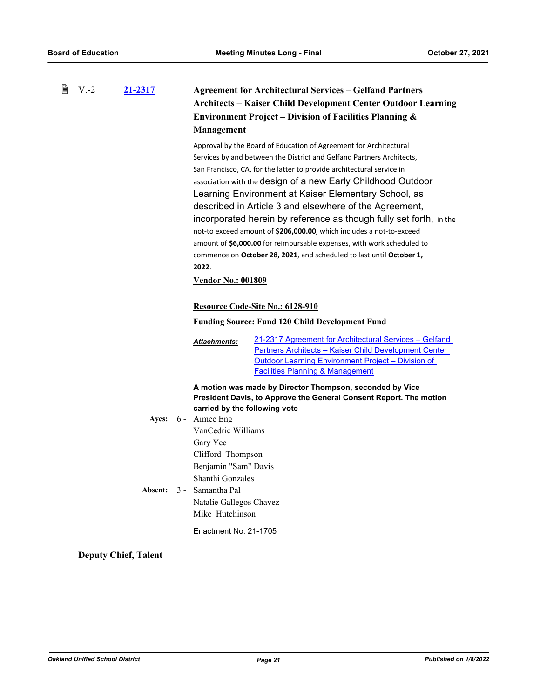| ₿ | $V.-2$ | 21-2317 | <b>Agreement for Architectural Services – Gelfand Partners</b><br><b>Architects – Kaiser Child Development Center Outdoor Learning</b><br><b>Environment Project - Division of Facilities Planning &amp;</b><br>Management |                                                                                                                                                                                                                                                                                                                                                                                                                                                                                                                                                                                                                                                                                                                                                                                                     |  |
|---|--------|---------|----------------------------------------------------------------------------------------------------------------------------------------------------------------------------------------------------------------------------|-----------------------------------------------------------------------------------------------------------------------------------------------------------------------------------------------------------------------------------------------------------------------------------------------------------------------------------------------------------------------------------------------------------------------------------------------------------------------------------------------------------------------------------------------------------------------------------------------------------------------------------------------------------------------------------------------------------------------------------------------------------------------------------------------------|--|
|   |        |         | 2022.<br><b>Vendor No.: 001809</b>                                                                                                                                                                                         | Approval by the Board of Education of Agreement for Architectural<br>Services by and between the District and Gelfand Partners Architects,<br>San Francisco, CA, for the latter to provide architectural service in<br>association with the design of a new Early Childhood Outdoor<br>Learning Environment at Kaiser Elementary School, as<br>described in Article 3 and elsewhere of the Agreement,<br>incorporated herein by reference as though fully set forth, in the<br>not-to exceed amount of \$206,000.00, which includes a not-to-exceed<br>amount of \$6,000.00 for reimbursable expenses, with work scheduled to<br>commence on October 28, 2021, and scheduled to last until October 1,<br>Resource Code-Site No.: 6128-910<br><b>Funding Source: Fund 120 Child Development Fund</b> |  |
|   |        |         | <b>Attachments:</b>                                                                                                                                                                                                        | <u>21-2317 Agreement for Architectural Services – Gelfand</u><br><b>Partners Architects - Kaiser Child Development Center</b><br>Outdoor Learning Environment Project – Division of<br><b>Facilities Planning &amp; Management</b>                                                                                                                                                                                                                                                                                                                                                                                                                                                                                                                                                                  |  |
|   |        |         |                                                                                                                                                                                                                            | A motion was made by Director Thompson, seconded by Vice<br>President Davis, to Approve the General Consent Report. The motion                                                                                                                                                                                                                                                                                                                                                                                                                                                                                                                                                                                                                                                                      |  |
|   |        |         | carried by the following vote<br>Ayes: 6 - Aimee Eng<br>VanCedric Williams<br>Gary Yee<br>Clifford Thompson                                                                                                                |                                                                                                                                                                                                                                                                                                                                                                                                                                                                                                                                                                                                                                                                                                                                                                                                     |  |
|   |        | Absent: | Benjamin "Sam" Davis<br>Shanthi Gonzales<br>3 - Samantha Pal<br>Natalie Gallegos Chavez<br>Mike Hutchinson<br>Enactment No: 21-1705                                                                                        |                                                                                                                                                                                                                                                                                                                                                                                                                                                                                                                                                                                                                                                                                                                                                                                                     |  |

**Deputy Chief, Talent**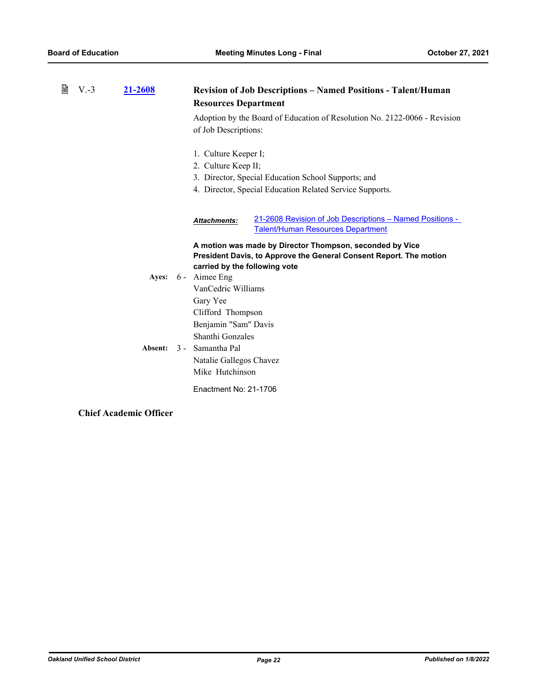| 閶<br>$V.-3$<br>21-2608 |  |         | <b>Revision of Job Descriptions – Named Positions - Talent/Human</b><br><b>Resources Department</b> |                                                                                                      |  |  |
|------------------------|--|---------|-----------------------------------------------------------------------------------------------------|------------------------------------------------------------------------------------------------------|--|--|
|                        |  |         | Adoption by the Board of Education of Resolution No. 2122-0066 - Revision<br>of Job Descriptions:   |                                                                                                      |  |  |
|                        |  |         | 1. Culture Keeper I;                                                                                |                                                                                                      |  |  |
|                        |  |         | 2. Culture Keep II;                                                                                 |                                                                                                      |  |  |
|                        |  |         |                                                                                                     | 3. Director, Special Education School Supports; and                                                  |  |  |
|                        |  |         |                                                                                                     | 4. Director, Special Education Related Service Supports.                                             |  |  |
|                        |  |         | <b>Attachments:</b>                                                                                 | 21-2608 Revision of Job Descriptions - Named Positions -<br><b>Talent/Human Resources Department</b> |  |  |
|                        |  |         |                                                                                                     | A motion was made by Director Thompson, seconded by Vice                                             |  |  |
|                        |  |         |                                                                                                     | President Davis, to Approve the General Consent Report. The motion                                   |  |  |
|                        |  |         | carried by the following vote                                                                       |                                                                                                      |  |  |
|                        |  |         | Ayes: 6 - Aimee Eng                                                                                 |                                                                                                      |  |  |
|                        |  |         | VanCedric Williams                                                                                  |                                                                                                      |  |  |
|                        |  |         | Gary Yee                                                                                            |                                                                                                      |  |  |
|                        |  |         | Clifford Thompson                                                                                   |                                                                                                      |  |  |
|                        |  |         | Benjamin "Sam" Davis                                                                                |                                                                                                      |  |  |
|                        |  |         | Shanthi Gonzales                                                                                    |                                                                                                      |  |  |
|                        |  | Absent: | 3 - Samantha Pal                                                                                    |                                                                                                      |  |  |
|                        |  |         | Natalie Gallegos Chavez                                                                             |                                                                                                      |  |  |
|                        |  |         | Mike Hutchinson                                                                                     |                                                                                                      |  |  |
|                        |  |         | Enactment No: 21-1706                                                                               |                                                                                                      |  |  |

## **Chief Academic Officer**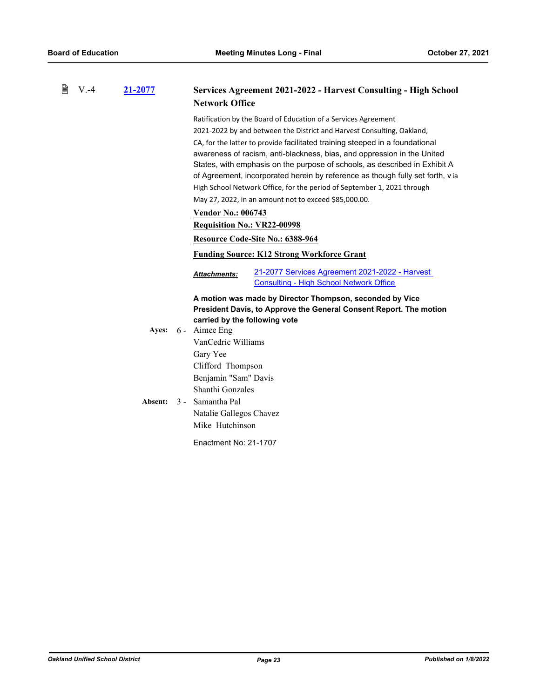| 閆 | $V.-4$ | 21-2077 | Services Agreement 2021-2022 - Harvest Consulting - High School<br><b>Network Office</b>                                                              |
|---|--------|---------|-------------------------------------------------------------------------------------------------------------------------------------------------------|
|   |        |         | Ratification by the Board of Education of a Services Agreement                                                                                        |
|   |        |         | 2021-2022 by and between the District and Harvest Consulting, Oakland,                                                                                |
|   |        |         | CA, for the latter to provide facilitated training steeped in a foundational                                                                          |
|   |        |         | awareness of racism, anti-blackness, bias, and oppression in the United<br>States, with emphasis on the purpose of schools, as described in Exhibit A |
|   |        |         | of Agreement, incorporated herein by reference as though fully set forth, via                                                                         |
|   |        |         | High School Network Office, for the period of September 1, 2021 through                                                                               |
|   |        |         | May 27, 2022, in an amount not to exceed \$85,000.00.                                                                                                 |
|   |        |         | <b>Vendor No.: 006743</b>                                                                                                                             |
|   |        |         | <b>Requisition No.: VR22-00998</b>                                                                                                                    |
|   |        |         | Resource Code-Site No.: 6388-964                                                                                                                      |
|   |        |         | <b>Funding Source: K12 Strong Workforce Grant</b>                                                                                                     |
|   |        |         | 21-2077 Services Agreement 2021-2022 - Harvest<br><b>Attachments:</b><br><b>Consulting - High School Network Office</b>                               |
|   |        |         | A motion was made by Director Thompson, seconded by Vice                                                                                              |
|   |        |         | President Davis, to Approve the General Consent Report. The motion                                                                                    |
|   |        |         | carried by the following vote<br>Ayes: 6 - Aimee Eng                                                                                                  |
|   |        |         | VanCedric Williams                                                                                                                                    |
|   |        |         | Gary Yee                                                                                                                                              |
|   |        |         | Clifford Thompson                                                                                                                                     |
|   |        |         | Benjamin "Sam" Davis                                                                                                                                  |
|   |        |         | Shanthi Gonzales                                                                                                                                      |
|   |        | Absent: | 3 - Samantha Pal                                                                                                                                      |
|   |        |         | Natalie Gallegos Chavez<br>Mike Hutchinson                                                                                                            |
|   |        |         |                                                                                                                                                       |
|   |        |         | Enactment No: 21-1707                                                                                                                                 |
|   |        |         |                                                                                                                                                       |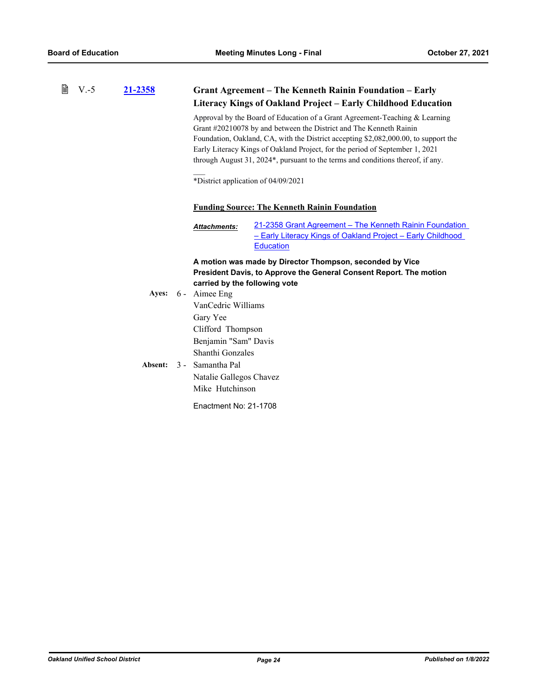| 誾 | $V - 5$ | 21-2358 | Grant Agreement – The Kenneth Rainin Foundation – Early<br>Literacy Kings of Oakland Project – Early Childhood Education                                                                                                                                                                                                                                                                                    |  |  |
|---|---------|---------|-------------------------------------------------------------------------------------------------------------------------------------------------------------------------------------------------------------------------------------------------------------------------------------------------------------------------------------------------------------------------------------------------------------|--|--|
|   |         |         | Approval by the Board of Education of a Grant Agreement-Teaching & Learning<br>Grant #20210078 by and between the District and The Kenneth Rainin<br>Foundation, Oakland, CA, with the District accepting \$2,082,000.00, to support the<br>Early Literacy Kings of Oakland Project, for the period of September 1, 2021<br>through August 31, 2024*, pursuant to the terms and conditions thereof, if any. |  |  |
|   |         |         | *District application of 04/09/2021                                                                                                                                                                                                                                                                                                                                                                         |  |  |
|   |         |         | <b>Funding Source: The Kenneth Rainin Foundation</b>                                                                                                                                                                                                                                                                                                                                                        |  |  |
|   |         |         | 21-2358 Grant Agreement – The Kenneth Rainin Foundation<br><b>Attachments:</b><br>- Early Literacy Kings of Oakland Project - Early Childhood<br><b>Education</b>                                                                                                                                                                                                                                           |  |  |
|   |         |         | A motion was made by Director Thompson, seconded by Vice                                                                                                                                                                                                                                                                                                                                                    |  |  |
|   |         |         | President Davis, to Approve the General Consent Report. The motion<br>carried by the following vote                                                                                                                                                                                                                                                                                                         |  |  |
|   |         | Ayes:   | 6 - Aimee Eng                                                                                                                                                                                                                                                                                                                                                                                               |  |  |
|   |         |         | VanCedric Williams                                                                                                                                                                                                                                                                                                                                                                                          |  |  |
|   |         |         | Gary Yee                                                                                                                                                                                                                                                                                                                                                                                                    |  |  |
|   |         |         | Clifford Thompson                                                                                                                                                                                                                                                                                                                                                                                           |  |  |
|   |         |         | Benjamin "Sam" Davis                                                                                                                                                                                                                                                                                                                                                                                        |  |  |
|   |         |         | Shanthi Gonzales                                                                                                                                                                                                                                                                                                                                                                                            |  |  |
|   |         | Absent: | 3 - Samantha Pal                                                                                                                                                                                                                                                                                                                                                                                            |  |  |
|   |         |         | Natalie Gallegos Chavez                                                                                                                                                                                                                                                                                                                                                                                     |  |  |
|   |         |         | Mike Hutchinson                                                                                                                                                                                                                                                                                                                                                                                             |  |  |
|   |         |         | Enactment No: 21-1708                                                                                                                                                                                                                                                                                                                                                                                       |  |  |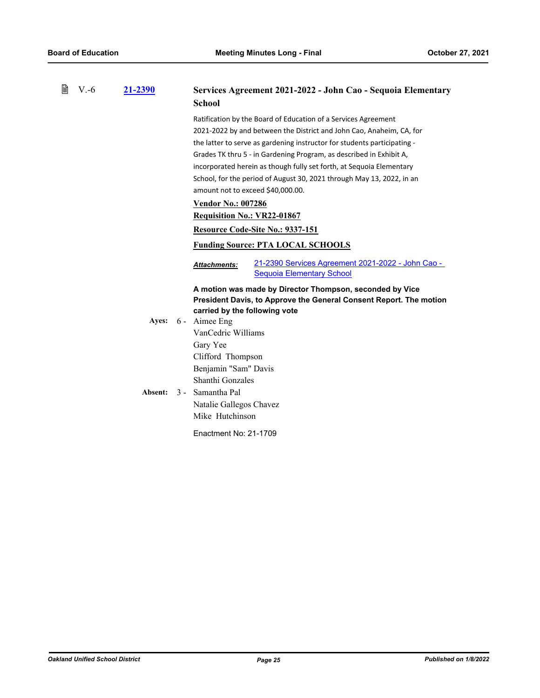| 昏 | $V.-6$ | 21-2390 | <b>School</b>                                                                                                                                                     | Services Agreement 2021-2022 - John Cao - Sequoia Elementary                                                                                                                                                                                                                                                                                                                                                                               |
|---|--------|---------|-------------------------------------------------------------------------------------------------------------------------------------------------------------------|--------------------------------------------------------------------------------------------------------------------------------------------------------------------------------------------------------------------------------------------------------------------------------------------------------------------------------------------------------------------------------------------------------------------------------------------|
|   |        |         | amount not to exceed \$40,000.00.<br><b>Vendor No.: 007286</b><br><b>Requisition No.: VR22-01867</b>                                                              | Ratification by the Board of Education of a Services Agreement<br>2021-2022 by and between the District and John Cao, Anaheim, CA, for<br>the latter to serve as gardening instructor for students participating -<br>Grades TK thru 5 - in Gardening Program, as described in Exhibit A,<br>incorporated herein as though fully set forth, at Sequoia Elementary<br>School, for the period of August 30, 2021 through May 13, 2022, in an |
|   |        |         |                                                                                                                                                                   | Resource Code-Site No.: 9337-151                                                                                                                                                                                                                                                                                                                                                                                                           |
|   |        |         |                                                                                                                                                                   | <b>Funding Source: PTA LOCAL SCHOOLS</b>                                                                                                                                                                                                                                                                                                                                                                                                   |
|   |        |         | Attachments:                                                                                                                                                      | 21-2390 Services Agreement 2021-2022 - John Cao -<br><b>Sequoia Elementary School</b>                                                                                                                                                                                                                                                                                                                                                      |
|   |        |         | carried by the following vote                                                                                                                                     | A motion was made by Director Thompson, seconded by Vice<br>President Davis, to Approve the General Consent Report. The motion                                                                                                                                                                                                                                                                                                             |
|   |        |         | Ayes: 6 - Aimee Eng                                                                                                                                               |                                                                                                                                                                                                                                                                                                                                                                                                                                            |
|   |        | Absent: | VanCedric Williams<br>Gary Yee<br>Clifford Thompson<br>Benjamin "Sam" Davis<br>Shanthi Gonzales<br>3 - Samantha Pal<br>Natalie Gallegos Chavez<br>Mike Hutchinson |                                                                                                                                                                                                                                                                                                                                                                                                                                            |
|   |        |         | Enactment No: 21-1709                                                                                                                                             |                                                                                                                                                                                                                                                                                                                                                                                                                                            |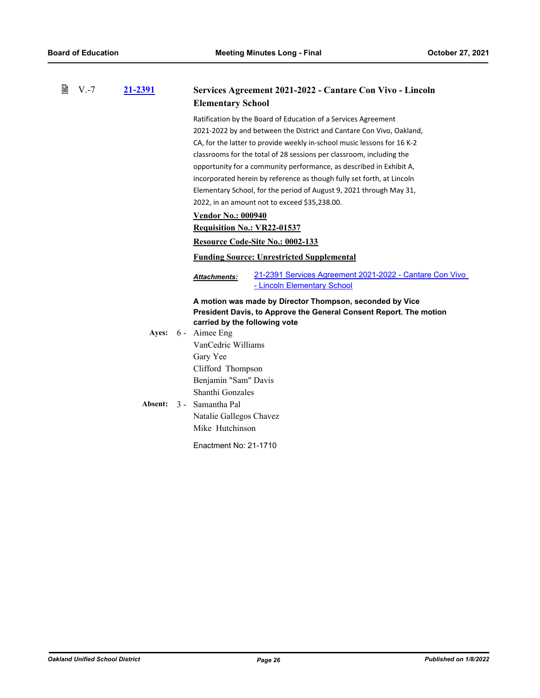| 窅 | $V.-7$ | 21-2391 | <b>Elementary School</b>                                             | Services Agreement 2021-2022 - Cantare Con Vivo - Lincoln                                                                      |  |
|---|--------|---------|----------------------------------------------------------------------|--------------------------------------------------------------------------------------------------------------------------------|--|
|   |        |         |                                                                      | Ratification by the Board of Education of a Services Agreement                                                                 |  |
|   |        |         | 2021-2022 by and between the District and Cantare Con Vivo, Oakland, |                                                                                                                                |  |
|   |        |         |                                                                      | CA, for the latter to provide weekly in-school music lessons for 16 K-2                                                        |  |
|   |        |         |                                                                      | classrooms for the total of 28 sessions per classroom, including the                                                           |  |
|   |        |         |                                                                      | opportunity for a community performance, as described in Exhibit A,                                                            |  |
|   |        |         |                                                                      | incorporated herein by reference as though fully set forth, at Lincoln                                                         |  |
|   |        |         |                                                                      | Elementary School, for the period of August 9, 2021 through May 31,                                                            |  |
|   |        |         |                                                                      | 2022, in an amount not to exceed \$35,238.00.                                                                                  |  |
|   |        |         | <b>Vendor No.: 000940</b>                                            |                                                                                                                                |  |
|   |        |         | <b>Requisition No.: VR22-01537</b>                                   |                                                                                                                                |  |
|   |        |         |                                                                      | Resource Code-Site No.: 0002-133                                                                                               |  |
|   |        |         |                                                                      | <b>Funding Source: Unrestricted Supplemental</b>                                                                               |  |
|   |        |         | <b>Attachments:</b>                                                  | 21-2391 Services Agreement 2021-2022 - Cantare Con Vivo<br>- Lincoln Elementary School                                         |  |
|   |        |         | carried by the following vote                                        | A motion was made by Director Thompson, seconded by Vice<br>President Davis, to Approve the General Consent Report. The motion |  |
|   |        | Ayes:   | 6 - Aimee Eng                                                        |                                                                                                                                |  |
|   |        |         | VanCedric Williams                                                   |                                                                                                                                |  |
|   |        |         | Gary Yee                                                             |                                                                                                                                |  |
|   |        |         | Clifford Thompson                                                    |                                                                                                                                |  |
|   |        |         | Benjamin "Sam" Davis                                                 |                                                                                                                                |  |
|   |        |         | Shanthi Gonzales                                                     |                                                                                                                                |  |
|   |        | Absent: | 3 - Samantha Pal                                                     |                                                                                                                                |  |
|   |        |         | Natalie Gallegos Chavez                                              |                                                                                                                                |  |
|   |        |         | Mike Hutchinson                                                      |                                                                                                                                |  |
|   |        |         | Enactment No: 21-1710                                                |                                                                                                                                |  |
|   |        |         |                                                                      |                                                                                                                                |  |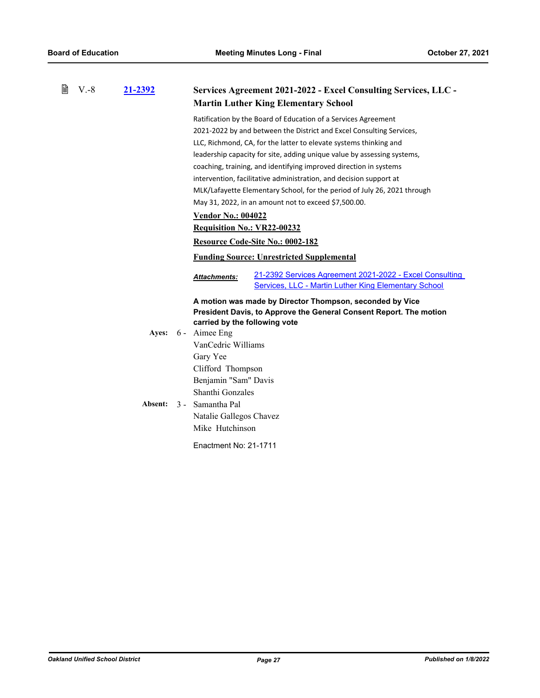| 誾 | $V.-8$ | 21-2392 | Services Agreement 2021-2022 - Excel Consulting Services, LLC -                                                                 |  |  |
|---|--------|---------|---------------------------------------------------------------------------------------------------------------------------------|--|--|
|   |        |         | <b>Martin Luther King Elementary School</b>                                                                                     |  |  |
|   |        |         | Ratification by the Board of Education of a Services Agreement                                                                  |  |  |
|   |        |         | 2021-2022 by and between the District and Excel Consulting Services,                                                            |  |  |
|   |        |         | LLC, Richmond, CA, for the latter to elevate systems thinking and                                                               |  |  |
|   |        |         | leadership capacity for site, adding unique value by assessing systems,                                                         |  |  |
|   |        |         | coaching, training, and identifying improved direction in systems                                                               |  |  |
|   |        |         | intervention, facilitative administration, and decision support at                                                              |  |  |
|   |        |         | MLK/Lafayette Elementary School, for the period of July 26, 2021 through                                                        |  |  |
|   |        |         | May 31, 2022, in an amount not to exceed \$7,500.00.                                                                            |  |  |
|   |        |         | <b>Vendor No.: 004022</b>                                                                                                       |  |  |
|   |        |         | <b>Requisition No.: VR22-00232</b>                                                                                              |  |  |
|   |        |         | Resource Code-Site No.: 0002-182                                                                                                |  |  |
|   |        |         | <b>Funding Source: Unrestricted Supplemental</b>                                                                                |  |  |
|   |        |         | 21-2392 Services Agreement 2021-2022 - Excel Consulting<br>Attachments:<br>Services, LLC - Martin Luther King Elementary School |  |  |
|   |        |         |                                                                                                                                 |  |  |
|   |        |         | A motion was made by Director Thompson, seconded by Vice<br>President Davis, to Approve the General Consent Report. The motion  |  |  |
|   |        |         | carried by the following vote                                                                                                   |  |  |
|   |        |         | Ayes: 6 - Aimee Eng                                                                                                             |  |  |
|   |        |         | VanCedric Williams                                                                                                              |  |  |
|   |        |         | Gary Yee                                                                                                                        |  |  |
|   |        |         | Clifford Thompson                                                                                                               |  |  |
|   |        |         | Benjamin "Sam" Davis                                                                                                            |  |  |
|   |        |         | Shanthi Gonzales                                                                                                                |  |  |
|   |        | Absent: | 3 - Samantha Pal                                                                                                                |  |  |
|   |        |         | Natalie Gallegos Chavez                                                                                                         |  |  |
|   |        |         | Mike Hutchinson                                                                                                                 |  |  |
|   |        |         | Enactment No: 21-1711                                                                                                           |  |  |
|   |        |         |                                                                                                                                 |  |  |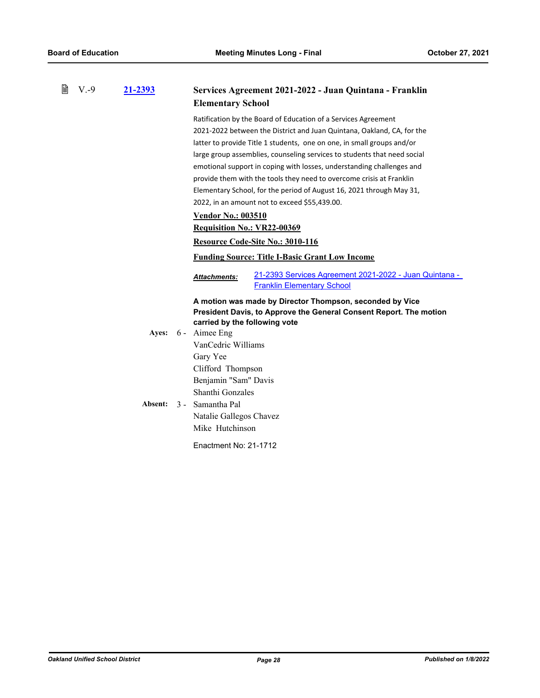| 閆 | $V.-9$ | <u>21-2393</u> | Services Agreement 2021-2022 - Juan Quintana - Franklin<br><b>Elementary School</b>                                |  |  |
|---|--------|----------------|--------------------------------------------------------------------------------------------------------------------|--|--|
|   |        |                | Ratification by the Board of Education of a Services Agreement                                                     |  |  |
|   |        |                | 2021-2022 between the District and Juan Quintana, Oakland, CA, for the                                             |  |  |
|   |        |                | latter to provide Title 1 students, one on one, in small groups and/or                                             |  |  |
|   |        |                | large group assemblies, counseling services to students that need social                                           |  |  |
|   |        |                | emotional support in coping with losses, understanding challenges and                                              |  |  |
|   |        |                | provide them with the tools they need to overcome crisis at Franklin                                               |  |  |
|   |        |                | Elementary School, for the period of August 16, 2021 through May 31,                                               |  |  |
|   |        |                | 2022, in an amount not to exceed \$55,439.00.                                                                      |  |  |
|   |        |                | <b>Vendor No.: 003510</b>                                                                                          |  |  |
|   |        |                | <b>Requisition No.: VR22-00369</b>                                                                                 |  |  |
|   |        |                | Resource Code-Site No.: 3010-116                                                                                   |  |  |
|   |        |                | <b>Funding Source: Title I-Basic Grant Low Income</b>                                                              |  |  |
|   |        |                | 21-2393 Services Agreement 2021-2022 - Juan Quintana -<br><b>Attachments:</b><br><b>Franklin Elementary School</b> |  |  |
|   |        |                | A motion was made by Director Thompson, seconded by Vice                                                           |  |  |
|   |        |                | President Davis, to Approve the General Consent Report. The motion                                                 |  |  |
|   |        |                | carried by the following vote                                                                                      |  |  |
|   |        |                | Ayes: 6 - Aimee Eng                                                                                                |  |  |
|   |        |                | VanCedric Williams                                                                                                 |  |  |
|   |        |                | Gary Yee                                                                                                           |  |  |
|   |        |                | Clifford Thompson                                                                                                  |  |  |
|   |        |                | Benjamin "Sam" Davis                                                                                               |  |  |
|   |        |                | Shanthi Gonzales                                                                                                   |  |  |
|   |        | Absent:        | 3 - Samantha Pal                                                                                                   |  |  |
|   |        |                | Natalie Gallegos Chavez                                                                                            |  |  |
|   |        |                | Mike Hutchinson                                                                                                    |  |  |
|   |        |                | Enactment No: 21-1712                                                                                              |  |  |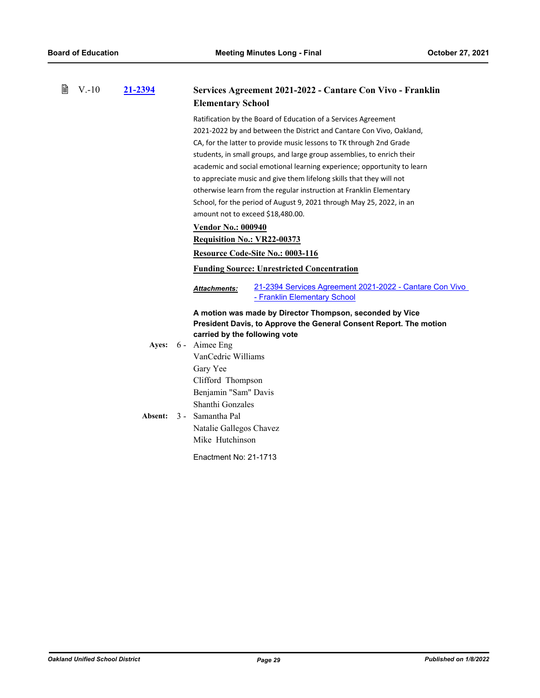| B | $V.-10$ | 21-2394 | Services Agreement 2021-2022 - Cantare Con Vivo - Franklin                                                     |  |  |
|---|---------|---------|----------------------------------------------------------------------------------------------------------------|--|--|
|   |         |         | <b>Elementary School</b>                                                                                       |  |  |
|   |         |         | Ratification by the Board of Education of a Services Agreement                                                 |  |  |
|   |         |         | 2021-2022 by and between the District and Cantare Con Vivo, Oakland,                                           |  |  |
|   |         |         | CA, for the latter to provide music lessons to TK through 2nd Grade                                            |  |  |
|   |         |         | students, in small groups, and large group assemblies, to enrich their                                         |  |  |
|   |         |         | academic and social emotional learning experience; opportunity to learn                                        |  |  |
|   |         |         | to appreciate music and give them lifelong skills that they will not                                           |  |  |
|   |         |         | otherwise learn from the regular instruction at Franklin Elementary                                            |  |  |
|   |         |         | School, for the period of August 9, 2021 through May 25, 2022, in an                                           |  |  |
|   |         |         | amount not to exceed \$18,480.00.                                                                              |  |  |
|   |         |         | <b>Vendor No.: 000940</b>                                                                                      |  |  |
|   |         |         | <b>Requisition No.: VR22-00373</b>                                                                             |  |  |
|   |         |         | Resource Code-Site No.: 0003-116                                                                               |  |  |
|   |         |         | <b>Funding Source: Unrestricted Concentration</b>                                                              |  |  |
|   |         |         | 21-2394 Services Agreement 2021-2022 - Cantare Con Vivo<br><b>Attachments:</b><br>- Franklin Elementary School |  |  |
|   |         |         | A motion was made by Director Thompson, seconded by Vice                                                       |  |  |
|   |         |         | President Davis, to Approve the General Consent Report. The motion                                             |  |  |
|   |         |         | carried by the following vote                                                                                  |  |  |
|   |         | Ayes:   | 6 - Aimee Eng                                                                                                  |  |  |
|   |         |         | VanCedric Williams                                                                                             |  |  |
|   |         |         | Gary Yee                                                                                                       |  |  |
|   |         |         | Clifford Thompson                                                                                              |  |  |
|   |         |         | Benjamin "Sam" Davis                                                                                           |  |  |
|   |         |         | Shanthi Gonzales                                                                                               |  |  |
|   |         | Absent: | 3 - Samantha Pal                                                                                               |  |  |
|   |         |         | Natalie Gallegos Chavez                                                                                        |  |  |
|   |         |         | Mike Hutchinson                                                                                                |  |  |
|   |         |         | Enactment No: 21-1713                                                                                          |  |  |
|   |         |         |                                                                                                                |  |  |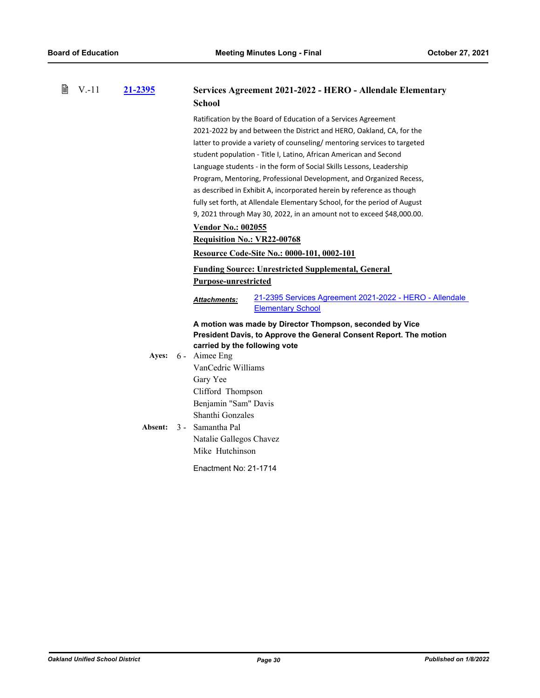È

| V.-11 | 21-2395 | Services Agreement 2021-2022 - HERO - Allendale Elementary<br><b>School</b>                                                                                                                                                                                                                                                                                                                                                                                                                                                                                                                                                                                                                         |  |  |
|-------|---------|-----------------------------------------------------------------------------------------------------------------------------------------------------------------------------------------------------------------------------------------------------------------------------------------------------------------------------------------------------------------------------------------------------------------------------------------------------------------------------------------------------------------------------------------------------------------------------------------------------------------------------------------------------------------------------------------------------|--|--|
|       |         | Ratification by the Board of Education of a Services Agreement<br>2021-2022 by and between the District and HERO, Oakland, CA, for the<br>latter to provide a variety of counseling/ mentoring services to targeted<br>student population - Title I, Latino, African American and Second<br>Language students - in the form of Social Skills Lessons, Leadership<br>Program, Mentoring, Professional Development, and Organized Recess,<br>as described in Exhibit A, incorporated herein by reference as though<br>fully set forth, at Allendale Elementary School, for the period of August<br>9, 2021 through May 30, 2022, in an amount not to exceed \$48,000.00.<br><b>Vendor No.: 002055</b> |  |  |
|       |         | <b>Requisition No.: VR22-00768</b><br><b>Resource Code-Site No.: 0000-101, 0002-101</b>                                                                                                                                                                                                                                                                                                                                                                                                                                                                                                                                                                                                             |  |  |
|       |         | <b>Funding Source: Unrestricted Supplemental, General</b><br><b>Purpose-unrestricted</b>                                                                                                                                                                                                                                                                                                                                                                                                                                                                                                                                                                                                            |  |  |
|       |         | 21-2395 Services Agreement 2021-2022 - HERO - Allendale<br><u>Attachments:</u><br><b>Elementary School</b>                                                                                                                                                                                                                                                                                                                                                                                                                                                                                                                                                                                          |  |  |
|       |         | A motion was made by Director Thompson, seconded by Vice<br>President Davis, to Approve the General Consent Report. The motion<br>carried by the following vote                                                                                                                                                                                                                                                                                                                                                                                                                                                                                                                                     |  |  |
|       |         | Ayes: 6 - Aimee Eng<br>VanCedric Williams<br>Gary Yee                                                                                                                                                                                                                                                                                                                                                                                                                                                                                                                                                                                                                                               |  |  |
|       |         | Clifford Thompson<br>Benjamin "Sam" Davis<br>Shanthi Gonzales<br>Absent: 3 - Samantha Pal<br>Natalie Gallegos Chavez<br>Mike Hutchinson                                                                                                                                                                                                                                                                                                                                                                                                                                                                                                                                                             |  |  |
|       |         | Enactment No: 21-1714                                                                                                                                                                                                                                                                                                                                                                                                                                                                                                                                                                                                                                                                               |  |  |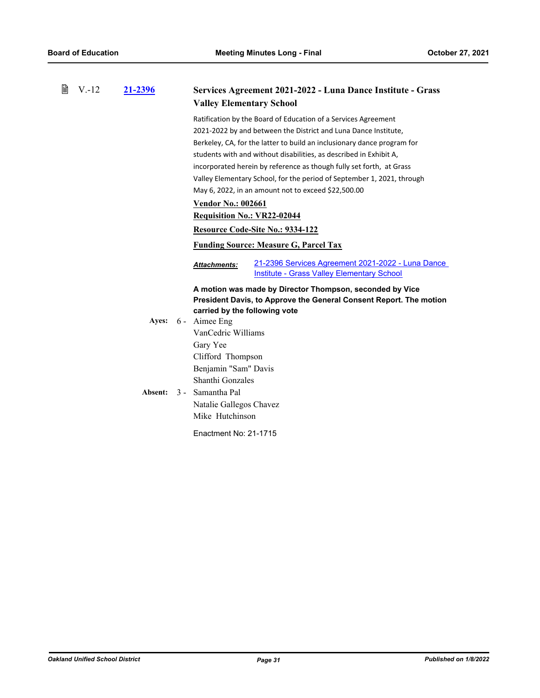| 閶 | $V.-12$ | 21-2396 | <b>Valley Elementary School</b> | Services Agreement 2021-2022 - Luna Dance Institute - Grass                                                                    |
|---|---------|---------|---------------------------------|--------------------------------------------------------------------------------------------------------------------------------|
|   |         |         |                                 | Ratification by the Board of Education of a Services Agreement                                                                 |
|   |         |         |                                 | 2021-2022 by and between the District and Luna Dance Institute,                                                                |
|   |         |         |                                 | Berkeley, CA, for the latter to build an inclusionary dance program for                                                        |
|   |         |         |                                 | students with and without disabilities, as described in Exhibit A,                                                             |
|   |         |         |                                 | incorporated herein by reference as though fully set forth, at Grass                                                           |
|   |         |         |                                 | Valley Elementary School, for the period of September 1, 2021, through                                                         |
|   |         |         |                                 | May 6, 2022, in an amount not to exceed \$22,500.00                                                                            |
|   |         |         | <b>Vendor No.: 002661</b>       |                                                                                                                                |
|   |         |         | Requisition No.: VR22-02044     |                                                                                                                                |
|   |         |         |                                 | Resource Code-Site No.: 9334-122                                                                                               |
|   |         |         |                                 | <b>Funding Source: Measure G, Parcel Tax</b>                                                                                   |
|   |         |         | <b>Attachments:</b>             | 21-2396 Services Agreement 2021-2022 - Luna Dance<br>Institute - Grass Valley Elementary School                                |
|   |         |         | carried by the following vote   | A motion was made by Director Thompson, seconded by Vice<br>President Davis, to Approve the General Consent Report. The motion |
|   |         | Ayes:   | 6 - Aimee Eng                   |                                                                                                                                |
|   |         |         | VanCedric Williams              |                                                                                                                                |
|   |         |         | Gary Yee                        |                                                                                                                                |
|   |         |         | Clifford Thompson               |                                                                                                                                |
|   |         |         | Benjamin "Sam" Davis            |                                                                                                                                |
|   |         |         | Shanthi Gonzales                |                                                                                                                                |
|   |         | Absent: | 3 - Samantha Pal                |                                                                                                                                |
|   |         |         | Natalie Gallegos Chavez         |                                                                                                                                |
|   |         |         | Mike Hutchinson                 |                                                                                                                                |
|   |         |         | Enactment No: 21-1715           |                                                                                                                                |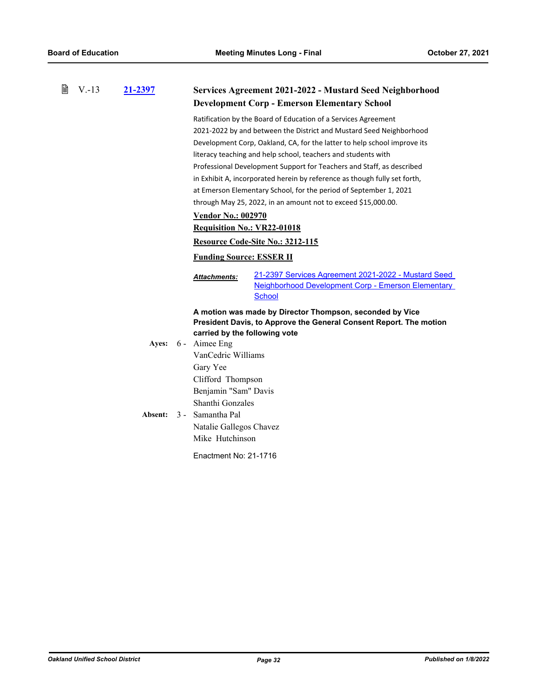| 誾 | $V.-13$ | 21-2397 |                                                                           | Services Agreement 2021-2022 - Mustard Seed Neighborhood                                                                       |  |
|---|---------|---------|---------------------------------------------------------------------------|--------------------------------------------------------------------------------------------------------------------------------|--|
|   |         |         |                                                                           | <b>Development Corp - Emerson Elementary School</b>                                                                            |  |
|   |         |         |                                                                           | Ratification by the Board of Education of a Services Agreement                                                                 |  |
|   |         |         |                                                                           | 2021-2022 by and between the District and Mustard Seed Neighborhood                                                            |  |
|   |         |         |                                                                           | Development Corp, Oakland, CA, for the latter to help school improve its                                                       |  |
|   |         |         |                                                                           | literacy teaching and help school, teachers and students with                                                                  |  |
|   |         |         | Professional Development Support for Teachers and Staff, as described     |                                                                                                                                |  |
|   |         |         | in Exhibit A, incorporated herein by reference as though fully set forth, |                                                                                                                                |  |
|   |         |         | at Emerson Elementary School, for the period of September 1, 2021         |                                                                                                                                |  |
|   |         |         |                                                                           | through May 25, 2022, in an amount not to exceed \$15,000.00.                                                                  |  |
|   |         |         | <b>Vendor No.: 002970</b>                                                 |                                                                                                                                |  |
|   |         |         | <b>Requisition No.: VR22-01018</b>                                        |                                                                                                                                |  |
|   |         |         |                                                                           | Resource Code-Site No.: 3212-115                                                                                               |  |
|   |         |         | <b>Funding Source: ESSER II</b>                                           |                                                                                                                                |  |
|   |         |         | Attachments:                                                              | 21-2397 Services Agreement 2021-2022 - Mustard Seed<br>Neighborhood Development Corp - Emerson Elementary<br>School            |  |
|   |         |         | carried by the following vote                                             | A motion was made by Director Thompson, seconded by Vice<br>President Davis, to Approve the General Consent Report. The motion |  |
|   |         | Ayes:   | 6 - Aimee Eng                                                             |                                                                                                                                |  |
|   |         |         | VanCedric Williams                                                        |                                                                                                                                |  |
|   |         |         | Gary Yee                                                                  |                                                                                                                                |  |
|   |         |         | Clifford Thompson                                                         |                                                                                                                                |  |
|   |         |         | Benjamin "Sam" Davis                                                      |                                                                                                                                |  |
|   |         |         | Shanthi Gonzales                                                          |                                                                                                                                |  |
|   |         | Absent: | 3 - Samantha Pal                                                          |                                                                                                                                |  |
|   |         |         | Natalie Gallegos Chavez                                                   |                                                                                                                                |  |
|   |         |         | Mike Hutchinson                                                           |                                                                                                                                |  |
|   |         |         | Enactment No: 21-1716                                                     |                                                                                                                                |  |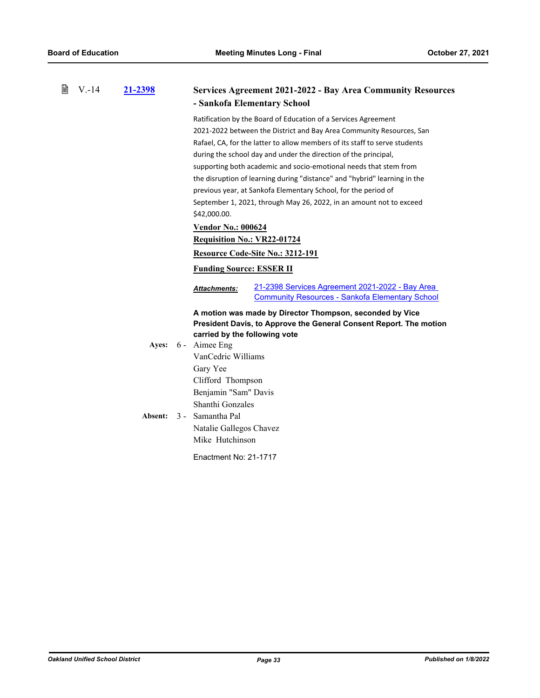| 21-2398          |                                                                                                                                                                                                                                                                                                                                                                                                                                                                                                                                                                                                                                                                                                                                                     | <b>Services Agreement 2021-2022 - Bay Area Community Resources</b><br>- Sankofa Elementary School                              |  |
|------------------|-----------------------------------------------------------------------------------------------------------------------------------------------------------------------------------------------------------------------------------------------------------------------------------------------------------------------------------------------------------------------------------------------------------------------------------------------------------------------------------------------------------------------------------------------------------------------------------------------------------------------------------------------------------------------------------------------------------------------------------------------------|--------------------------------------------------------------------------------------------------------------------------------|--|
|                  | Ratification by the Board of Education of a Services Agreement<br>2021-2022 between the District and Bay Area Community Resources, San<br>Rafael, CA, for the latter to allow members of its staff to serve students<br>during the school day and under the direction of the principal,<br>supporting both academic and socio-emotional needs that stem from<br>the disruption of learning during "distance" and "hybrid" learning in the<br>previous year, at Sankofa Elementary School, for the period of<br>September 1, 2021, through May 26, 2022, in an amount not to exceed<br>\$42,000.00.<br><b>Vendor No.: 000624</b><br><b>Requisition No.: VR22-01724</b><br><b>Resource Code-Site No.: 3212-191</b><br><b>Funding Source: ESSER II</b> |                                                                                                                                |  |
|                  | Attachments:                                                                                                                                                                                                                                                                                                                                                                                                                                                                                                                                                                                                                                                                                                                                        | 21-2398 Services Agreement 2021-2022 - Bay Area<br><b>Community Resources - Sankofa Elementary School</b>                      |  |
| Ayes:<br>Absent: | carried by the following vote<br>VanCedric Williams<br>Gary Yee<br>Clifford Thompson<br>Benjamin "Sam" Davis<br>Shanthi Gonzales<br>Natalie Gallegos Chavez<br>Mike Hutchinson                                                                                                                                                                                                                                                                                                                                                                                                                                                                                                                                                                      | A motion was made by Director Thompson, seconded by Vice<br>President Davis, to Approve the General Consent Report. The motion |  |
|                  |                                                                                                                                                                                                                                                                                                                                                                                                                                                                                                                                                                                                                                                                                                                                                     | 6 - Aimee Eng<br>3 - Samantha Pal<br>Enactment No: 21-1717                                                                     |  |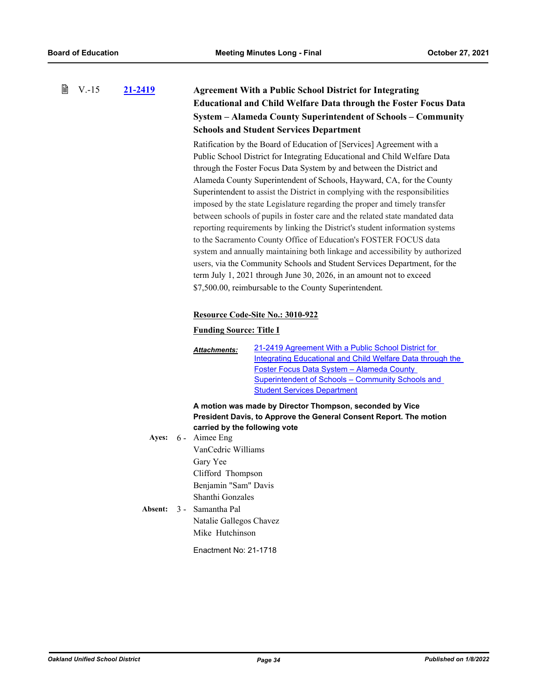#### 閶 V.-15 **[21-2419](http://ousd.legistar.com/gateway.aspx?m=l&id=/matter.aspx?key=53553) Agreement With a Public School District for Integrating Educational and Child Welfare Data through the Foster Focus Data System – Alameda County Superintendent of Schools – Community Schools and Student Services Department**

Ratification by the Board of Education of [Services] Agreement with a Public School District for Integrating Educational and Child Welfare Data through the Foster Focus Data System by and between the District and Alameda County Superintendent of Schools, Hayward, CA, for the County Superintendent to assist the District in complying with the responsibilities imposed by the state Legislature regarding the proper and timely transfer between schools of pupils in foster care and the related state mandated data reporting requirements by linking the District's student information systems to the Sacramento County Office of Education's FOSTER FOCUS data system and annually maintaining both linkage and accessibility by authorized users, via the Community Schools and Student Services Department, for the term July 1, 2021 through June 30, 2026, in an amount not to exceed \$7,500.00, reimbursable to the County Superintendent.

### **Resource Code-Site No.: 3010-922**

### **Funding Source: Title I**

21-2419 Agreement With a Public School District for [Integrating Educational and Child Welfare Data through the](http://ousd.legistar.com/gateway.aspx?M=F&ID=101178.PDF)  Foster Focus Data System – Alameda County Superintendent of Schools – Community Schools and Student Services Department *Attachments:*

**A motion was made by Director Thompson, seconded by Vice President Davis, to Approve the General Consent Report. The motion carried by the following vote**

- Ayes: 6 Aimee Eng VanCedric Williams Gary Yee Clifford Thompson Benjamin "Sam" Davis Shanthi Gonzales Absent: 3 - Samantha Pal
	- Natalie Gallegos Chavez Mike Hutchinson

Enactment No: 21-1718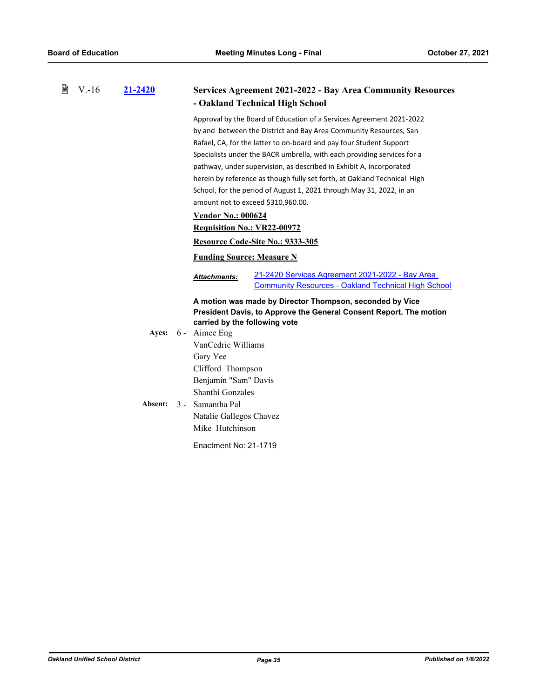| ₿ | $V.-16$ | 21-2420 | <b>Services Agreement 2021-2022 - Bay Area Community Resources</b>                                                                   |
|---|---------|---------|--------------------------------------------------------------------------------------------------------------------------------------|
|   |         |         | - Oakland Technical High School                                                                                                      |
|   |         |         | Approval by the Board of Education of a Services Agreement 2021-2022                                                                 |
|   |         |         | by and between the District and Bay Area Community Resources, San                                                                    |
|   |         |         | Rafael, CA, for the latter to on-board and pay four Student Support                                                                  |
|   |         |         | Specialists under the BACR umbrella, with each providing services for a                                                              |
|   |         |         | pathway, under supervision, as described in Exhibit A, incorporated                                                                  |
|   |         |         | herein by reference as though fully set forth, at Oakland Technical High                                                             |
|   |         |         | School, for the period of August 1, 2021 through May 31, 2022, in an                                                                 |
|   |         |         | amount not to exceed \$310,960.00.                                                                                                   |
|   |         |         | <b>Vendor No.: 000624</b>                                                                                                            |
|   |         |         | <b>Requisition No.: VR22-00972</b>                                                                                                   |
|   |         |         | Resource Code-Site No.: 9333-305                                                                                                     |
|   |         |         | <b>Funding Source: Measure N</b>                                                                                                     |
|   |         |         | 21-2420 Services Agreement 2021-2022 - Bay Area<br><b>Attachments:</b><br><b>Community Resources - Oakland Technical High School</b> |
|   |         |         | A motion was made by Director Thompson, seconded by Vice<br>President Davis, to Approve the General Consent Report. The motion       |
|   |         | Ayes:   | carried by the following vote<br>6 - Aimee Eng                                                                                       |
|   |         |         | VanCedric Williams                                                                                                                   |
|   |         |         | Gary Yee                                                                                                                             |
|   |         |         | Clifford Thompson                                                                                                                    |
|   |         |         | Benjamin "Sam" Davis                                                                                                                 |
|   |         |         | Shanthi Gonzales                                                                                                                     |
|   |         | Absent: | 3 - Samantha Pal                                                                                                                     |
|   |         |         | Natalie Gallegos Chavez                                                                                                              |
|   |         |         | Mike Hutchinson                                                                                                                      |
|   |         |         | Enactment No: 21-1719                                                                                                                |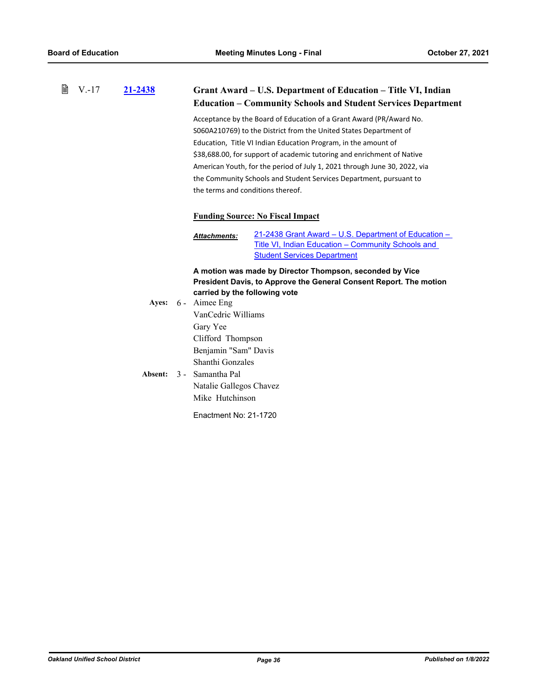|  | ■ V.-17 21-2438 | Grant Award – U.S. Department of Education – Title VI, Indian |
|--|-----------------|---------------------------------------------------------------|
|--|-----------------|---------------------------------------------------------------|

# **Education – Community Schools and Student Services Department**

Acceptance by the Board of Education of a Grant Award (PR/Award No. S060A210769) to the District from the United States Department of Education, Title VI Indian Education Program, in the amount of \$38,688.00, for support of academic tutoring and enrichment of Native American Youth, for the period of July 1, 2021 through June 30, 2022, via the Community Schools and Student Services Department, pursuant to the terms and conditions thereof.

## **Funding Source: No Fiscal Impact**

[21-2438 Grant Award – U.S. Department of Education –](http://ousd.legistar.com/gateway.aspx?M=F&ID=101179.pdf)  Title VI, Indian Education – Community Schools and **Student Services Department** *Attachments:*

**A motion was made by Director Thompson, seconded by Vice President Davis, to Approve the General Consent Report. The motion carried by the following vote**

|  | Ayes: 6 - Aimee Eng      |
|--|--------------------------|
|  | VanCedric Williams       |
|  | Gary Yee                 |
|  | Clifford Thompson        |
|  | Benjamin "Sam" Davis     |
|  | Shanthi Gonzales         |
|  | Absent: 3 - Samantha Pal |
|  | Natalie Gallegos Chavez  |
|  | Mike Hutchinson          |
|  | Enactment No: 21-1720    |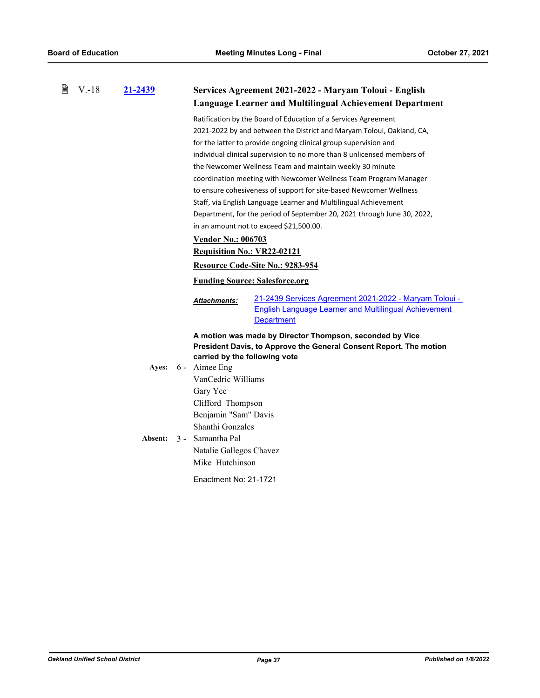| 閶 | $V.-18$ | 21-2439 | Services Agreement 2021-2022 - Maryam Toloui - English<br><b>Language Learner and Multilingual Achievement Department</b>                                                                                                                                                                                                                                                                                                                                                                                                                                                                                                                                                                                           |
|---|---------|---------|---------------------------------------------------------------------------------------------------------------------------------------------------------------------------------------------------------------------------------------------------------------------------------------------------------------------------------------------------------------------------------------------------------------------------------------------------------------------------------------------------------------------------------------------------------------------------------------------------------------------------------------------------------------------------------------------------------------------|
|   |         |         | Ratification by the Board of Education of a Services Agreement<br>2021-2022 by and between the District and Maryam Toloui, Oakland, CA,<br>for the latter to provide ongoing clinical group supervision and<br>individual clinical supervision to no more than 8 unlicensed members of<br>the Newcomer Wellness Team and maintain weekly 30 minute<br>coordination meeting with Newcomer Wellness Team Program Manager<br>to ensure cohesiveness of support for site-based Newcomer Wellness<br>Staff, via English Language Learner and Multilingual Achievement<br>Department, for the period of September 20, 2021 through June 30, 2022,<br>in an amount not to exceed \$21,500.00.<br><b>Vendor No.: 006703</b> |
|   |         |         | <b>Requisition No.: VR22-02121</b>                                                                                                                                                                                                                                                                                                                                                                                                                                                                                                                                                                                                                                                                                  |
|   |         |         | Resource Code-Site No.: 9283-954                                                                                                                                                                                                                                                                                                                                                                                                                                                                                                                                                                                                                                                                                    |
|   |         |         | <b>Funding Source: Salesforce.org</b>                                                                                                                                                                                                                                                                                                                                                                                                                                                                                                                                                                                                                                                                               |
|   |         |         | 21-2439 Services Agreement 2021-2022 - Maryam Toloui -<br>Attachments:<br><b>English Language Learner and Multilingual Achievement</b><br><b>Department</b>                                                                                                                                                                                                                                                                                                                                                                                                                                                                                                                                                         |
|   |         |         | A motion was made by Director Thompson, seconded by Vice<br>President Davis, to Approve the General Consent Report. The motion<br>carried by the following vote<br>Ayes: 6 - Aimee Eng<br>VanCedric Williams<br>Gary Yee<br>Clifford Thompson<br>Benjamin "Sam" Davis<br>Shanthi Gonzales<br>Absent: 3 - Samantha Pal<br>Natalie Gallegos Chavez<br>Mike Hutchinson<br>Enactment No: 21-1721                                                                                                                                                                                                                                                                                                                        |
|   |         |         |                                                                                                                                                                                                                                                                                                                                                                                                                                                                                                                                                                                                                                                                                                                     |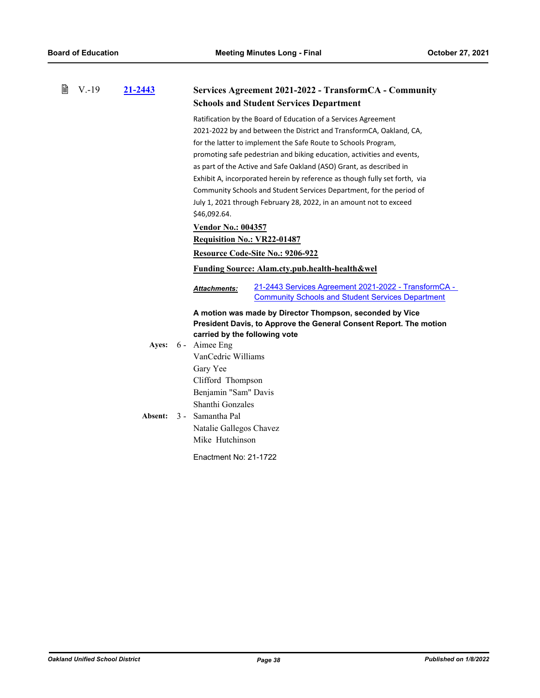| 窅 | $V.-19$ | 21-2443 |                                    | Services Agreement 2021-2022 - TransformCA - Community                                                                         |
|---|---------|---------|------------------------------------|--------------------------------------------------------------------------------------------------------------------------------|
|   |         |         |                                    | <b>Schools and Student Services Department</b>                                                                                 |
|   |         |         |                                    | Ratification by the Board of Education of a Services Agreement                                                                 |
|   |         |         |                                    | 2021-2022 by and between the District and TransformCA, Oakland, CA,                                                            |
|   |         |         |                                    | for the latter to implement the Safe Route to Schools Program,                                                                 |
|   |         |         |                                    | promoting safe pedestrian and biking education, activities and events,                                                         |
|   |         |         |                                    | as part of the Active and Safe Oakland (ASO) Grant, as described in                                                            |
|   |         |         |                                    | Exhibit A, incorporated herein by reference as though fully set forth, via                                                     |
|   |         |         |                                    | Community Schools and Student Services Department, for the period of                                                           |
|   |         |         |                                    | July 1, 2021 through February 28, 2022, in an amount not to exceed                                                             |
|   |         |         | \$46,092.64.                       |                                                                                                                                |
|   |         |         | <b>Vendor No.: 004357</b>          |                                                                                                                                |
|   |         |         | <b>Requisition No.: VR22-01487</b> |                                                                                                                                |
|   |         |         |                                    | Resource Code-Site No.: 9206-922                                                                                               |
|   |         |         |                                    | <b>Funding Source: Alam.cty.pub.health-health&amp;wel</b>                                                                      |
|   |         |         | <b>Attachments:</b>                | 21-2443 Services Agreement 2021-2022 - TransformCA -<br><b>Community Schools and Student Services Department</b>               |
|   |         |         | carried by the following vote      | A motion was made by Director Thompson, seconded by Vice<br>President Davis, to Approve the General Consent Report. The motion |
|   |         | Ayes:   | 6 - Aimee Eng                      |                                                                                                                                |
|   |         |         | VanCedric Williams                 |                                                                                                                                |
|   |         |         | Gary Yee                           |                                                                                                                                |
|   |         |         | Clifford Thompson                  |                                                                                                                                |
|   |         |         | Benjamin "Sam" Davis               |                                                                                                                                |
|   |         |         | Shanthi Gonzales                   |                                                                                                                                |
|   |         | Absent: | 3 - Samantha Pal                   |                                                                                                                                |
|   |         |         | Natalie Gallegos Chavez            |                                                                                                                                |
|   |         |         | Mike Hutchinson                    |                                                                                                                                |
|   |         |         | Enactment No: 21-1722              |                                                                                                                                |
|   |         |         |                                    |                                                                                                                                |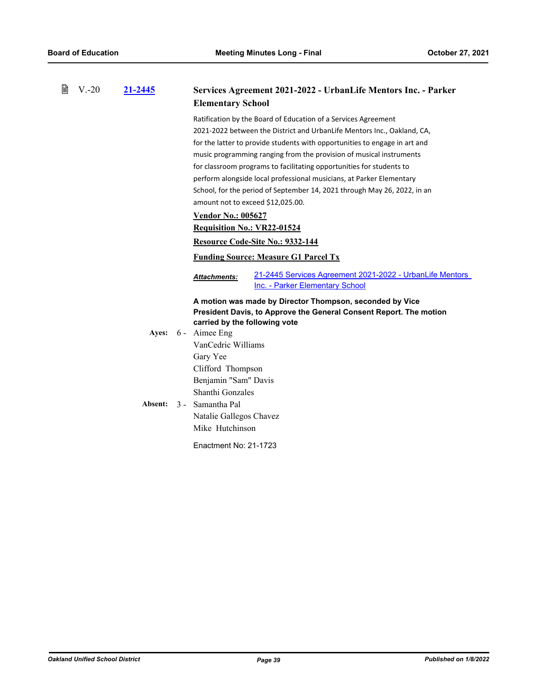| 閶 | $V - 20$ | 21-2445 | Services Agreement 2021-2022 - UrbanLife Mentors Inc. - Parker<br><b>Elementary School</b>                                     |
|---|----------|---------|--------------------------------------------------------------------------------------------------------------------------------|
|   |          |         | Ratification by the Board of Education of a Services Agreement                                                                 |
|   |          |         | 2021-2022 between the District and UrbanLife Mentors Inc., Oakland, CA,                                                        |
|   |          |         | for the latter to provide students with opportunities to engage in art and                                                     |
|   |          |         | music programming ranging from the provision of musical instruments                                                            |
|   |          |         | for classroom programs to facilitating opportunities for students to                                                           |
|   |          |         | perform alongside local professional musicians, at Parker Elementary                                                           |
|   |          |         | School, for the period of September 14, 2021 through May 26, 2022, in an                                                       |
|   |          |         | amount not to exceed \$12,025.00.                                                                                              |
|   |          |         | <b>Vendor No.: 005627</b>                                                                                                      |
|   |          |         | <b>Requisition No.: VR22-01524</b>                                                                                             |
|   |          |         | Resource Code-Site No.: 9332-144                                                                                               |
|   |          |         | <b>Funding Source: Measure G1 Parcel Tx</b>                                                                                    |
|   |          |         | 21-2445 Services Agreement 2021-2022 - UrbanLife Mentors<br>Attachments:<br>Inc. - Parker Elementary School                    |
|   |          |         | A motion was made by Director Thompson, seconded by Vice<br>President Davis, to Approve the General Consent Report. The motion |
|   |          |         | carried by the following vote<br>Ayes: 6 - Aimee Eng                                                                           |
|   |          |         | VanCedric Williams                                                                                                             |
|   |          |         | Gary Yee                                                                                                                       |
|   |          |         | Clifford Thompson                                                                                                              |
|   |          |         | Benjamin "Sam" Davis                                                                                                           |
|   |          |         | Shanthi Gonzales                                                                                                               |
|   |          | Absent: | 3 - Samantha Pal                                                                                                               |
|   |          |         |                                                                                                                                |
|   |          |         | Natalie Gallegos Chavez                                                                                                        |
|   |          |         | Mike Hutchinson                                                                                                                |
|   |          |         | Enactment No: 21-1723                                                                                                          |
|   |          |         |                                                                                                                                |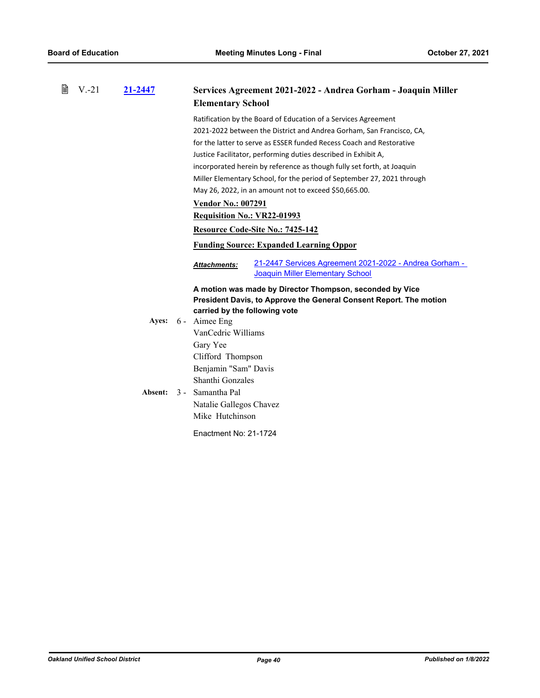| 誾 | $V - 21$ | 21-2447 | Services Agreement 2021-2022 - Andrea Gorham - Joaquin Miller<br><b>Elementary School</b>                                                                                                                                                                                                                                                                                                                                                                                                                                  |  |  |
|---|----------|---------|----------------------------------------------------------------------------------------------------------------------------------------------------------------------------------------------------------------------------------------------------------------------------------------------------------------------------------------------------------------------------------------------------------------------------------------------------------------------------------------------------------------------------|--|--|
|   |          |         | Ratification by the Board of Education of a Services Agreement<br>2021-2022 between the District and Andrea Gorham, San Francisco, CA,<br>for the latter to serve as ESSER funded Recess Coach and Restorative<br>Justice Facilitator, performing duties described in Exhibit A,<br>incorporated herein by reference as though fully set forth, at Joaquin<br>Miller Elementary School, for the period of September 27, 2021 through<br>May 26, 2022, in an amount not to exceed \$50,665.00.<br><b>Vendor No.: 007291</b> |  |  |
|   |          |         | <b>Requisition No.: VR22-01993</b><br>Resource Code-Site No.: 7425-142                                                                                                                                                                                                                                                                                                                                                                                                                                                     |  |  |
|   |          |         | <b>Funding Source: Expanded Learning Oppor</b>                                                                                                                                                                                                                                                                                                                                                                                                                                                                             |  |  |
|   |          |         | 21-2447 Services Agreement 2021-2022 - Andrea Gorham -<br><b>Attachments:</b><br>Joaquin Miller Elementary School                                                                                                                                                                                                                                                                                                                                                                                                          |  |  |
|   |          |         | A motion was made by Director Thompson, seconded by Vice<br>President Davis, to Approve the General Consent Report. The motion<br>carried by the following vote                                                                                                                                                                                                                                                                                                                                                            |  |  |
|   |          |         | Ayes: 6 - Aimee Eng                                                                                                                                                                                                                                                                                                                                                                                                                                                                                                        |  |  |
|   |          | Absent: | VanCedric Williams<br>Gary Yee<br>Clifford Thompson<br>Benjamin "Sam" Davis<br>Shanthi Gonzales<br>3 - Samantha Pal<br>Natalie Gallegos Chavez<br>Mike Hutchinson                                                                                                                                                                                                                                                                                                                                                          |  |  |
|   |          |         | Enactment No: 21-1724                                                                                                                                                                                                                                                                                                                                                                                                                                                                                                      |  |  |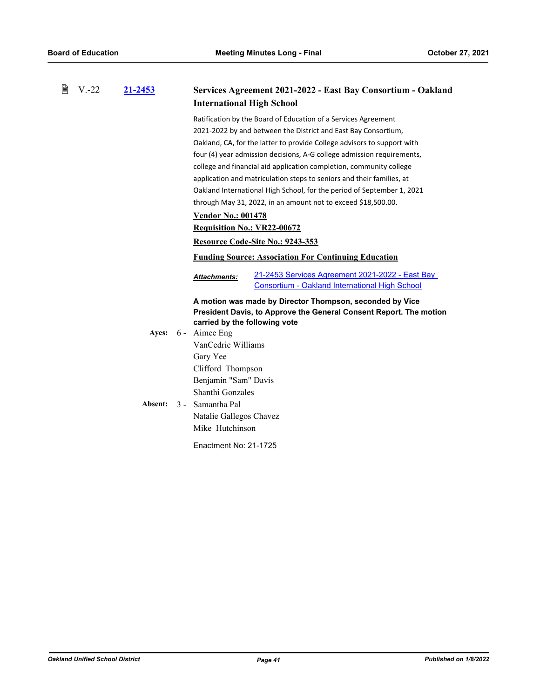| 閶 | $V.-22$ | <u>21-2453</u> |                                    | Services Agreement 2021-2022 - East Bay Consortium - Oakland            |
|---|---------|----------------|------------------------------------|-------------------------------------------------------------------------|
|   |         |                | <b>International High School</b>   |                                                                         |
|   |         |                |                                    | Ratification by the Board of Education of a Services Agreement          |
|   |         |                |                                    | 2021-2022 by and between the District and East Bay Consortium,          |
|   |         |                |                                    | Oakland, CA, for the latter to provide College advisors to support with |
|   |         |                |                                    | four (4) year admission decisions, A-G college admission requirements,  |
|   |         |                |                                    | college and financial aid application completion, community college     |
|   |         |                |                                    | application and matriculation steps to seniors and their families, at   |
|   |         |                |                                    | Oakland International High School, for the period of September 1, 2021  |
|   |         |                |                                    | through May 31, 2022, in an amount not to exceed \$18,500.00.           |
|   |         |                | <b>Vendor No.: 001478</b>          |                                                                         |
|   |         |                | <b>Requisition No.: VR22-00672</b> |                                                                         |
|   |         |                |                                    | Resource Code-Site No.: 9243-353                                        |
|   |         |                |                                    | <b>Funding Source: Association For Continuing Education</b>             |
|   |         |                | <b>Attachments:</b>                | 21-2453 Services Agreement 2021-2022 - East Bay                         |
|   |         |                |                                    | Consortium - Oakland International High School                          |
|   |         |                |                                    | A motion was made by Director Thompson, seconded by Vice                |
|   |         |                |                                    | President Davis, to Approve the General Consent Report. The motion      |
|   |         |                | carried by the following vote      |                                                                         |
|   |         |                | Ayes: 6 - Aimee Eng                |                                                                         |
|   |         |                | VanCedric Williams                 |                                                                         |
|   |         |                | Gary Yee                           |                                                                         |
|   |         |                | Clifford Thompson                  |                                                                         |
|   |         |                | Benjamin "Sam" Davis               |                                                                         |
|   |         |                | Shanthi Gonzales                   |                                                                         |
|   |         | Absent:        | 3 - Samantha Pal                   |                                                                         |
|   |         |                | Natalie Gallegos Chavez            |                                                                         |
|   |         |                | Mike Hutchinson                    |                                                                         |
|   |         |                | Enactment No: 21-1725              |                                                                         |
|   |         |                |                                    |                                                                         |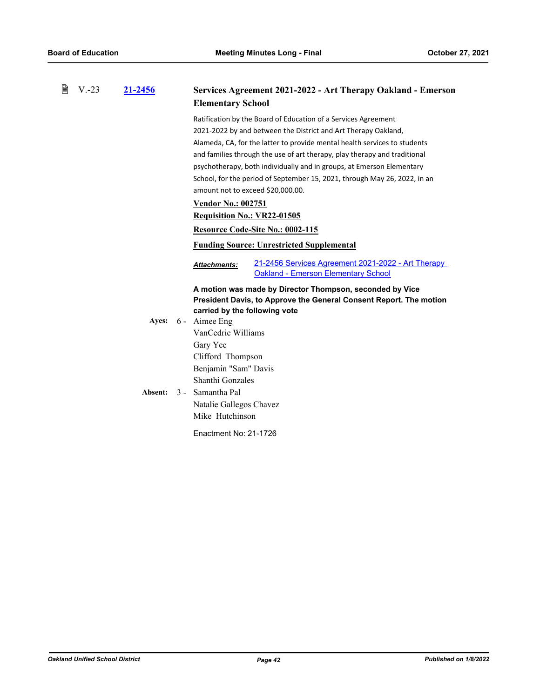| 閶 | $V - 23$ | 21-2456 | Services Agreement 2021-2022 - Art Therapy Oakland - Emerson<br><b>Elementary School</b>                                                                                                                                                                                                                                                                                                                                                                                              |
|---|----------|---------|---------------------------------------------------------------------------------------------------------------------------------------------------------------------------------------------------------------------------------------------------------------------------------------------------------------------------------------------------------------------------------------------------------------------------------------------------------------------------------------|
|   |          |         | Ratification by the Board of Education of a Services Agreement<br>2021-2022 by and between the District and Art Therapy Oakland,<br>Alameda, CA, for the latter to provide mental health services to students<br>and families through the use of art therapy, play therapy and traditional<br>psychotherapy, both individually and in groups, at Emerson Elementary<br>School, for the period of September 15, 2021, through May 26, 2022, in an<br>amount not to exceed \$20,000.00. |
|   |          |         | <b>Vendor No.: 002751</b>                                                                                                                                                                                                                                                                                                                                                                                                                                                             |
|   |          |         | <b>Requisition No.: VR22-01505</b>                                                                                                                                                                                                                                                                                                                                                                                                                                                    |
|   |          |         | Resource Code-Site No.: 0002-115                                                                                                                                                                                                                                                                                                                                                                                                                                                      |
|   |          |         | <b>Funding Source: Unrestricted Supplemental</b>                                                                                                                                                                                                                                                                                                                                                                                                                                      |
|   |          |         | 21-2456 Services Agreement 2021-2022 - Art Therapy<br><b>Attachments:</b><br><b>Oakland - Emerson Elementary School</b>                                                                                                                                                                                                                                                                                                                                                               |
|   |          |         | A motion was made by Director Thompson, seconded by Vice<br>President Davis, to Approve the General Consent Report. The motion<br>carried by the following vote                                                                                                                                                                                                                                                                                                                       |
|   |          |         | Ayes: 6 - Aimee Eng                                                                                                                                                                                                                                                                                                                                                                                                                                                                   |
|   |          |         | VanCedric Williams                                                                                                                                                                                                                                                                                                                                                                                                                                                                    |
|   |          |         | Gary Yee<br>Clifford Thompson<br>Benjamin "Sam" Davis                                                                                                                                                                                                                                                                                                                                                                                                                                 |
|   |          |         | Shanthi Gonzales                                                                                                                                                                                                                                                                                                                                                                                                                                                                      |
|   |          | Absent: | 3 - Samantha Pal                                                                                                                                                                                                                                                                                                                                                                                                                                                                      |
|   |          |         | Natalie Gallegos Chavez<br>Mike Hutchinson                                                                                                                                                                                                                                                                                                                                                                                                                                            |
|   |          |         | Enactment No: 21-1726                                                                                                                                                                                                                                                                                                                                                                                                                                                                 |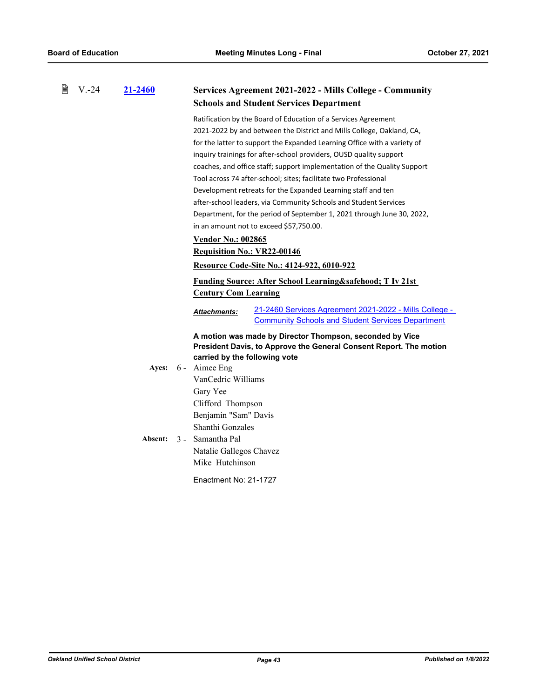| B | $V.-24$ | 21-2460          |                                                                                                                                                                                                                                              | Services Agreement 2021-2022 - Mills College - Community                                                                       |
|---|---------|------------------|----------------------------------------------------------------------------------------------------------------------------------------------------------------------------------------------------------------------------------------------|--------------------------------------------------------------------------------------------------------------------------------|
|   |         |                  |                                                                                                                                                                                                                                              | <b>Schools and Student Services Department</b>                                                                                 |
|   |         |                  |                                                                                                                                                                                                                                              | Ratification by the Board of Education of a Services Agreement                                                                 |
|   |         |                  |                                                                                                                                                                                                                                              | 2021-2022 by and between the District and Mills College, Oakland, CA,                                                          |
|   |         |                  |                                                                                                                                                                                                                                              | for the latter to support the Expanded Learning Office with a variety of                                                       |
|   |         |                  |                                                                                                                                                                                                                                              | inquiry trainings for after-school providers, OUSD quality support                                                             |
|   |         |                  |                                                                                                                                                                                                                                              | coaches, and office staff; support implementation of the Quality Support                                                       |
|   |         |                  |                                                                                                                                                                                                                                              | Tool across 74 after-school; sites; facilitate two Professional                                                                |
|   |         |                  |                                                                                                                                                                                                                                              | Development retreats for the Expanded Learning staff and ten                                                                   |
|   |         |                  |                                                                                                                                                                                                                                              | after-school leaders, via Community Schools and Student Services                                                               |
|   |         |                  |                                                                                                                                                                                                                                              | Department, for the period of September 1, 2021 through June 30, 2022,                                                         |
|   |         |                  |                                                                                                                                                                                                                                              | in an amount not to exceed \$57,750.00.                                                                                        |
|   |         |                  | <b>Vendor No.: 002865</b>                                                                                                                                                                                                                    |                                                                                                                                |
|   |         |                  | <b>Requisition No.: VR22-00146</b>                                                                                                                                                                                                           |                                                                                                                                |
|   |         |                  |                                                                                                                                                                                                                                              | <b>Resource Code-Site No.: 4124-922, 6010-922</b>                                                                              |
|   |         |                  |                                                                                                                                                                                                                                              | <b>Funding Source: After School Learning&amp;safehood T Iv 21st</b>                                                            |
|   |         |                  | <b>Century Com Learning</b>                                                                                                                                                                                                                  |                                                                                                                                |
|   |         |                  | <b>Attachments:</b>                                                                                                                                                                                                                          | 21-2460 Services Agreement 2021-2022 - Mills College -<br><b>Community Schools and Student Services Department</b>             |
|   |         | Ayes:<br>Absent: | carried by the following vote<br>6 - Aimee Eng<br>VanCedric Williams<br>Gary Yee<br>Clifford Thompson<br>Benjamin "Sam" Davis<br>Shanthi Gonzales<br>3 - Samantha Pal<br>Natalie Gallegos Chavez<br>Mike Hutchinson<br>Enactment No: 21-1727 | A motion was made by Director Thompson, seconded by Vice<br>President Davis, to Approve the General Consent Report. The motion |
|   |         |                  |                                                                                                                                                                                                                                              |                                                                                                                                |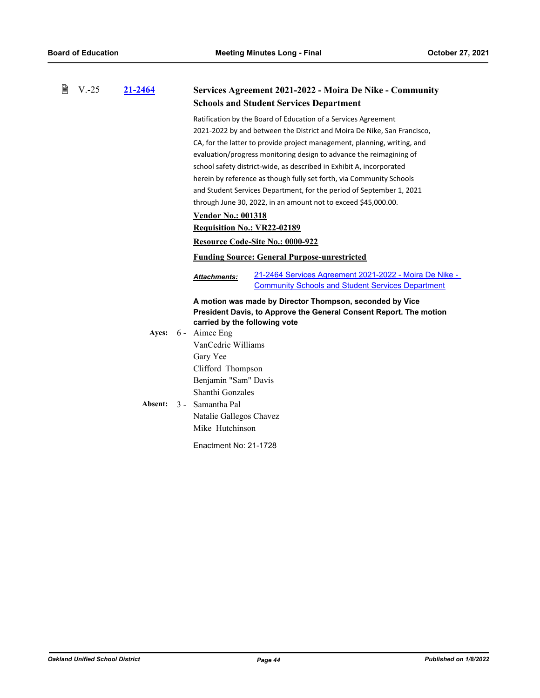| B | $V.-25$ | 21-2464 | <b>Services Agreement 2021-2022 - Moira De Nike - Community</b>                                                                           |
|---|---------|---------|-------------------------------------------------------------------------------------------------------------------------------------------|
|   |         |         | <b>Schools and Student Services Department</b>                                                                                            |
|   |         |         | Ratification by the Board of Education of a Services Agreement                                                                            |
|   |         |         | 2021-2022 by and between the District and Moira De Nike, San Francisco,                                                                   |
|   |         |         | CA, for the latter to provide project management, planning, writing, and                                                                  |
|   |         |         | evaluation/progress monitoring design to advance the reimagining of                                                                       |
|   |         |         | school safety district-wide, as described in Exhibit A, incorporated                                                                      |
|   |         |         | herein by reference as though fully set forth, via Community Schools                                                                      |
|   |         |         | and Student Services Department, for the period of September 1, 2021                                                                      |
|   |         |         | through June 30, 2022, in an amount not to exceed \$45,000.00.                                                                            |
|   |         |         | <b>Vendor No.: 001318</b>                                                                                                                 |
|   |         |         | <b>Requisition No.: VR22-02189</b>                                                                                                        |
|   |         |         | Resource Code-Site No.: 0000-922                                                                                                          |
|   |         |         | <b>Funding Source: General Purpose-unrestricted</b>                                                                                       |
|   |         |         | 21-2464 Services Agreement 2021-2022 - Moira De Nike -<br><b>Attachments:</b><br><b>Community Schools and Student Services Department</b> |
|   |         |         |                                                                                                                                           |
|   |         |         | A motion was made by Director Thompson, seconded by Vice                                                                                  |
|   |         |         | President Davis, to Approve the General Consent Report. The motion<br>carried by the following vote                                       |
|   |         |         | Ayes: 6 - Aimee Eng                                                                                                                       |
|   |         |         | VanCedric Williams                                                                                                                        |
|   |         |         | Gary Yee                                                                                                                                  |
|   |         |         | Clifford Thompson                                                                                                                         |
|   |         |         | Benjamin "Sam" Davis                                                                                                                      |
|   |         |         | Shanthi Gonzales                                                                                                                          |
|   |         | Absent: | 3 - Samantha Pal                                                                                                                          |
|   |         |         | Natalie Gallegos Chavez                                                                                                                   |
|   |         |         | Mike Hutchinson                                                                                                                           |
|   |         |         | Enactment No: 21-1728                                                                                                                     |
|   |         |         |                                                                                                                                           |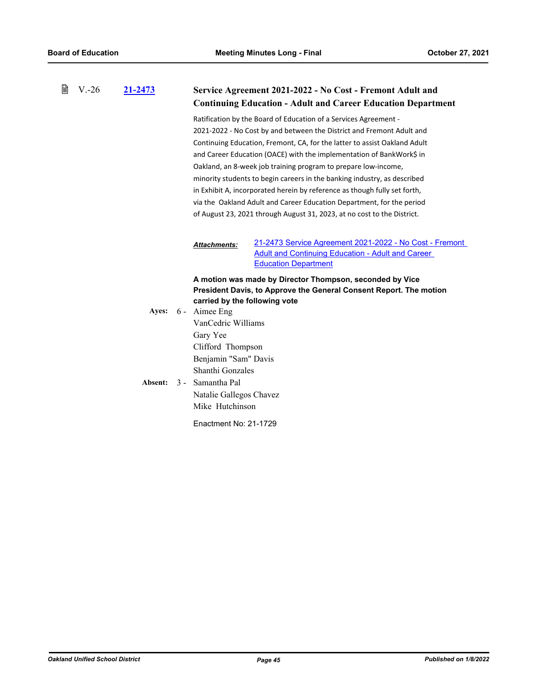| 誾 | $V - 26$ |         |                           |                                                                                                                                                                                                                                                                                                                                                                                                                                                                                                                                                                                                                                                                               |
|---|----------|---------|---------------------------|-------------------------------------------------------------------------------------------------------------------------------------------------------------------------------------------------------------------------------------------------------------------------------------------------------------------------------------------------------------------------------------------------------------------------------------------------------------------------------------------------------------------------------------------------------------------------------------------------------------------------------------------------------------------------------|
|   |          | 21-2473 |                           | Service Agreement 2021-2022 - No Cost - Fremont Adult and<br><b>Continuing Education - Adult and Career Education Department</b>                                                                                                                                                                                                                                                                                                                                                                                                                                                                                                                                              |
|   |          |         |                           | Ratification by the Board of Education of a Services Agreement -<br>2021-2022 - No Cost by and between the District and Fremont Adult and<br>Continuing Education, Fremont, CA, for the latter to assist Oakland Adult<br>and Career Education (OACE) with the implementation of BankWork\$ in<br>Oakland, an 8-week job training program to prepare low-income,<br>minority students to begin careers in the banking industry, as described<br>in Exhibit A, incorporated herein by reference as though fully set forth,<br>via the Oakland Adult and Career Education Department, for the period<br>of August 23, 2021 through August 31, 2023, at no cost to the District. |
|   |          |         |                           | 21-2473 Service Agreement 2021-2022 - No Cost - Fremont<br><b>Attachments:</b><br><b>Adult and Continuing Education - Adult and Career</b><br><b>Education Department</b>                                                                                                                                                                                                                                                                                                                                                                                                                                                                                                     |
|   |          | Ayes:   | 6 - Aimee Eng<br>Gary Yee | A motion was made by Director Thompson, seconded by Vice<br>President Davis, to Approve the General Consent Report. The motion<br>carried by the following vote<br>VanCedric Williams<br>Clifford Thompson<br>Benjamin "Sam" Davis<br>Shanthi Gonzales                                                                                                                                                                                                                                                                                                                                                                                                                        |

Absent: 3 - Samantha Pal Natalie Gallegos Chavez Mike Hutchinson

Enactment No: 21-1729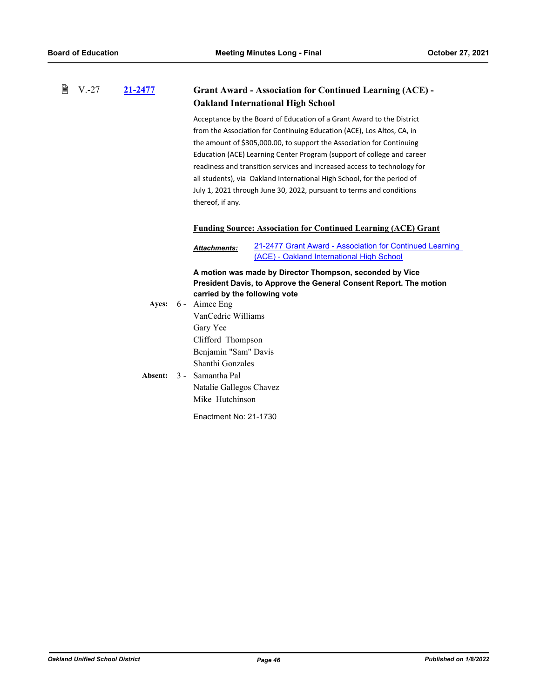#### 昏 V.-27 **[21-2477](http://ousd.legistar.com/gateway.aspx?m=l&id=/matter.aspx?key=53611) Grant Award - Association for Continued Learning (ACE) - Oakland International High School**

Acceptance by the Board of Education of a Grant Award to the District from the Association for Continuing Education (ACE), Los Altos, CA, in the amount of \$305,000.00, to support the Association for Continuing Education (ACE) Learning Center Program (support of college and career readiness and transition services and increased access to technology for all students), via Oakland International High School, for the period of July 1, 2021 through June 30, 2022, pursuant to terms and conditions thereof, if any.

## **Funding Source: Association for Continued Learning (ACE) Grant**

[21-2477 Grant Award - Association for Continued Learning](http://ousd.legistar.com/gateway.aspx?M=F&ID=101181.pdf)  (ACE) - Oakland International High School *Attachments:*

**A motion was made by Director Thompson, seconded by Vice President Davis, to Approve the General Consent Report. The motion carried by the following vote**

Ayes: 6 - Aimee Eng VanCedric Williams Gary Yee Clifford Thompson Benjamin "Sam" Davis Shanthi Gonzales Absent: 3 - Samantha Pal Natalie Gallegos Chavez Mike Hutchinson Enactment No: 21-1730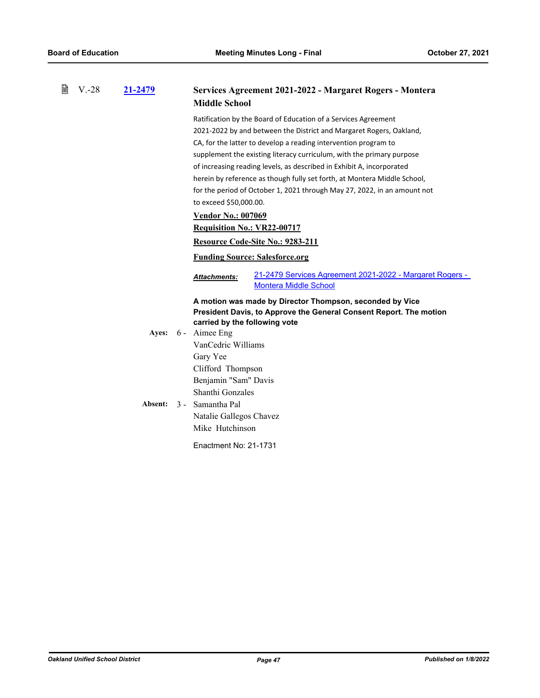| 窅 | $V.-28$ | 21-2479 | Services Agreement 2021-2022 - Margaret Rogers - Montera<br><b>Middle School</b>                                         |
|---|---------|---------|--------------------------------------------------------------------------------------------------------------------------|
|   |         |         | Ratification by the Board of Education of a Services Agreement                                                           |
|   |         |         | 2021-2022 by and between the District and Margaret Rogers, Oakland,                                                      |
|   |         |         | CA, for the latter to develop a reading intervention program to                                                          |
|   |         |         | supplement the existing literacy curriculum, with the primary purpose                                                    |
|   |         |         | of increasing reading levels, as described in Exhibit A, incorporated                                                    |
|   |         |         | herein by reference as though fully set forth, at Montera Middle School,                                                 |
|   |         |         | for the period of October 1, 2021 through May 27, 2022, in an amount not                                                 |
|   |         |         | to exceed \$50,000.00.                                                                                                   |
|   |         |         | <b>Vendor No.: 007069</b>                                                                                                |
|   |         |         | <b>Requisition No.: VR22-00717</b>                                                                                       |
|   |         |         | Resource Code-Site No.: 9283-211                                                                                         |
|   |         |         | <b>Funding Source: Salesforce.org</b>                                                                                    |
|   |         |         | <u> 21-2479 Services Agreement 2021-2022 - Margaret Rogers - </u><br><b>Attachments:</b><br><b>Montera Middle School</b> |
|   |         |         | A motion was made by Director Thompson, seconded by Vice                                                                 |
|   |         |         | President Davis, to Approve the General Consent Report. The motion                                                       |
|   |         |         | carried by the following vote                                                                                            |
|   |         | Ayes:   | 6 - Aimee Eng                                                                                                            |
|   |         |         | VanCedric Williams                                                                                                       |
|   |         |         | Gary Yee                                                                                                                 |
|   |         |         | Clifford Thompson                                                                                                        |
|   |         |         | Benjamin "Sam" Davis                                                                                                     |
|   |         |         | Shanthi Gonzales                                                                                                         |
|   |         | Absent: | 3 - Samantha Pal                                                                                                         |
|   |         |         | Natalie Gallegos Chavez                                                                                                  |
|   |         |         | Mike Hutchinson                                                                                                          |
|   |         |         | Enactment No: 21-1731                                                                                                    |
|   |         |         |                                                                                                                          |
|   |         |         |                                                                                                                          |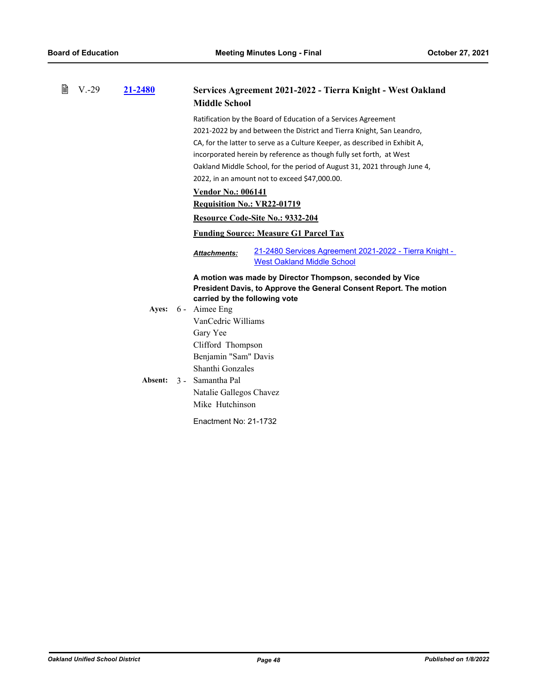| 閆 | $V - 29$ | 21-2480 | Services Agreement 2021-2022 - Tierra Knight - West Oakland<br><b>Middle School</b>                                |
|---|----------|---------|--------------------------------------------------------------------------------------------------------------------|
|   |          |         | Ratification by the Board of Education of a Services Agreement                                                     |
|   |          |         | 2021-2022 by and between the District and Tierra Knight, San Leandro,                                              |
|   |          |         | CA, for the latter to serve as a Culture Keeper, as described in Exhibit A,                                        |
|   |          |         | incorporated herein by reference as though fully set forth, at West                                                |
|   |          |         | Oakland Middle School, for the period of August 31, 2021 through June 4,                                           |
|   |          |         | 2022, in an amount not to exceed \$47,000.00.                                                                      |
|   |          |         | <b>Vendor No.: 006141</b>                                                                                          |
|   |          |         | <b>Requisition No.: VR22-01719</b>                                                                                 |
|   |          |         | Resource Code-Site No.: 9332-204                                                                                   |
|   |          |         | <b>Funding Source: Measure G1 Parcel Tax</b>                                                                       |
|   |          |         | 21-2480 Services Agreement 2021-2022 - Tierra Knight -<br><b>Attachments:</b><br><b>West Oakland Middle School</b> |
|   |          |         | A motion was made by Director Thompson, seconded by Vice                                                           |
|   |          |         | President Davis, to Approve the General Consent Report. The motion                                                 |
|   |          |         | carried by the following vote                                                                                      |
|   |          | Ayes:   | 6 - Aimee Eng                                                                                                      |
|   |          |         | VanCedric Williams                                                                                                 |
|   |          |         | Gary Yee                                                                                                           |
|   |          |         | Clifford Thompson                                                                                                  |
|   |          |         | Benjamin "Sam" Davis                                                                                               |
|   |          |         | Shanthi Gonzales                                                                                                   |
|   |          | Absent: | 3 - Samantha Pal                                                                                                   |
|   |          |         | Natalie Gallegos Chavez                                                                                            |
|   |          |         | Mike Hutchinson                                                                                                    |
|   |          |         | Enactment No: 21-1732                                                                                              |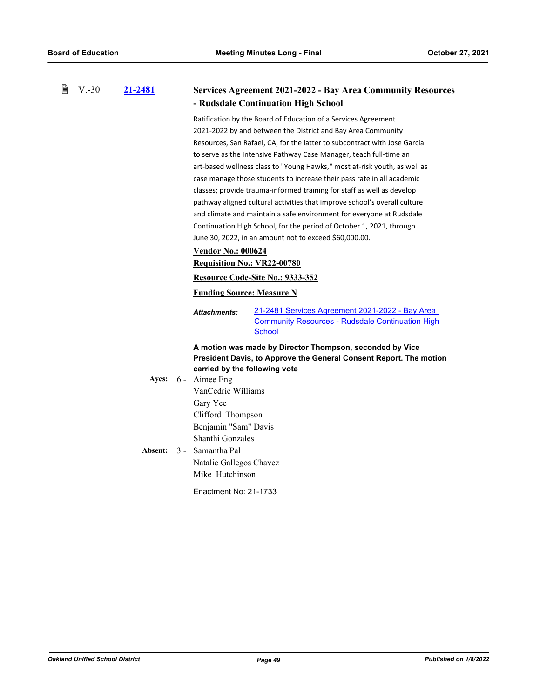| 閆 | $V.-30$ | 21-2481 |                                                | <b>Services Agreement 2021-2022 - Bay Area Community Resources</b><br>- Rudsdale Continuation High School                   |
|---|---------|---------|------------------------------------------------|-----------------------------------------------------------------------------------------------------------------------------|
|   |         |         |                                                | Ratification by the Board of Education of a Services Agreement                                                              |
|   |         |         |                                                | 2021-2022 by and between the District and Bay Area Community                                                                |
|   |         |         |                                                | Resources, San Rafael, CA, for the latter to subcontract with Jose Garcia                                                   |
|   |         |         |                                                | to serve as the Intensive Pathway Case Manager, teach full-time an                                                          |
|   |         |         |                                                | art-based wellness class to "Young Hawks," most at-risk youth, as well as                                                   |
|   |         |         |                                                | case manage those students to increase their pass rate in all academic                                                      |
|   |         |         |                                                | classes; provide trauma-informed training for staff as well as develop                                                      |
|   |         |         |                                                | pathway aligned cultural activities that improve school's overall culture                                                   |
|   |         |         |                                                | and climate and maintain a safe environment for everyone at Rudsdale                                                        |
|   |         |         |                                                | Continuation High School, for the period of October 1, 2021, through                                                        |
|   |         |         |                                                | June 30, 2022, in an amount not to exceed \$60,000.00.                                                                      |
|   |         |         | <b>Vendor No.: 000624</b>                      |                                                                                                                             |
|   |         |         | <b>Requisition No.: VR22-00780</b>             |                                                                                                                             |
|   |         |         |                                                | Resource Code-Site No.: 9333-352                                                                                            |
|   |         |         | <b>Funding Source: Measure N</b>               |                                                                                                                             |
|   |         |         |                                                |                                                                                                                             |
|   |         |         | <b>Attachments:</b>                            | <u>21-2481 Services Agreement 2021-2022 - Bay Area</u><br><b>Community Resources - Rudsdale Continuation High</b><br>School |
|   |         |         |                                                |                                                                                                                             |
|   |         |         |                                                | A motion was made by Director Thompson, seconded by Vice                                                                    |
|   |         |         |                                                | President Davis, to Approve the General Consent Report. The motion                                                          |
|   |         | Ayes:   | carried by the following vote<br>6 - Aimee Eng |                                                                                                                             |
|   |         |         | VanCedric Williams                             |                                                                                                                             |
|   |         |         |                                                |                                                                                                                             |
|   |         |         | Gary Yee                                       |                                                                                                                             |
|   |         |         | Clifford Thompson                              |                                                                                                                             |
|   |         |         | Benjamin "Sam" Davis                           |                                                                                                                             |
|   |         |         | Shanthi Gonzales                               |                                                                                                                             |
|   |         | Absent: | 3 - Samantha Pal                               |                                                                                                                             |
|   |         |         | Natalie Gallegos Chavez                        |                                                                                                                             |
|   |         |         | Mike Hutchinson                                |                                                                                                                             |
|   |         |         | Enactment No: 21-1733                          |                                                                                                                             |
|   |         |         |                                                |                                                                                                                             |
|   |         |         |                                                |                                                                                                                             |
|   |         |         |                                                |                                                                                                                             |
|   |         |         |                                                |                                                                                                                             |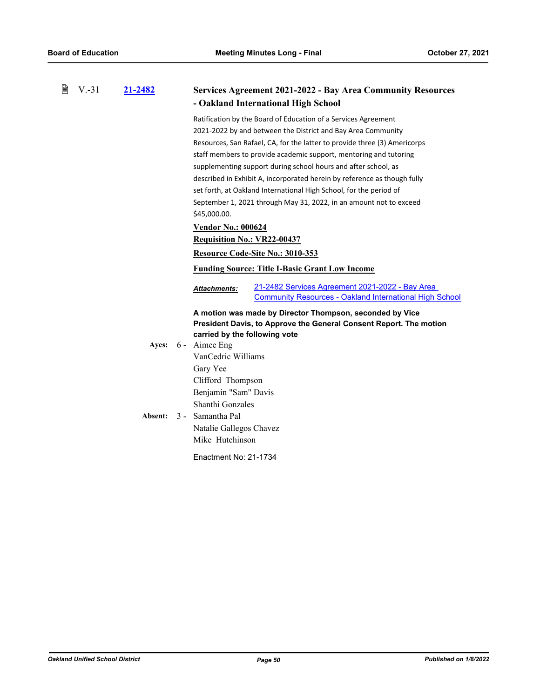| B<br>$V.-31$ | 21-2482 | <b>Services Agreement 2021-2022 - Bay Area Community Resources</b>                                                                       |
|--------------|---------|------------------------------------------------------------------------------------------------------------------------------------------|
|              |         | - Oakland International High School                                                                                                      |
|              |         | Ratification by the Board of Education of a Services Agreement                                                                           |
|              |         | 2021-2022 by and between the District and Bay Area Community                                                                             |
|              |         | Resources, San Rafael, CA, for the latter to provide three (3) Americorps                                                                |
|              |         | staff members to provide academic support, mentoring and tutoring                                                                        |
|              |         | supplementing support during school hours and after school, as                                                                           |
|              |         | described in Exhibit A, incorporated herein by reference as though fully                                                                 |
|              |         | set forth, at Oakland International High School, for the period of                                                                       |
|              |         | September 1, 2021 through May 31, 2022, in an amount not to exceed                                                                       |
|              |         | \$45,000.00.                                                                                                                             |
|              |         | <b>Vendor No.: 000624</b>                                                                                                                |
|              |         | Requisition No.: VR22-00437                                                                                                              |
|              |         | Resource Code-Site No.: 3010-353                                                                                                         |
|              |         | <b>Funding Source: Title I-Basic Grant Low Income</b>                                                                                    |
|              |         | 21-2482 Services Agreement 2021-2022 - Bay Area<br><b>Attachments:</b><br><b>Community Resources - Oakland International High School</b> |
|              |         | A motion was made by Director Thompson, seconded by Vice                                                                                 |
|              |         | President Davis, to Approve the General Consent Report. The motion                                                                       |
|              |         | carried by the following vote                                                                                                            |
|              | Ayes:   | 6 - Aimee Eng                                                                                                                            |
|              |         | VanCedric Williams                                                                                                                       |
|              |         |                                                                                                                                          |
|              |         | Gary Yee                                                                                                                                 |
|              |         | Clifford Thompson                                                                                                                        |
|              |         | Benjamin "Sam" Davis                                                                                                                     |
|              |         | Shanthi Gonzales                                                                                                                         |
|              | Absent: | 3 - Samantha Pal                                                                                                                         |
|              |         | Natalie Gallegos Chavez                                                                                                                  |
|              |         | Mike Hutchinson                                                                                                                          |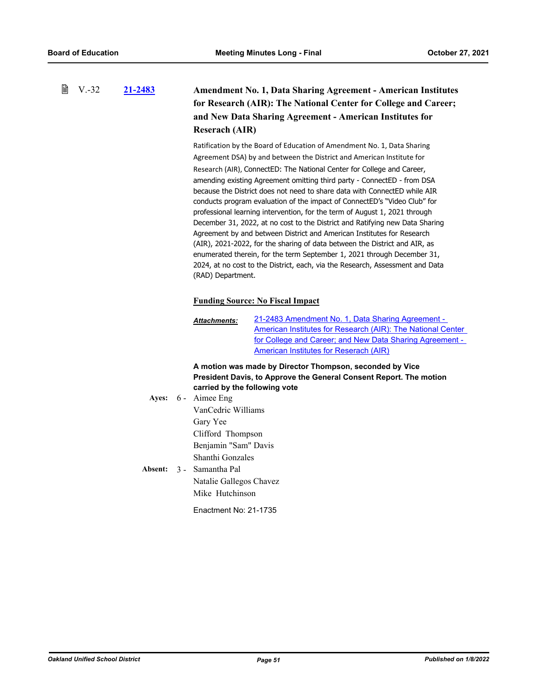#### 昏 V.-32 **[21-2483](http://ousd.legistar.com/gateway.aspx?m=l&id=/matter.aspx?key=53617) Amendment No. 1, Data Sharing Agreement - American Institutes for Research (AIR): The National Center for College and Career; and New Data Sharing Agreement - American Institutes for Reserach (AIR)**

Ratification by the Board of Education of Amendment No. 1, Data Sharing Agreement DSA) by and between the District and American Institute for Research (AIR), ConnectED: The National Center for College and Career, amending existing Agreement omitting third party - ConnectED - from DSA because the District does not need to share data with ConnectED while AIR conducts program evaluation of the impact of ConnectED's "Video Club" for professional learning intervention, for the term of August 1, 2021 through December 31, 2022, at no cost to the District and Ratifying new Data Sharing Agreement by and between District and American Institutes for Research (AIR), 2021-2022, for the sharing of data between the District and AIR, as enumerated therein, for the term September 1, 2021 through December 31, 2024, at no cost to the District, each, via the Research, Assessment and Data (RAD) Department.

## **Funding Source: No Fiscal Impact**

21-2483 Amendment No. 1, Data Sharing Agreement - [American Institutes for Research \(AIR\): The National Center](http://ousd.legistar.com/gateway.aspx?M=F&ID=101182.pdf)  for College and Career; and New Data Sharing Agreement - American Institutes for Reserach (AIR) *Attachments:*

**A motion was made by Director Thompson, seconded by Vice President Davis, to Approve the General Consent Report. The motion carried by the following vote**

Ayes: 6 - Aimee Eng VanCedric Williams Gary Yee Clifford Thompson Benjamin "Sam" Davis Shanthi Gonzales Absent: 3 - Samantha Pal

Natalie Gallegos Chavez Mike Hutchinson

Enactment No: 21-1735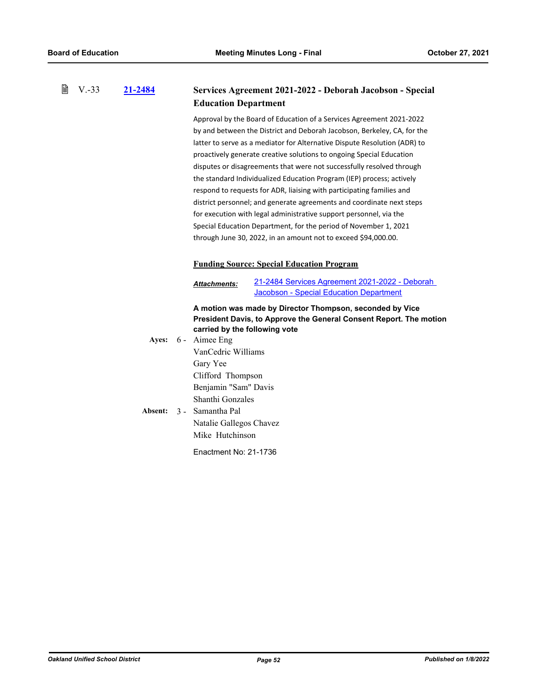#### 昏 V.-33 **[21-2484](http://ousd.legistar.com/gateway.aspx?m=l&id=/matter.aspx?key=53618) Services Agreement 2021-2022 - Deborah Jacobson - Special Education Department**

Approval by the Board of Education of a Services Agreement 2021-2022 by and between the District and Deborah Jacobson, Berkeley, CA, for the latter to serve as a mediator for Alternative Dispute Resolution (ADR) to proactively generate creative solutions to ongoing Special Education disputes or disagreements that were not successfully resolved through the standard Individualized Education Program (IEP) process; actively respond to requests for ADR, liaising with participating families and district personnel; and generate agreements and coordinate next steps for execution with legal administrative support personnel, via the Special Education Department, for the period of November 1, 2021 through June 30, 2022, in an amount not to exceed \$94,000.00.

## **Funding Source: Special Education Program**

[21-2484 Services Agreement 2021-2022 - Deborah](http://ousd.legistar.com/gateway.aspx?M=F&ID=101187.pdf)  Jacobson - Special Education Department *Attachments:*

## **A motion was made by Director Thompson, seconded by Vice President Davis, to Approve the General Consent Report. The motion carried by the following vote**

- Ayes: 6 Aimee Eng VanCedric Williams Gary Yee Clifford Thompson Benjamin "Sam" Davis Shanthi Gonzales
- Absent: 3 Samantha Pal Natalie Gallegos Chavez Mike Hutchinson

Enactment No: 21-1736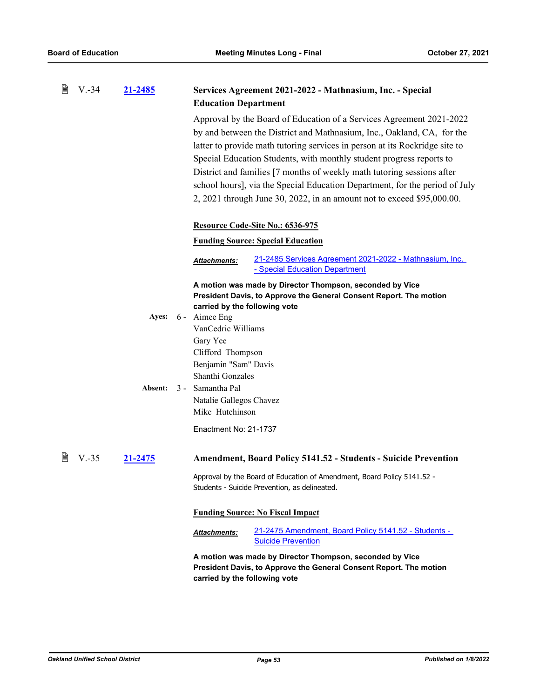| B | $V.-34$ | 21-2485          | Services Agreement 2021-2022 - Mathnasium, Inc. - Special                                                                                                                                                                                                                                                                                                                                                                                                                                                                                                               |
|---|---------|------------------|-------------------------------------------------------------------------------------------------------------------------------------------------------------------------------------------------------------------------------------------------------------------------------------------------------------------------------------------------------------------------------------------------------------------------------------------------------------------------------------------------------------------------------------------------------------------------|
|   |         |                  | <b>Education Department</b><br>Approval by the Board of Education of a Services Agreement 2021-2022<br>by and between the District and Mathnasium, Inc., Oakland, CA, for the<br>latter to provide math tutoring services in person at its Rockridge site to<br>Special Education Students, with monthly student progress reports to<br>District and families [7 months of weekly math tutoring sessions after<br>school hours], via the Special Education Department, for the period of July<br>2, 2021 through June 30, 2022, in an amount not to exceed \$95,000.00. |
|   |         |                  | Resource Code-Site No.: 6536-975                                                                                                                                                                                                                                                                                                                                                                                                                                                                                                                                        |
|   |         |                  | <b>Funding Source: Special Education</b>                                                                                                                                                                                                                                                                                                                                                                                                                                                                                                                                |
|   |         |                  | 21-2485 Services Agreement 2021-2022 - Mathnasium, Inc.<br><u>Attachments:</u><br>- Special Education Department                                                                                                                                                                                                                                                                                                                                                                                                                                                        |
|   |         | Ayes:<br>Absent: | A motion was made by Director Thompson, seconded by Vice<br>President Davis, to Approve the General Consent Report. The motion<br>carried by the following vote<br>6 - Aimee Eng<br>VanCedric Williams<br>Gary Yee<br>Clifford Thompson<br>Benjamin "Sam" Davis<br>Shanthi Gonzales<br>3 - Samantha Pal<br>Natalie Gallegos Chavez<br>Mike Hutchinson<br>Enactment No: 21-1737                                                                                                                                                                                          |
| 閆 | $V.-35$ | 21-2475          | <b>Amendment, Board Policy 5141.52 - Students - Suicide Prevention</b>                                                                                                                                                                                                                                                                                                                                                                                                                                                                                                  |
|   |         |                  | Approval by the Board of Education of Amendment, Board Policy 5141.52 -<br>Students - Suicide Prevention, as delineated.                                                                                                                                                                                                                                                                                                                                                                                                                                                |
|   |         |                  | <b>Funding Source: No Fiscal Impact</b>                                                                                                                                                                                                                                                                                                                                                                                                                                                                                                                                 |
|   |         |                  | 21-2475 Amendment, Board Policy 5141.52 - Students -<br><b>Attachments:</b><br><b>Suicide Prevention</b>                                                                                                                                                                                                                                                                                                                                                                                                                                                                |
|   |         |                  | A motion was made by Director Thompson, seconded by Vice<br>President Davis, to Approve the General Consent Report. The motion<br>carried by the following vote                                                                                                                                                                                                                                                                                                                                                                                                         |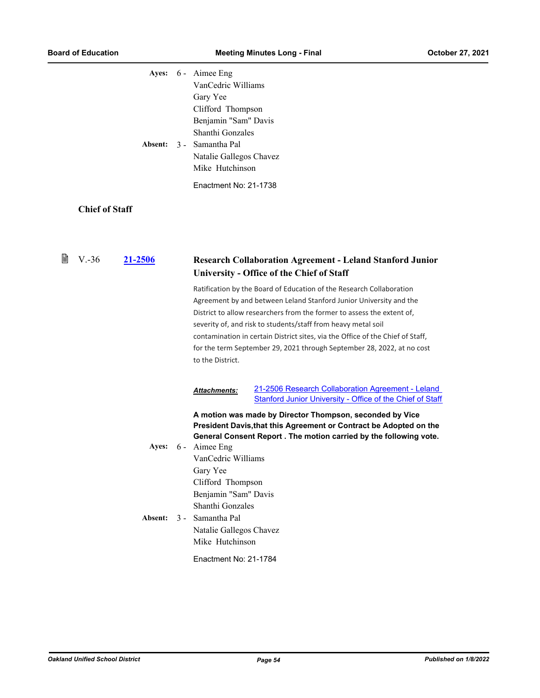|   |                       | Absent:          | Ayes: 6 - Aimee Eng<br>VanCedric Williams<br>Gary Yee<br>Clifford Thompson<br>Benjamin "Sam" Davis<br>Shanthi Gonzales<br>3 - Samantha Pal<br>Natalie Gallegos Chavez<br>Mike Hutchinson<br>Enactment No: 21-1738 |                                                                                                                                                                                                                                                                                                                                                                                                                                                   |
|---|-----------------------|------------------|-------------------------------------------------------------------------------------------------------------------------------------------------------------------------------------------------------------------|---------------------------------------------------------------------------------------------------------------------------------------------------------------------------------------------------------------------------------------------------------------------------------------------------------------------------------------------------------------------------------------------------------------------------------------------------|
|   | <b>Chief of Staff</b> |                  |                                                                                                                                                                                                                   |                                                                                                                                                                                                                                                                                                                                                                                                                                                   |
|   |                       |                  |                                                                                                                                                                                                                   |                                                                                                                                                                                                                                                                                                                                                                                                                                                   |
| 閆 | $V.-36$               | 21-2506          |                                                                                                                                                                                                                   | <b>Research Collaboration Agreement - Leland Stanford Junior</b><br><b>University - Office of the Chief of Staff</b>                                                                                                                                                                                                                                                                                                                              |
|   |                       |                  | to the District.                                                                                                                                                                                                  | Ratification by the Board of Education of the Research Collaboration<br>Agreement by and between Leland Stanford Junior University and the<br>District to allow researchers from the former to assess the extent of,<br>severity of, and risk to students/staff from heavy metal soil<br>contamination in certain District sites, via the Office of the Chief of Staff,<br>for the term September 29, 2021 through September 28, 2022, at no cost |
|   |                       |                  | <b>Attachments:</b>                                                                                                                                                                                               | 21-2506 Research Collaboration Agreement - Leland<br><b>Stanford Junior University - Office of the Chief of Staff</b>                                                                                                                                                                                                                                                                                                                             |
|   |                       | Ayes:<br>Absent: | 6 - Aimee Eng<br>VanCedric Williams<br>Gary Yee<br>Clifford Thompson<br>Benjamin "Sam" Davis<br>Shanthi Gonzales<br>3 - Samantha Pal<br>Natalie Gallegos Chavez<br>Mike Hutchinson                                | A motion was made by Director Thompson, seconded by Vice<br>President Davis, that this Agreement or Contract be Adopted on the<br>General Consent Report . The motion carried by the following vote.                                                                                                                                                                                                                                              |
|   |                       |                  | Enactment No: 21-1784                                                                                                                                                                                             |                                                                                                                                                                                                                                                                                                                                                                                                                                                   |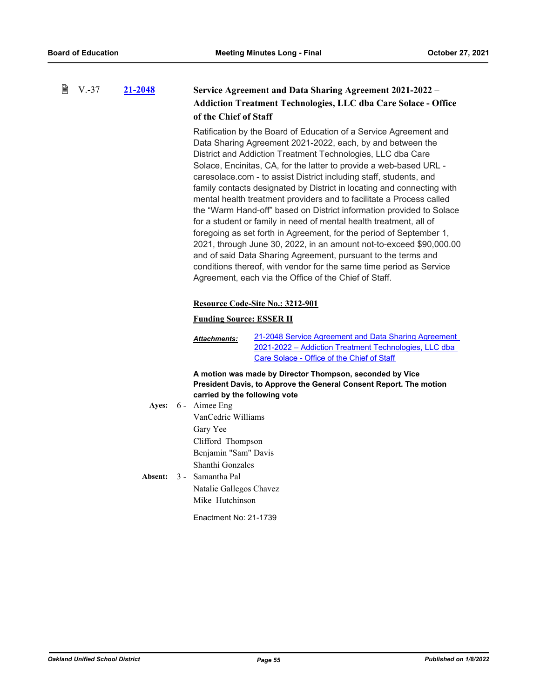| 誾 | $V.-37$ | 21-2048 | of the Chief of Staff                          | <b>Service Agreement and Data Sharing Agreement 2021-2022 -</b><br><b>Addiction Treatment Technologies, LLC dba Care Solace - Office</b>                                                                                                                                                                                                                                                                                                                                                                                                                                                                                                                                                                                                                                                                                                                                                                                                                                                  |
|---|---------|---------|------------------------------------------------|-------------------------------------------------------------------------------------------------------------------------------------------------------------------------------------------------------------------------------------------------------------------------------------------------------------------------------------------------------------------------------------------------------------------------------------------------------------------------------------------------------------------------------------------------------------------------------------------------------------------------------------------------------------------------------------------------------------------------------------------------------------------------------------------------------------------------------------------------------------------------------------------------------------------------------------------------------------------------------------------|
|   |         |         |                                                | Ratification by the Board of Education of a Service Agreement and<br>Data Sharing Agreement 2021-2022, each, by and between the<br>District and Addiction Treatment Technologies, LLC dba Care<br>Solace, Encinitas, CA, for the latter to provide a web-based URL -<br>caresolace.com - to assist District including staff, students, and<br>family contacts designated by District in locating and connecting with<br>mental health treatment providers and to facilitate a Process called<br>the "Warm Hand-off" based on District information provided to Solace<br>for a student or family in need of mental health treatment, all of<br>foregoing as set forth in Agreement, for the period of September 1,<br>2021, through June 30, 2022, in an amount not-to-exceed \$90,000.00<br>and of said Data Sharing Agreement, pursuant to the terms and<br>conditions thereof, with vendor for the same time period as Service<br>Agreement, each via the Office of the Chief of Staff. |
|   |         |         |                                                | Resource Code-Site No.: 3212-901                                                                                                                                                                                                                                                                                                                                                                                                                                                                                                                                                                                                                                                                                                                                                                                                                                                                                                                                                          |
|   |         |         | <b>Funding Source: ESSER II</b>                |                                                                                                                                                                                                                                                                                                                                                                                                                                                                                                                                                                                                                                                                                                                                                                                                                                                                                                                                                                                           |
|   |         |         | <u> Attachments:</u>                           | 21-2048 Service Agreement and Data Sharing Agreement<br>2021-2022 - Addiction Treatment Technologies, LLC dba<br>Care Solace - Office of the Chief of Staff                                                                                                                                                                                                                                                                                                                                                                                                                                                                                                                                                                                                                                                                                                                                                                                                                               |
|   |         |         |                                                | A motion was made by Director Thompson, seconded by Vice                                                                                                                                                                                                                                                                                                                                                                                                                                                                                                                                                                                                                                                                                                                                                                                                                                                                                                                                  |
|   |         |         |                                                | President Davis, to Approve the General Consent Report. The motion                                                                                                                                                                                                                                                                                                                                                                                                                                                                                                                                                                                                                                                                                                                                                                                                                                                                                                                        |
|   |         | Ayes:   | carried by the following vote<br>6 - Aimee Eng |                                                                                                                                                                                                                                                                                                                                                                                                                                                                                                                                                                                                                                                                                                                                                                                                                                                                                                                                                                                           |
|   |         |         | VanCedric Williams                             |                                                                                                                                                                                                                                                                                                                                                                                                                                                                                                                                                                                                                                                                                                                                                                                                                                                                                                                                                                                           |
|   |         |         | Gary Yee                                       |                                                                                                                                                                                                                                                                                                                                                                                                                                                                                                                                                                                                                                                                                                                                                                                                                                                                                                                                                                                           |
|   |         |         | Clifford Thompson                              |                                                                                                                                                                                                                                                                                                                                                                                                                                                                                                                                                                                                                                                                                                                                                                                                                                                                                                                                                                                           |
|   |         |         | Benjamin "Sam" Davis                           |                                                                                                                                                                                                                                                                                                                                                                                                                                                                                                                                                                                                                                                                                                                                                                                                                                                                                                                                                                                           |
|   |         |         | Shanthi Gonzales                               |                                                                                                                                                                                                                                                                                                                                                                                                                                                                                                                                                                                                                                                                                                                                                                                                                                                                                                                                                                                           |
|   |         | Absent: | 3 - Samantha Pal                               |                                                                                                                                                                                                                                                                                                                                                                                                                                                                                                                                                                                                                                                                                                                                                                                                                                                                                                                                                                                           |
|   |         |         | Natalie Gallegos Chavez                        |                                                                                                                                                                                                                                                                                                                                                                                                                                                                                                                                                                                                                                                                                                                                                                                                                                                                                                                                                                                           |
|   |         |         | Mike Hutchinson                                |                                                                                                                                                                                                                                                                                                                                                                                                                                                                                                                                                                                                                                                                                                                                                                                                                                                                                                                                                                                           |
|   |         |         | Enactment No: 21-1739                          |                                                                                                                                                                                                                                                                                                                                                                                                                                                                                                                                                                                                                                                                                                                                                                                                                                                                                                                                                                                           |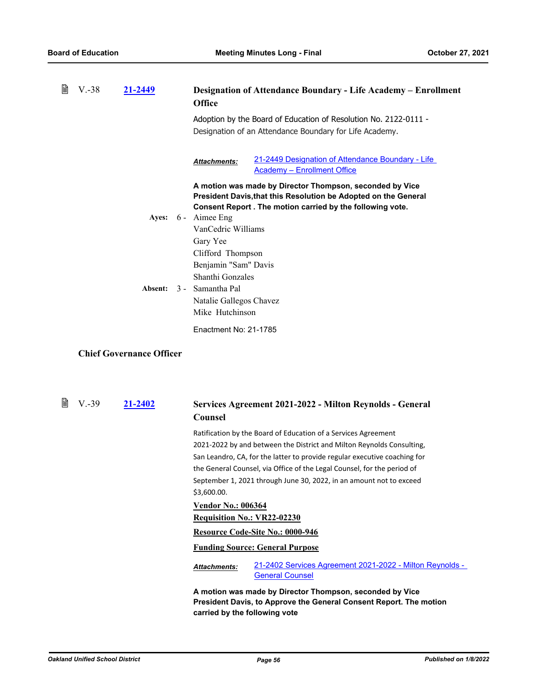| B | $V.-38$ | 21-2449 | Designation of Attendance Boundary - Life Academy – Enrollment<br><b>Office</b>                                                                                                           |
|---|---------|---------|-------------------------------------------------------------------------------------------------------------------------------------------------------------------------------------------|
|   |         |         | Adoption by the Board of Education of Resolution No. 2122-0111 -<br>Designation of an Attendance Boundary for Life Academy.                                                               |
|   |         |         | 21-2449 Designation of Attendance Boundary - Life<br><b>Attachments:</b><br><b>Academy - Enrollment Office</b>                                                                            |
|   |         |         | A motion was made by Director Thompson, seconded by Vice<br>President Davis, that this Resolution be Adopted on the General<br>Consent Report . The motion carried by the following vote. |
|   |         | Ayes:   | 6 - Aimee Eng                                                                                                                                                                             |
|   |         |         | VanCedric Williams                                                                                                                                                                        |
|   |         |         | Gary Yee                                                                                                                                                                                  |
|   |         |         | Clifford Thompson                                                                                                                                                                         |
|   |         |         | Benjamin "Sam" Davis                                                                                                                                                                      |
|   |         |         | Shanthi Gonzales                                                                                                                                                                          |
|   |         | Absent: | 3 - Samantha Pal                                                                                                                                                                          |
|   |         |         | Natalie Gallegos Chavez                                                                                                                                                                   |
|   |         |         | Mike Hutchinson                                                                                                                                                                           |
|   |         |         | Enactment No: 21-1785                                                                                                                                                                     |

# **Chief Governance Officer**

| <b>■ V.-39</b> | 21-2402 | Services Agreement 2021-2022 - Milton Reynolds - General |
|----------------|---------|----------------------------------------------------------|
|                |         | Counsel                                                  |

Ratification by the Board of Education of a Services Agreement 2021-2022 by and between the District and Milton Reynolds Consulting, San Leandro, CA, for the latter to provide regular executive coaching for the General Counsel, via Office of the Legal Counsel, for the period of September 1, 2021 through June 30, 2022, in an amount not to exceed \$3,600.00.

#### **Vendor No.: 006364**

### **Requisition No.: VR22-02230**

### **Resource Code-Site No.: 0000-946**

# **Funding Source: General Purpose**

[21-2402 Services Agreement 2021-2022 - Milton Reynolds -](http://ousd.legistar.com/gateway.aspx?M=F&ID=101200.pdf)  General Counsel *Attachments:*

**A motion was made by Director Thompson, seconded by Vice President Davis, to Approve the General Consent Report. The motion carried by the following vote**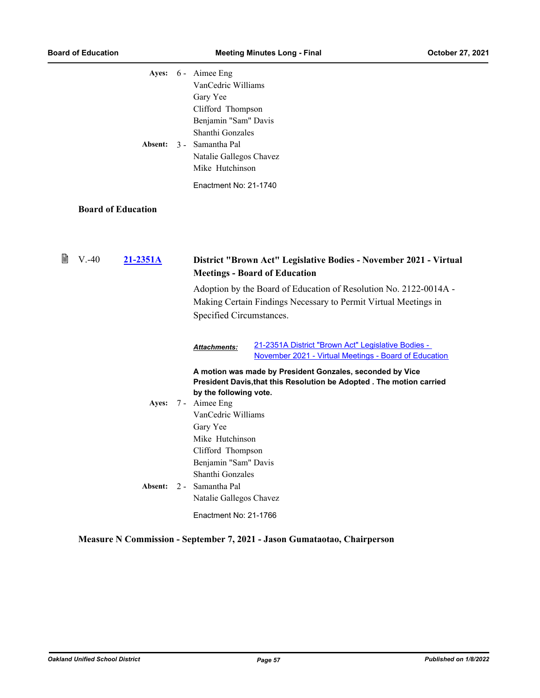|   |                           | Ayes: 6 - Aimee Eng<br>VanCedric Williams<br>Gary Yee<br>Clifford Thompson<br>Benjamin "Sam" Davis<br>Shanthi Gonzales<br>Absent: 3 - Samantha Pal<br>Natalie Gallegos Chavez<br>Mike Hutchinson<br>Enactment No: 21-1740                                                                                                                                                                                      |
|---|---------------------------|----------------------------------------------------------------------------------------------------------------------------------------------------------------------------------------------------------------------------------------------------------------------------------------------------------------------------------------------------------------------------------------------------------------|
|   | <b>Board of Education</b> |                                                                                                                                                                                                                                                                                                                                                                                                                |
| 閶 | $V. -40$<br>21-2351A      | District "Brown Act" Legislative Bodies - November 2021 - Virtual<br><b>Meetings - Board of Education</b><br>Adoption by the Board of Education of Resolution No. 2122-0014A -<br>Making Certain Findings Necessary to Permit Virtual Meetings in<br>Specified Circumstances.                                                                                                                                  |
|   | <b>Ayes:</b>              | 21-2351A District "Brown Act" Legislative Bodies -<br>Attachments:<br>November 2021 - Virtual Meetings - Board of Education<br>A motion was made by President Gonzales, seconded by Vice<br>President Davis, that this Resolution be Adopted . The motion carried<br>by the following vote.<br>7 - Aimee Eng<br>VanCedric Williams<br>Gary Yee<br>Mike Hutchinson<br>Clifford Thompson<br>Benjamin "Sam" Davis |
|   | Absent:                   | Shanthi Gonzales<br>2 - Samantha Pal<br>Natalie Gallegos Chavez<br>Enactment No: 21-1766                                                                                                                                                                                                                                                                                                                       |

**Measure N Commission - September 7, 2021 - Jason Gumataotao, Chairperson**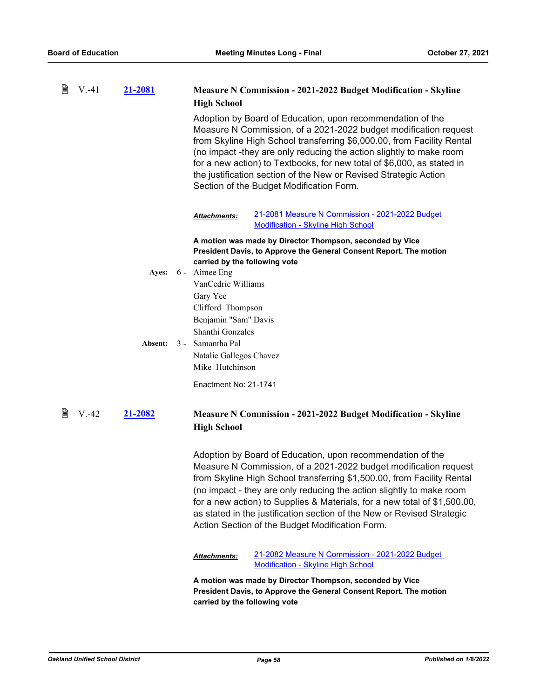| 閶 | $V.-41$ | 21-2081        | <b>Measure N Commission - 2021-2022 Budget Modification - Skyline</b><br><b>High School</b>                                                                                                                                                                                                                                                                                                                                                                                                |
|---|---------|----------------|--------------------------------------------------------------------------------------------------------------------------------------------------------------------------------------------------------------------------------------------------------------------------------------------------------------------------------------------------------------------------------------------------------------------------------------------------------------------------------------------|
|   |         |                | Adoption by Board of Education, upon recommendation of the<br>Measure N Commission, of a 2021-2022 budget modification request<br>from Skyline High School transferring \$6,000.00, from Facility Rental<br>(no impact -they are only reducing the action slightly to make room<br>for a new action) to Textbooks, for new total of \$6,000, as stated in<br>the justification section of the New or Revised Strategic Action<br>Section of the Budget Modification Form.                  |
|   |         |                | 21-2081 Measure N Commission - 2021-2022 Budget<br><b>Attachments:</b><br><b>Modification - Skyline High School</b>                                                                                                                                                                                                                                                                                                                                                                        |
|   |         |                | A motion was made by Director Thompson, seconded by Vice<br>President Davis, to Approve the General Consent Report. The motion                                                                                                                                                                                                                                                                                                                                                             |
|   |         | Ayes:          | carried by the following vote<br>6 - Aimee Eng                                                                                                                                                                                                                                                                                                                                                                                                                                             |
|   |         |                | VanCedric Williams                                                                                                                                                                                                                                                                                                                                                                                                                                                                         |
|   |         |                | Gary Yee                                                                                                                                                                                                                                                                                                                                                                                                                                                                                   |
|   |         |                | Clifford Thompson                                                                                                                                                                                                                                                                                                                                                                                                                                                                          |
|   |         |                | Benjamin "Sam" Davis<br>Shanthi Gonzales                                                                                                                                                                                                                                                                                                                                                                                                                                                   |
|   |         | <b>Absent:</b> | 3 - Samantha Pal                                                                                                                                                                                                                                                                                                                                                                                                                                                                           |
|   |         |                | Natalie Gallegos Chavez                                                                                                                                                                                                                                                                                                                                                                                                                                                                    |
|   |         |                | Mike Hutchinson                                                                                                                                                                                                                                                                                                                                                                                                                                                                            |
|   |         |                | Enactment No: 21-1741                                                                                                                                                                                                                                                                                                                                                                                                                                                                      |
| 閶 | $V.-42$ | 21-2082        | <b>Measure N Commission - 2021-2022 Budget Modification - Skyline</b><br><b>High School</b>                                                                                                                                                                                                                                                                                                                                                                                                |
|   |         |                | Adoption by Board of Education, upon recommendation of the<br>Measure N Commission, of a 2021-2022 budget modification request<br>from Skyline High School transferring \$1,500.00, from Facility Rental<br>(no impact - they are only reducing the action slightly to make room<br>for a new action) to Supplies & Materials, for a new total of \$1,500.00,<br>as stated in the justification section of the New or Revised Strategic<br>Action Section of the Budget Modification Form. |
|   |         |                | 21-2082 Measure N Commission - 2021-2022 Budget<br>Attachments:<br><b>Modification - Skyline High School</b>                                                                                                                                                                                                                                                                                                                                                                               |
|   |         |                | A motion was made by Director Thompson, seconded by Vice<br>President Davis, to Approve the General Consent Report. The motion<br>carried by the following vote                                                                                                                                                                                                                                                                                                                            |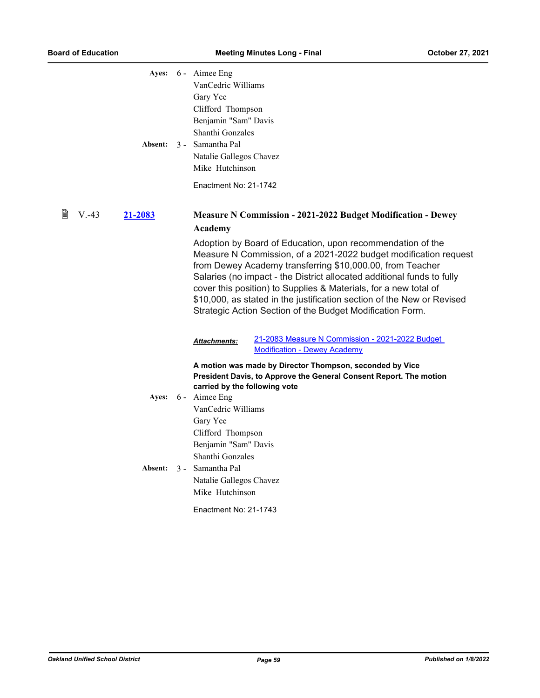|   | Absent:             | Ayes: 6 - Aimee Eng<br>VanCedric Williams<br>Gary Yee<br>Clifford Thompson<br>Benjamin "Sam" Davis<br>Shanthi Gonzales<br>3 - Samantha Pal<br>Natalie Gallegos Chavez<br>Mike Hutchinson<br>Enactment No: 21-1742                                                                                                                                                                                                                                                                |
|---|---------------------|----------------------------------------------------------------------------------------------------------------------------------------------------------------------------------------------------------------------------------------------------------------------------------------------------------------------------------------------------------------------------------------------------------------------------------------------------------------------------------|
| 閶 | $V. -43$<br>21-2083 | <b>Measure N Commission - 2021-2022 Budget Modification - Dewey</b>                                                                                                                                                                                                                                                                                                                                                                                                              |
|   |                     | Academy                                                                                                                                                                                                                                                                                                                                                                                                                                                                          |
|   |                     | Adoption by Board of Education, upon recommendation of the<br>Measure N Commission, of a 2021-2022 budget modification request<br>from Dewey Academy transferring \$10,000.00, from Teacher<br>Salaries (no impact - the District allocated additional funds to fully<br>cover this position) to Supplies & Materials, for a new total of<br>\$10,000, as stated in the justification section of the New or Revised<br>Strategic Action Section of the Budget Modification Form. |
|   |                     | 21-2083 Measure N Commission - 2021-2022 Budget<br><b>Attachments:</b><br><b>Modification - Dewey Academy</b>                                                                                                                                                                                                                                                                                                                                                                    |
|   |                     | A motion was made by Director Thompson, seconded by Vice                                                                                                                                                                                                                                                                                                                                                                                                                         |
|   |                     | President Davis, to Approve the General Consent Report. The motion                                                                                                                                                                                                                                                                                                                                                                                                               |
|   |                     | carried by the following vote<br>Ayes: 6 - Aimee Eng                                                                                                                                                                                                                                                                                                                                                                                                                             |
|   |                     | VanCedric Williams                                                                                                                                                                                                                                                                                                                                                                                                                                                               |
|   |                     | Gary Yee                                                                                                                                                                                                                                                                                                                                                                                                                                                                         |
|   |                     | Clifford Thompson                                                                                                                                                                                                                                                                                                                                                                                                                                                                |
|   |                     | Benjamin "Sam" Davis                                                                                                                                                                                                                                                                                                                                                                                                                                                             |
|   |                     | Shanthi Gonzales<br>3 - Samantha Pal                                                                                                                                                                                                                                                                                                                                                                                                                                             |
|   | <b>Absent:</b>      | Natalie Gallegos Chavez                                                                                                                                                                                                                                                                                                                                                                                                                                                          |
|   |                     | Mike Hutchinson                                                                                                                                                                                                                                                                                                                                                                                                                                                                  |
|   |                     | Enactment No: 21-1743                                                                                                                                                                                                                                                                                                                                                                                                                                                            |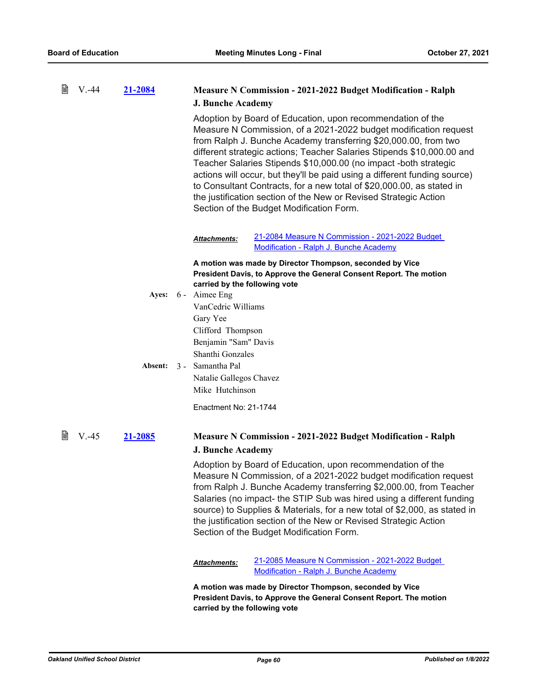| 閶 | $V. -44$ | 21-2084 | <b>Measure N Commission - 2021-2022 Budget Modification - Ralph</b>                                                                                                                                                                                                                                                                                                                                                                                                                                                                                                                                                   |
|---|----------|---------|-----------------------------------------------------------------------------------------------------------------------------------------------------------------------------------------------------------------------------------------------------------------------------------------------------------------------------------------------------------------------------------------------------------------------------------------------------------------------------------------------------------------------------------------------------------------------------------------------------------------------|
|   |          |         | <b>J. Bunche Academy</b>                                                                                                                                                                                                                                                                                                                                                                                                                                                                                                                                                                                              |
|   |          |         | Adoption by Board of Education, upon recommendation of the<br>Measure N Commission, of a 2021-2022 budget modification request<br>from Ralph J. Bunche Academy transferring \$20,000.00, from two<br>different strategic actions; Teacher Salaries Stipends \$10,000.00 and<br>Teacher Salaries Stipends \$10,000.00 (no impact -both strategic<br>actions will occur, but they'll be paid using a different funding source)<br>to Consultant Contracts, for a new total of \$20,000.00, as stated in<br>the justification section of the New or Revised Strategic Action<br>Section of the Budget Modification Form. |
|   |          |         | 21-2084 Measure N Commission - 2021-2022 Budget<br>Attachments:<br>Modification - Ralph J. Bunche Academy                                                                                                                                                                                                                                                                                                                                                                                                                                                                                                             |
|   |          |         | A motion was made by Director Thompson, seconded by Vice                                                                                                                                                                                                                                                                                                                                                                                                                                                                                                                                                              |
|   |          |         | President Davis, to Approve the General Consent Report. The motion                                                                                                                                                                                                                                                                                                                                                                                                                                                                                                                                                    |
|   |          | Ayes:   | carried by the following vote<br>6 - Aimee Eng                                                                                                                                                                                                                                                                                                                                                                                                                                                                                                                                                                        |
|   |          |         | VanCedric Williams                                                                                                                                                                                                                                                                                                                                                                                                                                                                                                                                                                                                    |
|   |          |         | Gary Yee                                                                                                                                                                                                                                                                                                                                                                                                                                                                                                                                                                                                              |
|   |          |         | Clifford Thompson                                                                                                                                                                                                                                                                                                                                                                                                                                                                                                                                                                                                     |
|   |          |         | Benjamin "Sam" Davis                                                                                                                                                                                                                                                                                                                                                                                                                                                                                                                                                                                                  |
|   |          |         | Shanthi Gonzales                                                                                                                                                                                                                                                                                                                                                                                                                                                                                                                                                                                                      |
|   |          | Absent: | 3 - Samantha Pal                                                                                                                                                                                                                                                                                                                                                                                                                                                                                                                                                                                                      |
|   |          |         | Natalie Gallegos Chavez                                                                                                                                                                                                                                                                                                                                                                                                                                                                                                                                                                                               |
|   |          |         | Mike Hutchinson                                                                                                                                                                                                                                                                                                                                                                                                                                                                                                                                                                                                       |
|   |          |         | Enactment No: 21-1744                                                                                                                                                                                                                                                                                                                                                                                                                                                                                                                                                                                                 |
| 閶 | $V. -45$ | 21-2085 | <b>Measure N Commission - 2021-2022 Budget Modification - Ralph</b>                                                                                                                                                                                                                                                                                                                                                                                                                                                                                                                                                   |
|   |          |         | <b>J. Bunche Academy</b>                                                                                                                                                                                                                                                                                                                                                                                                                                                                                                                                                                                              |
|   |          |         | Adoption by Board of Education, upon recommendation of the<br>Measure N Commission, of a 2021-2022 budget modification request<br>from Ralph J. Bunche Academy transferring \$2,000.00, from Teacher<br>Salaries (no impact- the STIP Sub was hired using a different funding<br>source) to Supplies & Materials, for a new total of \$2,000, as stated in<br>the justification section of the New or Revised Strategic Action<br>Section of the Budget Modification Form.                                                                                                                                            |
|   |          |         | 21-2085 Measure N Commission - 2021-2022 Budget<br>Attachments:<br>Modification - Ralph J. Bunche Academy                                                                                                                                                                                                                                                                                                                                                                                                                                                                                                             |
|   |          |         | A motion was made by Director Thompson, seconded by Vice<br>President Davis, to Approve the General Consent Report. The motion<br>carried by the following vote                                                                                                                                                                                                                                                                                                                                                                                                                                                       |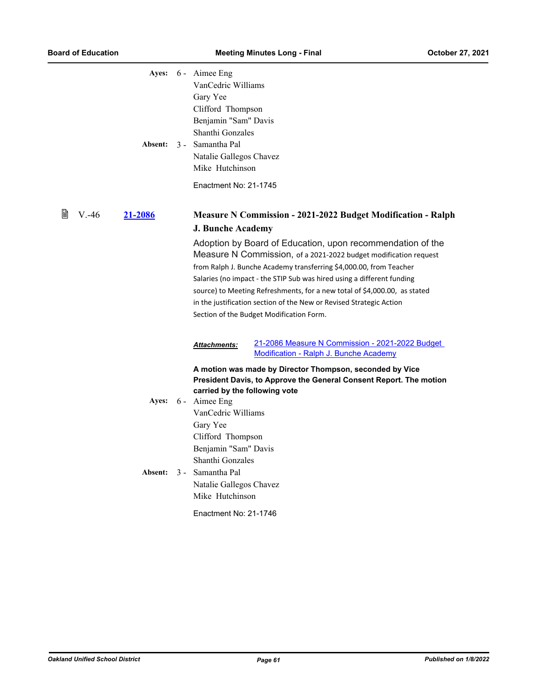| VanCedric Williams<br>Gary Yee<br>Clifford Thompson<br>Benjamin "Sam" Davis<br>Shanthi Gonzales<br>Natalie Gallegos Chavez<br>Mike Hutchinson                                                           |                                                                                                                                                                                                                                                                                                                                                                                                                                                                                |
|---------------------------------------------------------------------------------------------------------------------------------------------------------------------------------------------------------|--------------------------------------------------------------------------------------------------------------------------------------------------------------------------------------------------------------------------------------------------------------------------------------------------------------------------------------------------------------------------------------------------------------------------------------------------------------------------------|
| Enactment No: 21-1745                                                                                                                                                                                   |                                                                                                                                                                                                                                                                                                                                                                                                                                                                                |
|                                                                                                                                                                                                         | <b>Measure N Commission - 2021-2022 Budget Modification - Ralph</b>                                                                                                                                                                                                                                                                                                                                                                                                            |
|                                                                                                                                                                                                         | Adoption by Board of Education, upon recommendation of the<br>Measure N Commission, of a 2021-2022 budget modification request<br>from Ralph J. Bunche Academy transferring \$4,000.00, from Teacher<br>Salaries (no impact - the STIP Sub was hired using a different funding<br>source) to Meeting Refreshments, for a new total of \$4,000.00, as stated<br>in the justification section of the New or Revised Strategic Action<br>Section of the Budget Modification Form. |
| Attachments:                                                                                                                                                                                            | 21-2086 Measure N Commission - 2021-2022 Budget<br>Modification - Ralph J. Bunche Academy                                                                                                                                                                                                                                                                                                                                                                                      |
| carried by the following vote<br>VanCedric Williams<br>Gary Yee<br>Clifford Thompson<br>Benjamin "Sam" Davis<br>Shanthi Gonzales<br>Natalie Gallegos Chavez<br>Mike Hutchinson<br>Enactment No: 21-1746 | A motion was made by Director Thompson, seconded by Vice<br>President Davis, to Approve the General Consent Report. The motion                                                                                                                                                                                                                                                                                                                                                 |
|                                                                                                                                                                                                         | Ayes: 6 - Aimee Eng<br>Absent: 3 - Samantha Pal<br><b>J. Bunche Academy</b><br>Ayes: 6 - Aimee Eng<br>Absent: 3 - Samantha Pal                                                                                                                                                                                                                                                                                                                                                 |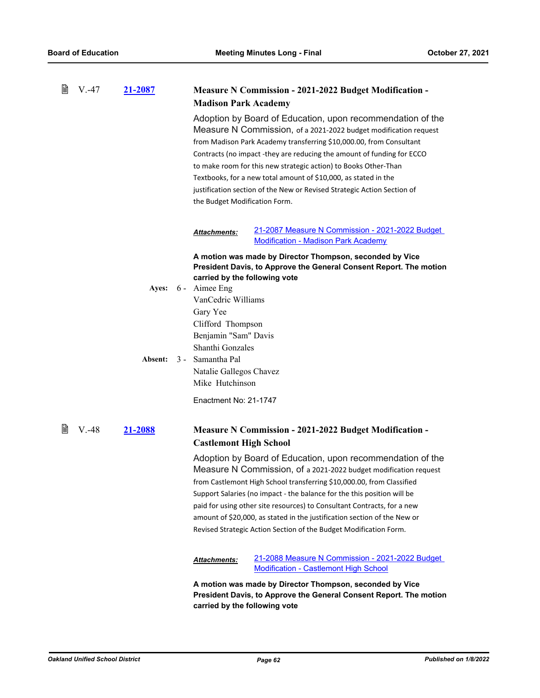| B | V.-47    | 21-2087 |                                             | <b>Measure N Commission - 2021-2022 Budget Modification -</b>                                                                                                                                                                                                                                                                                                                                                                                                                                                                     |  |  |
|---|----------|---------|---------------------------------------------|-----------------------------------------------------------------------------------------------------------------------------------------------------------------------------------------------------------------------------------------------------------------------------------------------------------------------------------------------------------------------------------------------------------------------------------------------------------------------------------------------------------------------------------|--|--|
|   |          |         | <b>Madison Park Academy</b>                 |                                                                                                                                                                                                                                                                                                                                                                                                                                                                                                                                   |  |  |
|   |          |         |                                             | Adoption by Board of Education, upon recommendation of the<br>Measure N Commission, of a 2021-2022 budget modification request<br>from Madison Park Academy transferring \$10,000.00, from Consultant<br>Contracts (no impact -they are reducing the amount of funding for ECCO<br>to make room for this new strategic action) to Books Other-Than<br>Textbooks, for a new total amount of \$10,000, as stated in the<br>justification section of the New or Revised Strategic Action Section of<br>the Budget Modification Form. |  |  |
|   |          |         | <b>Attachments:</b>                         | 21-2087 Measure N Commission - 2021-2022 Budget<br><b>Modification - Madison Park Academy</b>                                                                                                                                                                                                                                                                                                                                                                                                                                     |  |  |
|   |          |         |                                             | A motion was made by Director Thompson, seconded by Vice                                                                                                                                                                                                                                                                                                                                                                                                                                                                          |  |  |
|   |          |         |                                             | President Davis, to Approve the General Consent Report. The motion<br>carried by the following vote                                                                                                                                                                                                                                                                                                                                                                                                                               |  |  |
|   |          | Ayes:   | 6 - Aimee Eng                               |                                                                                                                                                                                                                                                                                                                                                                                                                                                                                                                                   |  |  |
|   |          |         | VanCedric Williams                          |                                                                                                                                                                                                                                                                                                                                                                                                                                                                                                                                   |  |  |
|   |          |         | Gary Yee                                    |                                                                                                                                                                                                                                                                                                                                                                                                                                                                                                                                   |  |  |
|   |          |         | Clifford Thompson                           |                                                                                                                                                                                                                                                                                                                                                                                                                                                                                                                                   |  |  |
|   |          |         | Benjamin "Sam" Davis                        |                                                                                                                                                                                                                                                                                                                                                                                                                                                                                                                                   |  |  |
|   |          |         | Shanthi Gonzales                            |                                                                                                                                                                                                                                                                                                                                                                                                                                                                                                                                   |  |  |
|   |          | Absent: | 3 - Samantha Pal<br>Natalie Gallegos Chavez |                                                                                                                                                                                                                                                                                                                                                                                                                                                                                                                                   |  |  |
|   |          |         | Mike Hutchinson                             |                                                                                                                                                                                                                                                                                                                                                                                                                                                                                                                                   |  |  |
|   |          |         |                                             |                                                                                                                                                                                                                                                                                                                                                                                                                                                                                                                                   |  |  |
|   |          |         | Enactment No: 21-1747                       |                                                                                                                                                                                                                                                                                                                                                                                                                                                                                                                                   |  |  |
| 閶 | $V. -48$ | 21-2088 |                                             | <b>Measure N Commission - 2021-2022 Budget Modification -</b>                                                                                                                                                                                                                                                                                                                                                                                                                                                                     |  |  |
|   |          |         | <b>Castlemont High School</b>               |                                                                                                                                                                                                                                                                                                                                                                                                                                                                                                                                   |  |  |
|   |          |         |                                             | Adoption by Board of Education, upon recommendation of the<br>Measure N Commission, of a 2021-2022 budget modification request                                                                                                                                                                                                                                                                                                                                                                                                    |  |  |
|   |          |         |                                             | from Castlemont High School transferring \$10,000.00, from Classified                                                                                                                                                                                                                                                                                                                                                                                                                                                             |  |  |
|   |          |         |                                             | Support Salaries (no impact - the balance for the this position will be                                                                                                                                                                                                                                                                                                                                                                                                                                                           |  |  |
|   |          |         |                                             | paid for using other site resources) to Consultant Contracts, for a new                                                                                                                                                                                                                                                                                                                                                                                                                                                           |  |  |
|   |          |         |                                             | amount of \$20,000, as stated in the justification section of the New or                                                                                                                                                                                                                                                                                                                                                                                                                                                          |  |  |
|   |          |         |                                             | Revised Strategic Action Section of the Budget Modification Form.                                                                                                                                                                                                                                                                                                                                                                                                                                                                 |  |  |
|   |          |         | Attachments:                                | 21-2088 Measure N Commission - 2021-2022 Budget<br><b>Modification - Castlemont High School</b>                                                                                                                                                                                                                                                                                                                                                                                                                                   |  |  |
|   |          |         |                                             | A motion was made by Director Thompson, seconded by Vice<br>President Davis, to Approve the General Consent Report. The motion<br>carried by the following vote                                                                                                                                                                                                                                                                                                                                                                   |  |  |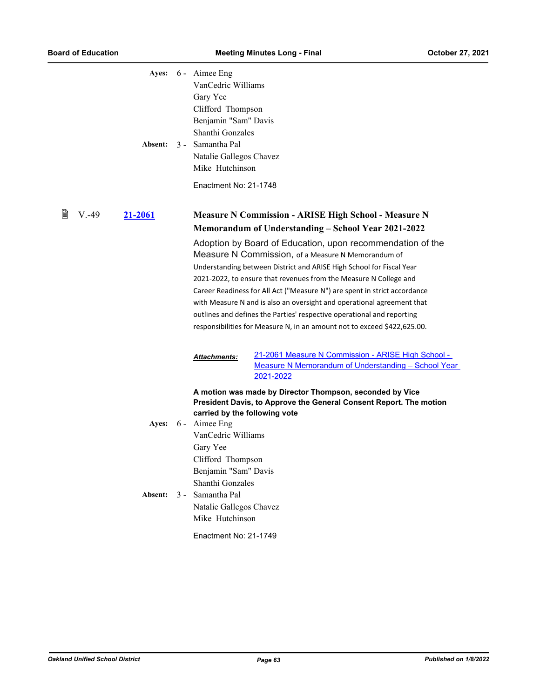|   | Absent:                    |              | Ayes: 6 - Aimee Eng<br>VanCedric Williams<br>Gary Yee<br>Clifford Thompson<br>Benjamin "Sam" Davis<br>Shanthi Gonzales<br>3 - Samantha Pal<br>Natalie Gallegos Chavez<br>Mike Hutchinson<br>Enactment No: 21-1748                        |                                                                                                                                                                                                                                                                                                                                                                                                                                                                                                                                                                                                                                                                                                                                                        |
|---|----------------------------|--------------|------------------------------------------------------------------------------------------------------------------------------------------------------------------------------------------------------------------------------------------|--------------------------------------------------------------------------------------------------------------------------------------------------------------------------------------------------------------------------------------------------------------------------------------------------------------------------------------------------------------------------------------------------------------------------------------------------------------------------------------------------------------------------------------------------------------------------------------------------------------------------------------------------------------------------------------------------------------------------------------------------------|
| B | $V. -49$<br><u>21-2061</u> | Attachments: |                                                                                                                                                                                                                                          | <b>Measure N Commission - ARISE High School - Measure N</b><br>Memorandum of Understanding – School Year 2021-2022<br>Adoption by Board of Education, upon recommendation of the<br>Measure N Commission, of a Measure N Memorandum of<br>Understanding between District and ARISE High School for Fiscal Year<br>2021-2022, to ensure that revenues from the Measure N College and<br>Career Readiness for All Act ("Measure N") are spent in strict accordance<br>with Measure N and is also an oversight and operational agreement that<br>outlines and defines the Parties' respective operational and reporting<br>responsibilities for Measure N, in an amount not to exceed \$422,625.00.<br>21-2061 Measure N Commission - ARISE High School - |
|   | Ayes:<br>Absent:           | $3 -$        | carried by the following vote<br>6 - Aimee Eng<br>VanCedric Williams<br>Gary Yee<br>Clifford Thompson<br>Benjamin "Sam" Davis<br>Shanthi Gonzales<br>Samantha Pal<br>Natalie Gallegos Chavez<br>Mike Hutchinson<br>Enactment No: 21-1749 | Measure N Memorandum of Understanding - School Year<br>2021-2022<br>A motion was made by Director Thompson, seconded by Vice<br>President Davis, to Approve the General Consent Report. The motion                                                                                                                                                                                                                                                                                                                                                                                                                                                                                                                                                     |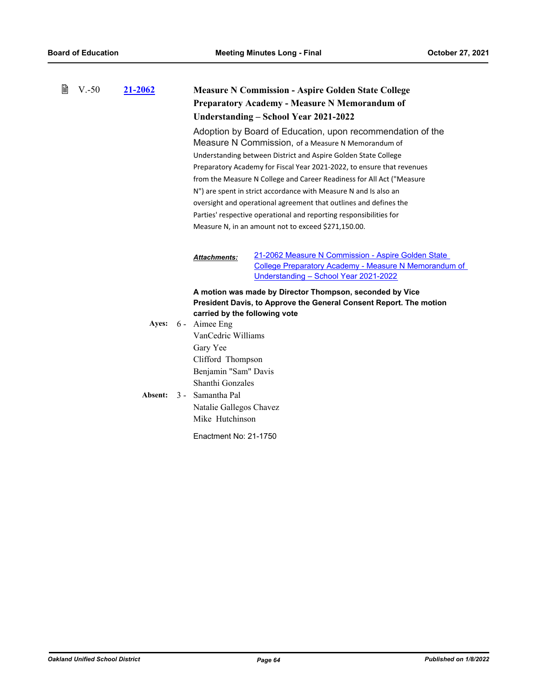| 閶<br>$V - 50$ | 21-2062 | <b>Measure N Commission - Aspire Golden State College</b><br><b>Preparatory Academy - Measure N Memorandum of</b><br>Understanding – School Year 2021-2022                                                                                                                                                                                                                                                                                                                                                                                                                                                  |  |  |
|---------------|---------|-------------------------------------------------------------------------------------------------------------------------------------------------------------------------------------------------------------------------------------------------------------------------------------------------------------------------------------------------------------------------------------------------------------------------------------------------------------------------------------------------------------------------------------------------------------------------------------------------------------|--|--|
|               |         | Adoption by Board of Education, upon recommendation of the<br>Measure N Commission, of a Measure N Memorandum of<br>Understanding between District and Aspire Golden State College<br>Preparatory Academy for Fiscal Year 2021-2022, to ensure that revenues<br>from the Measure N College and Career Readiness for All Act ("Measure<br>N") are spent in strict accordance with Measure N and Is also an<br>oversight and operational agreement that outlines and defines the<br>Parties' respective operational and reporting responsibilities for<br>Measure N, in an amount not to exceed \$271,150.00. |  |  |
|               |         | 21-2062 Measure N Commission - Aspire Golden State<br><b>Attachments:</b><br>College Preparatory Academy - Measure N Memorandum of<br>Understanding - School Year 2021-2022                                                                                                                                                                                                                                                                                                                                                                                                                                 |  |  |
|               | Absent: | A motion was made by Director Thompson, seconded by Vice<br>President Davis, to Approve the General Consent Report. The motion<br>carried by the following vote<br>Ayes: 6 - Aimee Eng<br>VanCedric Williams<br>Gary Yee<br>Clifford Thompson<br>Benjamin "Sam" Davis<br>Shanthi Gonzales<br>3 - Samantha Pal<br>Natalie Gallegos Chavez<br>Mike Hutchinson<br>Enactment No: 21-1750                                                                                                                                                                                                                        |  |  |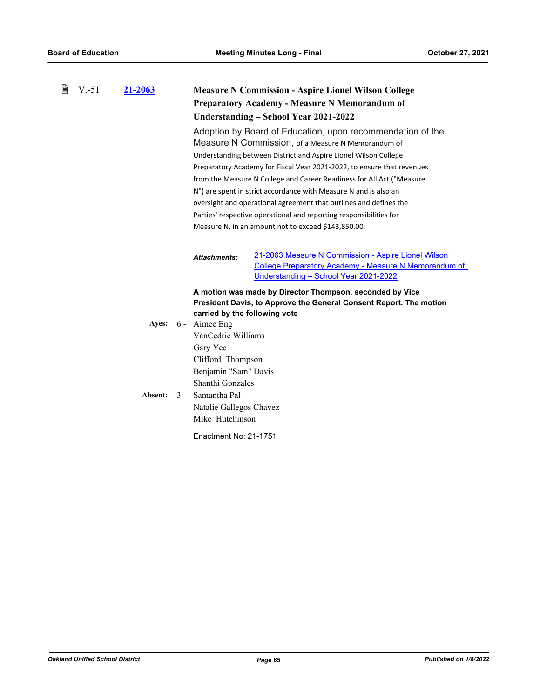| 閆 | $V - 51$ | 21-2063 | <b>Measure N Commission - Aspire Lionel Wilson College</b><br><b>Preparatory Academy - Measure N Memorandum of</b><br>Understanding – School Year 2021-2022                                                                                                                                                                                                                                                                                                                                                                                                                                                  |  |  |
|---|----------|---------|--------------------------------------------------------------------------------------------------------------------------------------------------------------------------------------------------------------------------------------------------------------------------------------------------------------------------------------------------------------------------------------------------------------------------------------------------------------------------------------------------------------------------------------------------------------------------------------------------------------|--|--|
|   |          |         | Adoption by Board of Education, upon recommendation of the<br>Measure N Commission, of a Measure N Memorandum of<br>Understanding between District and Aspire Lionel Wilson College<br>Preparatory Academy for Fiscal Vear 2021-2022, to ensure that revenues<br>from the Measure N College and Career Readiness for All Act ("Measure<br>N") are spent in strict accordance with Measure N and is also an<br>oversight and operational agreement that outlines and defines the<br>Parties' respective operational and reporting responsibilities for<br>Measure N, in an amount not to exceed \$143,850.00. |  |  |
|   |          |         | 21-2063 Measure N Commission - Aspire Lionel Wilson<br><b>Attachments:</b><br>College Preparatory Academy - Measure N Memorandum of<br>Understanding - School Year 2021-2022                                                                                                                                                                                                                                                                                                                                                                                                                                 |  |  |
|   |          |         | A motion was made by Director Thompson, seconded by Vice<br>President Davis, to Approve the General Consent Report. The motion<br>carried by the following vote                                                                                                                                                                                                                                                                                                                                                                                                                                              |  |  |
|   |          | Absent: | Ayes: 6 - Aimee Eng<br>VanCedric Williams<br>Gary Yee<br>Clifford Thompson<br>Benjamin "Sam" Davis<br>Shanthi Gonzales<br>3 - Samantha Pal<br>Natalie Gallegos Chavez<br>Mike Hutchinson                                                                                                                                                                                                                                                                                                                                                                                                                     |  |  |
|   |          |         | Enactment No: 21-1751                                                                                                                                                                                                                                                                                                                                                                                                                                                                                                                                                                                        |  |  |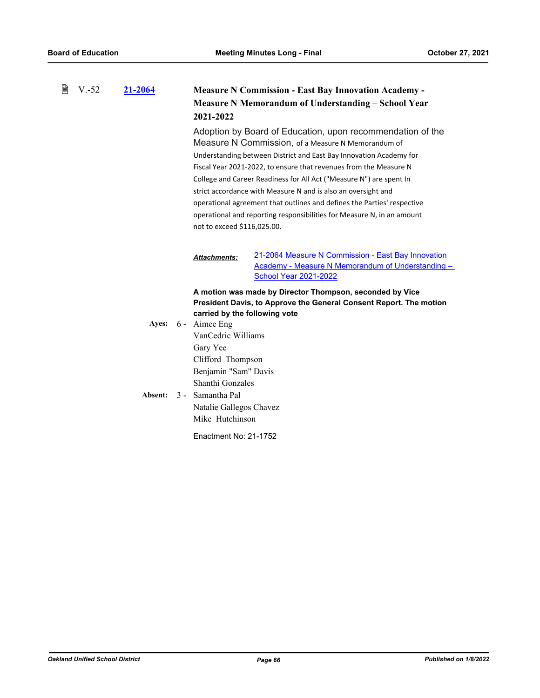| 閶 | $V.-52$ | 21-2064 | <b>Measure N Commission - East Bay Innovation Academy -</b><br><b>Measure N Memorandum of Understanding - School Year</b><br>2021-2022                                                                                                                                                                                                                                                                                                                                                                                                                                                  |                                                                                                                                         |  |
|---|---------|---------|-----------------------------------------------------------------------------------------------------------------------------------------------------------------------------------------------------------------------------------------------------------------------------------------------------------------------------------------------------------------------------------------------------------------------------------------------------------------------------------------------------------------------------------------------------------------------------------------|-----------------------------------------------------------------------------------------------------------------------------------------|--|
|   |         |         | Adoption by Board of Education, upon recommendation of the<br>Measure N Commission, of a Measure N Memorandum of<br>Understanding between District and East Bay Innovation Academy for<br>Fiscal Year 2021-2022, to ensure that revenues from the Measure N<br>College and Career Readiness for All Act ("Measure N") are spent In<br>strict accordance with Measure N and is also an oversight and<br>operational agreement that outlines and defines the Parties' respective<br>operational and reporting responsibilities for Measure N, in an amount<br>not to exceed \$116,025.00. |                                                                                                                                         |  |
|   |         |         | <b>Attachments:</b>                                                                                                                                                                                                                                                                                                                                                                                                                                                                                                                                                                     | 21-2064 Measure N Commission - East Bay Innovation<br>Academy - Measure N Memorandum of Understanding -<br><b>School Year 2021-2022</b> |  |
|   |         |         | carried by the following vote<br>Ayes: 6 - Aimee Eng<br>VanCedric Williams<br>Gary Yee<br>Clifford Thompson<br>Benjamin "Sam" Davis                                                                                                                                                                                                                                                                                                                                                                                                                                                     | A motion was made by Director Thompson, seconded by Vice<br>President Davis, to Approve the General Consent Report. The motion          |  |
|   |         | Absent: | Shanthi Gonzales<br>3 - Samantha Pal<br>Natalie Gallegos Chavez<br>Mike Hutchinson<br>Enactment No: 21-1752                                                                                                                                                                                                                                                                                                                                                                                                                                                                             |                                                                                                                                         |  |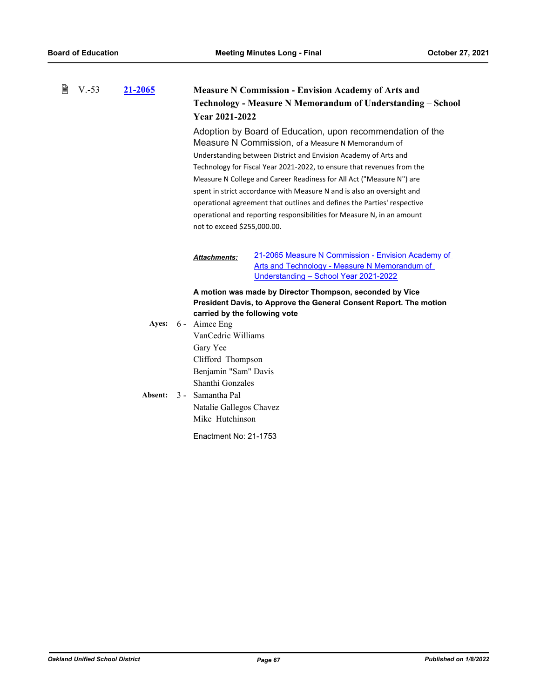| 閶<br>$V.-53$<br>21-2065 |  |         | Year 2021-2022                                                                                                                                                                                                                                                                                                                                                                                                                                                                                                                                                                                      | <b>Measure N Commission - Envision Academy of Arts and</b><br>Technology - Measure N Memorandum of Understanding - School                    |
|-------------------------|--|---------|-----------------------------------------------------------------------------------------------------------------------------------------------------------------------------------------------------------------------------------------------------------------------------------------------------------------------------------------------------------------------------------------------------------------------------------------------------------------------------------------------------------------------------------------------------------------------------------------------------|----------------------------------------------------------------------------------------------------------------------------------------------|
|                         |  |         | Adoption by Board of Education, upon recommendation of the<br>Measure N Commission, of a Measure N Memorandum of<br>Understanding between District and Envision Academy of Arts and<br>Technology for Fiscal Year 2021-2022, to ensure that revenues from the<br>Measure N College and Career Readiness for All Act ("Measure N") are<br>spent in strict accordance with Measure N and is also an oversight and<br>operational agreement that outlines and defines the Parties' respective<br>operational and reporting responsibilities for Measure N, in an amount<br>not to exceed \$255,000.00. |                                                                                                                                              |
|                         |  |         | <b>Attachments:</b>                                                                                                                                                                                                                                                                                                                                                                                                                                                                                                                                                                                 | 21-2065 Measure N Commission - Envision Academy of<br>Arts and Technology - Measure N Memorandum of<br>Understanding - School Year 2021-2022 |
|                         |  |         | carried by the following vote                                                                                                                                                                                                                                                                                                                                                                                                                                                                                                                                                                       | A motion was made by Director Thompson, seconded by Vice<br>President Davis, to Approve the General Consent Report. The motion               |
|                         |  | Ayes:   | 6 - Aimee Eng                                                                                                                                                                                                                                                                                                                                                                                                                                                                                                                                                                                       |                                                                                                                                              |
|                         |  |         | VanCedric Williams                                                                                                                                                                                                                                                                                                                                                                                                                                                                                                                                                                                  |                                                                                                                                              |
|                         |  |         | Gary Yee                                                                                                                                                                                                                                                                                                                                                                                                                                                                                                                                                                                            |                                                                                                                                              |
|                         |  |         | Clifford Thompson                                                                                                                                                                                                                                                                                                                                                                                                                                                                                                                                                                                   |                                                                                                                                              |
|                         |  |         | Benjamin "Sam" Davis<br>Shanthi Gonzales                                                                                                                                                                                                                                                                                                                                                                                                                                                                                                                                                            |                                                                                                                                              |
|                         |  | Absent: | 3 - Samantha Pal                                                                                                                                                                                                                                                                                                                                                                                                                                                                                                                                                                                    |                                                                                                                                              |
|                         |  |         | Natalie Gallegos Chavez                                                                                                                                                                                                                                                                                                                                                                                                                                                                                                                                                                             |                                                                                                                                              |
|                         |  |         | Mike Hutchinson                                                                                                                                                                                                                                                                                                                                                                                                                                                                                                                                                                                     |                                                                                                                                              |
|                         |  |         | Enactment No: 21-1753                                                                                                                                                                                                                                                                                                                                                                                                                                                                                                                                                                               |                                                                                                                                              |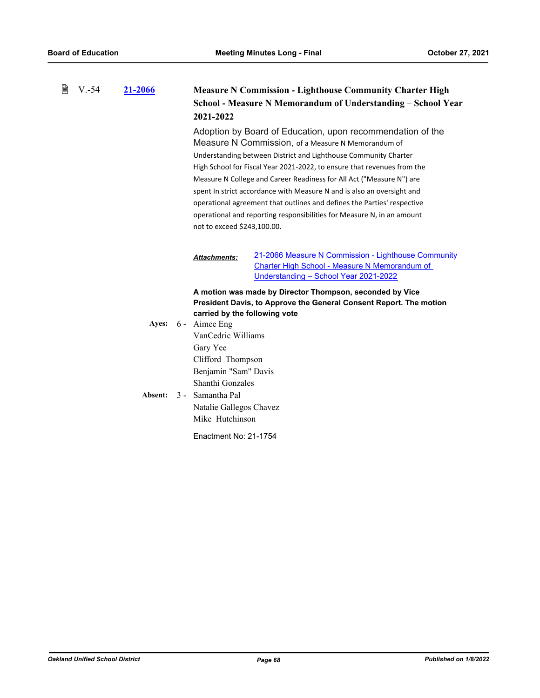| B | $V.-54$ | 21-2066 | <b>Measure N Commission - Lighthouse Community Charter High</b><br>School - Measure N Memorandum of Understanding - School Year<br>2021-2022                                                                                                                                                                                                                                                                                                                                                                                                                                                         |                                                                                                                                                      |  |
|---|---------|---------|------------------------------------------------------------------------------------------------------------------------------------------------------------------------------------------------------------------------------------------------------------------------------------------------------------------------------------------------------------------------------------------------------------------------------------------------------------------------------------------------------------------------------------------------------------------------------------------------------|------------------------------------------------------------------------------------------------------------------------------------------------------|--|
|   |         |         | Adoption by Board of Education, upon recommendation of the<br>Measure N Commission, of a Measure N Memorandum of<br>Understanding between District and Lighthouse Community Charter<br>High School for Fiscal Year 2021-2022, to ensure that revenues from the<br>Measure N College and Career Readiness for All Act ("Measure N") are<br>spent In strict accordance with Measure N and is also an oversight and<br>operational agreement that outlines and defines the Parties' respective<br>operational and reporting responsibilities for Measure N, in an amount<br>not to exceed \$243,100.00. |                                                                                                                                                      |  |
|   |         |         | <b>Attachments:</b>                                                                                                                                                                                                                                                                                                                                                                                                                                                                                                                                                                                  | 21-2066 Measure N Commission - Lighthouse Community<br><b>Charter High School - Measure N Memorandum of</b><br>Understanding - School Year 2021-2022 |  |
|   |         | Ayes:   | carried by the following vote<br>6 - Aimee Eng<br>VanCedric Williams<br>Gary Yee<br>Clifford Thompson<br>Benjamin "Sam" Davis<br>Shanthi Gonzales<br>Absent: 3 - Samantha Pal<br>Natalie Gallegos Chavez<br>Mike Hutchinson<br>Enactment No: 21-1754                                                                                                                                                                                                                                                                                                                                                 | A motion was made by Director Thompson, seconded by Vice<br>President Davis, to Approve the General Consent Report. The motion                       |  |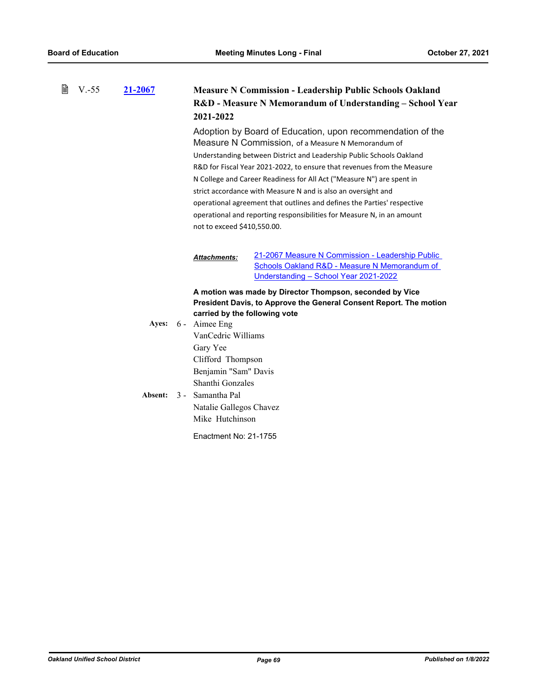| 閶 | $V.-55$          | 21-2067                                                                                                                                                                                                             | <b>Measure N Commission - Leadership Public Schools Oakland</b><br>R&D - Measure N Memorandum of Understanding - School Year<br>2021-2022                                                                                                                                                                                                                                                                                                                                                                                                                                                         |                                                                                                                                            |  |
|---|------------------|---------------------------------------------------------------------------------------------------------------------------------------------------------------------------------------------------------------------|---------------------------------------------------------------------------------------------------------------------------------------------------------------------------------------------------------------------------------------------------------------------------------------------------------------------------------------------------------------------------------------------------------------------------------------------------------------------------------------------------------------------------------------------------------------------------------------------------|--------------------------------------------------------------------------------------------------------------------------------------------|--|
|   |                  |                                                                                                                                                                                                                     | Adoption by Board of Education, upon recommendation of the<br>Measure N Commission, of a Measure N Memorandum of<br>Understanding between District and Leadership Public Schools Oakland<br>R&D for Fiscal Year 2021-2022, to ensure that revenues from the Measure<br>N College and Career Readiness for All Act ("Measure N") are spent in<br>strict accordance with Measure N and is also an oversight and<br>operational agreement that outlines and defines the Parties' respective<br>operational and reporting responsibilities for Measure N, in an amount<br>not to exceed \$410,550.00. |                                                                                                                                            |  |
|   |                  |                                                                                                                                                                                                                     | <b>Attachments:</b>                                                                                                                                                                                                                                                                                                                                                                                                                                                                                                                                                                               | 21-2067 Measure N Commission - Leadership Public<br>Schools Oakland R&D - Measure N Memorandum of<br>Understanding - School Year 2021-2022 |  |
|   | Ayes:<br>Absent: | carried by the following vote<br>6 - Aimee Eng<br>VanCedric Williams<br>Gary Yee<br>Clifford Thompson<br>Benjamin "Sam" Davis<br>Shanthi Gonzales<br>3 - Samantha Pal<br>Natalie Gallegos Chavez<br>Mike Hutchinson | A motion was made by Director Thompson, seconded by Vice<br>President Davis, to Approve the General Consent Report. The motion                                                                                                                                                                                                                                                                                                                                                                                                                                                                    |                                                                                                                                            |  |
|   |                  |                                                                                                                                                                                                                     | Enactment No: 21-1755                                                                                                                                                                                                                                                                                                                                                                                                                                                                                                                                                                             |                                                                                                                                            |  |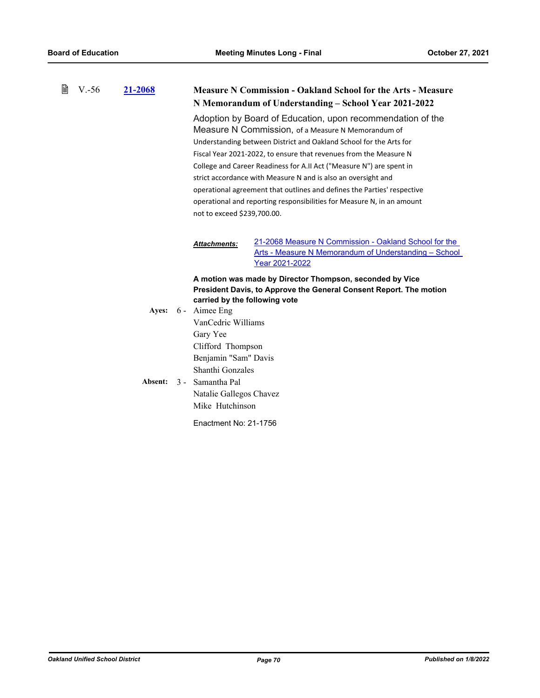| 閶 | $V - 56$ | 21-2068          | <b>Measure N Commission - Oakland School for the Arts - Measure</b><br>N Memorandum of Understanding - School Year 2021-2022                                                                                                                                                                                                                                                                                                                                                                                                                                                             |  |  |
|---|----------|------------------|------------------------------------------------------------------------------------------------------------------------------------------------------------------------------------------------------------------------------------------------------------------------------------------------------------------------------------------------------------------------------------------------------------------------------------------------------------------------------------------------------------------------------------------------------------------------------------------|--|--|
|   |          |                  | Adoption by Board of Education, upon recommendation of the<br>Measure N Commission, of a Measure N Memorandum of<br>Understanding between District and Oakland School for the Arts for<br>Fiscal Year 2021-2022, to ensure that revenues from the Measure N<br>College and Career Readiness for A.II Act ("Measure N") are spent in<br>strict accordance with Measure N and is also an oversight and<br>operational agreement that outlines and defines the Parties' respective<br>operational and reporting responsibilities for Measure N, in an amount<br>not to exceed \$239,700.00. |  |  |
|   |          |                  | 21-2068 Measure N Commission - Oakland School for the<br><b>Attachments:</b><br>Arts - Measure N Memorandum of Understanding - School<br>Year 2021-2022                                                                                                                                                                                                                                                                                                                                                                                                                                  |  |  |
|   |          | Ayes:<br>Absent: | A motion was made by Director Thompson, seconded by Vice<br>President Davis, to Approve the General Consent Report. The motion<br>carried by the following vote<br>6 - Aimee Eng<br>VanCedric Williams<br>Gary Yee<br>Clifford Thompson<br>Benjamin "Sam" Davis<br>Shanthi Gonzales<br>3 - Samantha Pal<br>Natalie Gallegos Chavez<br>Mike Hutchinson                                                                                                                                                                                                                                    |  |  |
|   |          |                  | Enactment No: 21-1756                                                                                                                                                                                                                                                                                                                                                                                                                                                                                                                                                                    |  |  |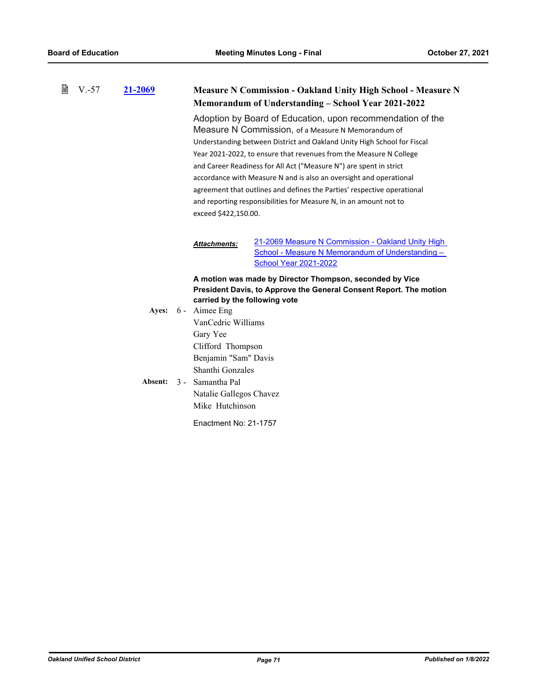| 窅<br>$V.-57$ |  | 21-2069          |                                                                                                                                                                                                                                                                                                                                                                                                                                                                                                                                                                                       | <b>Measure N Commission - Oakland Unity High School - Measure N</b>                                                                                                                                                 |                                                                                                                                       |  |  |
|--------------|--|------------------|---------------------------------------------------------------------------------------------------------------------------------------------------------------------------------------------------------------------------------------------------------------------------------------------------------------------------------------------------------------------------------------------------------------------------------------------------------------------------------------------------------------------------------------------------------------------------------------|---------------------------------------------------------------------------------------------------------------------------------------------------------------------------------------------------------------------|---------------------------------------------------------------------------------------------------------------------------------------|--|--|
|              |  |                  |                                                                                                                                                                                                                                                                                                                                                                                                                                                                                                                                                                                       |                                                                                                                                                                                                                     | Memorandum of Understanding - School Year 2021-2022                                                                                   |  |  |
|              |  |                  | Adoption by Board of Education, upon recommendation of the<br>Measure N Commission, of a Measure N Memorandum of<br>Understanding between District and Oakland Unity High School for Fiscal<br>Year 2021-2022, to ensure that revenues from the Measure N College<br>and Career Readiness for All Act ("Measure N") are spent in strict<br>accordance with Measure N and is also an oversight and operational<br>agreement that outlines and defines the Parties' respective operational<br>and reporting responsibilities for Measure N, in an amount not to<br>exceed \$422,150.00. |                                                                                                                                                                                                                     |                                                                                                                                       |  |  |
|              |  |                  |                                                                                                                                                                                                                                                                                                                                                                                                                                                                                                                                                                                       | <b>Attachments:</b>                                                                                                                                                                                                 | 21-2069 Measure N Commission - Oakland Unity High<br>School - Measure N Memorandum of Understanding -<br><b>School Year 2021-2022</b> |  |  |
|              |  | Ayes:<br>Absent: |                                                                                                                                                                                                                                                                                                                                                                                                                                                                                                                                                                                       | carried by the following vote<br>6 - Aimee Eng<br>VanCedric Williams<br>Gary Yee<br>Clifford Thompson<br>Benjamin "Sam" Davis<br>Shanthi Gonzales<br>3 - Samantha Pal<br>Natalie Gallegos Chavez<br>Mike Hutchinson | A motion was made by Director Thompson, seconded by Vice<br>President Davis, to Approve the General Consent Report. The motion        |  |  |
|              |  |                  |                                                                                                                                                                                                                                                                                                                                                                                                                                                                                                                                                                                       | Enactment No: 21-1757                                                                                                                                                                                               |                                                                                                                                       |  |  |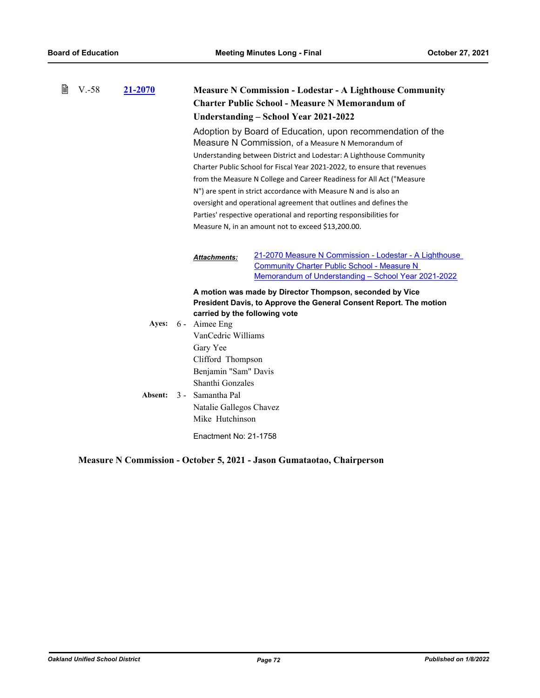| <b>Measure N Commission - Lodestar - A Lighthouse Community</b><br><b>Charter Public School - Measure N Memorandum of</b><br>Understanding – School Year 2021-2022                                                                                                                                                                                                                                                                                                                                                                                                                                                |  |  |
|-------------------------------------------------------------------------------------------------------------------------------------------------------------------------------------------------------------------------------------------------------------------------------------------------------------------------------------------------------------------------------------------------------------------------------------------------------------------------------------------------------------------------------------------------------------------------------------------------------------------|--|--|
| Adoption by Board of Education, upon recommendation of the<br>Measure N Commission, of a Measure N Memorandum of<br>Understanding between District and Lodestar: A Lighthouse Community<br>Charter Public School for Fiscal Year 2021-2022, to ensure that revenues<br>from the Measure N College and Career Readiness for All Act ("Measure<br>N") are spent in strict accordance with Measure N and is also an<br>oversight and operational agreement that outlines and defines the<br>Parties' respective operational and reporting responsibilities for<br>Measure N, in an amount not to exceed \$13,200.00. |  |  |
| 21-2070 Measure N Commission - Lodestar - A Lighthouse<br><b>Community Charter Public School - Measure N</b><br><u> Memorandum of Understanding - School Year 2021-2022</u>                                                                                                                                                                                                                                                                                                                                                                                                                                       |  |  |
| A motion was made by Director Thompson, seconded by Vice<br>President Davis, to Approve the General Consent Report. The motion                                                                                                                                                                                                                                                                                                                                                                                                                                                                                    |  |  |
|                                                                                                                                                                                                                                                                                                                                                                                                                                                                                                                                                                                                                   |  |  |

## **Measure N Commission - October 5, 2021 - Jason Gumataotao, Chairperson**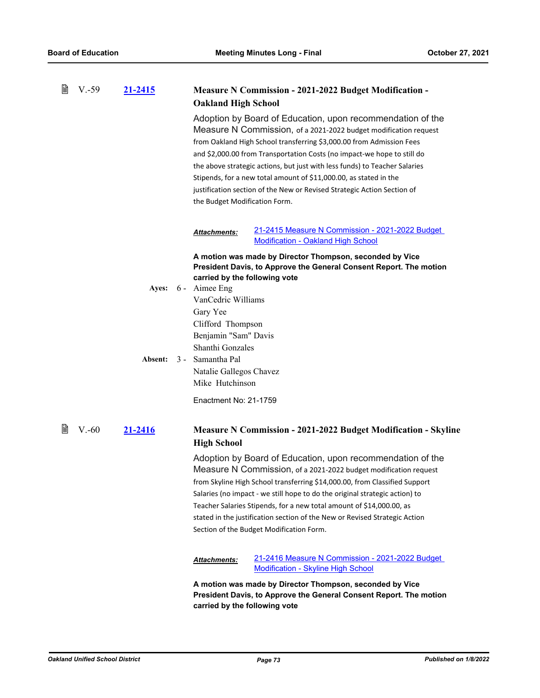| 閶 | $V.-59$ | 21-2415      |  |                                                                                                                                                    | <b>Measure N Commission - 2021-2022 Budget Modification -</b>                                                                                                                                                                                                                                                                                                                                                                                                                                                   |
|---|---------|--------------|--|----------------------------------------------------------------------------------------------------------------------------------------------------|-----------------------------------------------------------------------------------------------------------------------------------------------------------------------------------------------------------------------------------------------------------------------------------------------------------------------------------------------------------------------------------------------------------------------------------------------------------------------------------------------------------------|
|   |         |              |  | <b>Oakland High School</b>                                                                                                                         |                                                                                                                                                                                                                                                                                                                                                                                                                                                                                                                 |
|   |         |              |  | the Budget Modification Form.                                                                                                                      | Adoption by Board of Education, upon recommendation of the<br>Measure N Commission, of a 2021-2022 budget modification request<br>from Oakland High School transferring \$3,000.00 from Admission Fees<br>and \$2,000.00 from Transportation Costs (no impact-we hope to still do<br>the above strategic actions, but just with less funds) to Teacher Salaries<br>Stipends, for a new total amount of \$11,000.00, as stated in the<br>justification section of the New or Revised Strategic Action Section of |
|   |         |              |  | Attachments:                                                                                                                                       | 21-2415 Measure N Commission - 2021-2022 Budget<br><b>Modification - Oakland High School</b>                                                                                                                                                                                                                                                                                                                                                                                                                    |
|   |         |              |  |                                                                                                                                                    | A motion was made by Director Thompson, seconded by Vice                                                                                                                                                                                                                                                                                                                                                                                                                                                        |
|   |         |              |  | carried by the following vote                                                                                                                      | President Davis, to Approve the General Consent Report. The motion                                                                                                                                                                                                                                                                                                                                                                                                                                              |
|   |         | <b>Ayes:</b> |  | 6 - Aimee Eng                                                                                                                                      |                                                                                                                                                                                                                                                                                                                                                                                                                                                                                                                 |
|   |         |              |  | VanCedric Williams                                                                                                                                 |                                                                                                                                                                                                                                                                                                                                                                                                                                                                                                                 |
|   |         |              |  | Gary Yee                                                                                                                                           |                                                                                                                                                                                                                                                                                                                                                                                                                                                                                                                 |
|   |         |              |  | Clifford Thompson                                                                                                                                  |                                                                                                                                                                                                                                                                                                                                                                                                                                                                                                                 |
|   |         |              |  | Benjamin "Sam" Davis<br>Shanthi Gonzales                                                                                                           |                                                                                                                                                                                                                                                                                                                                                                                                                                                                                                                 |
|   |         | Absent:      |  | 3 - Samantha Pal                                                                                                                                   |                                                                                                                                                                                                                                                                                                                                                                                                                                                                                                                 |
|   |         |              |  | Natalie Gallegos Chavez                                                                                                                            |                                                                                                                                                                                                                                                                                                                                                                                                                                                                                                                 |
|   |         |              |  | Mike Hutchinson                                                                                                                                    |                                                                                                                                                                                                                                                                                                                                                                                                                                                                                                                 |
|   |         |              |  | Enactment No: 21-1759                                                                                                                              |                                                                                                                                                                                                                                                                                                                                                                                                                                                                                                                 |
| 閆 | $V.-60$ | 21-2416      |  | <b>High School</b>                                                                                                                                 | <b>Measure N Commission - 2021-2022 Budget Modification - Skyline</b>                                                                                                                                                                                                                                                                                                                                                                                                                                           |
|   |         |              |  |                                                                                                                                                    | Adoption by Board of Education, upon recommendation of the                                                                                                                                                                                                                                                                                                                                                                                                                                                      |
|   |         |              |  |                                                                                                                                                    | Measure N Commission, of a 2021-2022 budget modification request                                                                                                                                                                                                                                                                                                                                                                                                                                                |
|   |         |              |  |                                                                                                                                                    | from Skyline High School transferring \$14,000.00, from Classified Support                                                                                                                                                                                                                                                                                                                                                                                                                                      |
|   |         |              |  |                                                                                                                                                    | Salaries (no impact - we still hope to do the original strategic action) to                                                                                                                                                                                                                                                                                                                                                                                                                                     |
|   |         |              |  | Teacher Salaries Stipends, for a new total amount of \$14,000.00, as<br>stated in the justification section of the New or Revised Strategic Action |                                                                                                                                                                                                                                                                                                                                                                                                                                                                                                                 |
|   |         |              |  |                                                                                                                                                    |                                                                                                                                                                                                                                                                                                                                                                                                                                                                                                                 |
|   |         |              |  |                                                                                                                                                    | Section of the Budget Modification Form.                                                                                                                                                                                                                                                                                                                                                                                                                                                                        |
|   |         |              |  | Attachments:                                                                                                                                       | 21-2416 Measure N Commission - 2021-2022 Budget<br><b>Modification - Skyline High School</b>                                                                                                                                                                                                                                                                                                                                                                                                                    |
|   |         |              |  | carried by the following vote                                                                                                                      | A motion was made by Director Thompson, seconded by Vice<br>President Davis, to Approve the General Consent Report. The motion                                                                                                                                                                                                                                                                                                                                                                                  |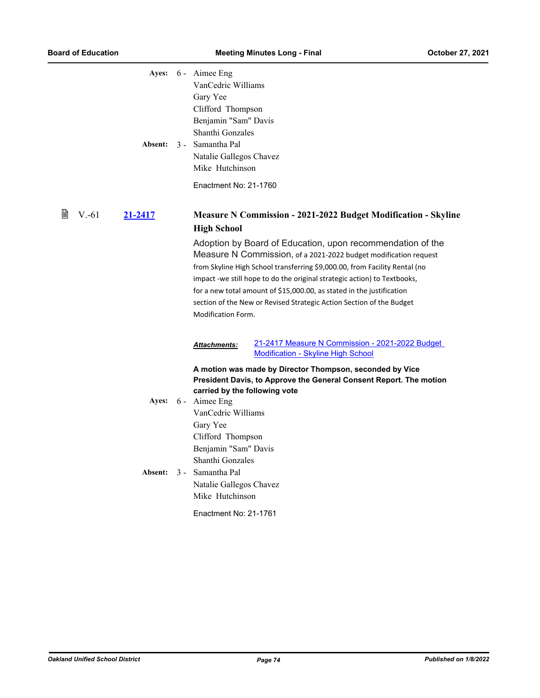|   |                     | Ayes: 6 - Aimee Eng<br>VanCedric Williams<br>Gary Yee<br>Clifford Thompson<br>Benjamin "Sam" Davis<br>Shanthi Gonzales<br>Absent: 3 - Samantha Pal<br>Natalie Gallegos Chavez<br>Mike Hutchinson<br>Enactment No: 21-1760                                                                                                     |  |
|---|---------------------|-------------------------------------------------------------------------------------------------------------------------------------------------------------------------------------------------------------------------------------------------------------------------------------------------------------------------------|--|
| 閶 | $V - 61$<br>21-2417 | <b>Measure N Commission - 2021-2022 Budget Modification - Skyline</b><br><b>High School</b><br>Adoption by Board of Education, upon recommendation of the<br>Measure N Commission, of a 2021-2022 budget modification request                                                                                                 |  |
|   |                     | from Skyline High School transferring \$9,000.00, from Facility Rental (no<br>impact -we still hope to do the original strategic action) to Textbooks,<br>for a new total amount of \$15,000.00, as stated in the justification<br>section of the New or Revised Strategic Action Section of the Budget<br>Modification Form. |  |
|   |                     | 21-2417 Measure N Commission - 2021-2022 Budget<br><b>Attachments:</b><br><b>Modification - Skyline High School</b>                                                                                                                                                                                                           |  |
|   |                     | A motion was made by Director Thompson, seconded by Vice<br>President Davis, to Approve the General Consent Report. The motion<br>carried by the following vote<br>Ayes: 6 - Aimee Eng<br>VanCedric Williams<br>Gary Yee                                                                                                      |  |
|   | <b>Absent:</b>      | Clifford Thompson<br>Benjamin "Sam" Davis<br>Shanthi Gonzales<br>3 - Samantha Pal<br>Natalie Gallegos Chavez<br>Mike Hutchinson<br>Enactment No: 21-1761                                                                                                                                                                      |  |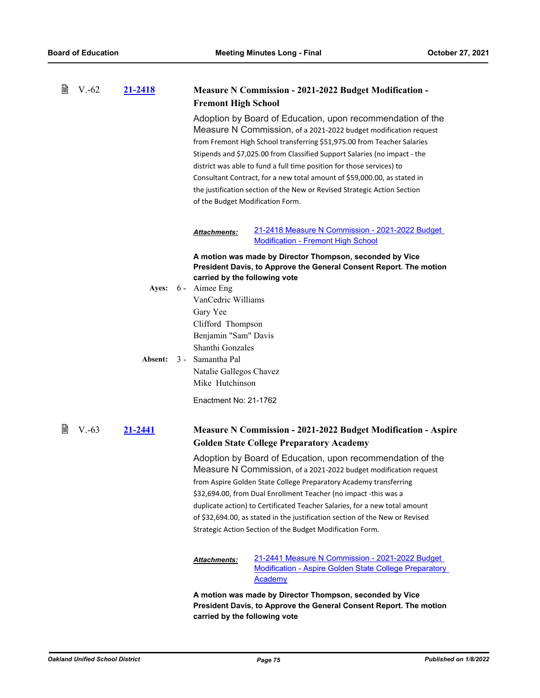| 閶 | $V.-62$ | 21-2418      | <b>Fremont High School</b>       | <b>Measure N Commission - 2021-2022 Budget Modification -</b>                                                                                                                                                                                                                                                                                                                                                                                                                                                           |  |
|---|---------|--------------|----------------------------------|-------------------------------------------------------------------------------------------------------------------------------------------------------------------------------------------------------------------------------------------------------------------------------------------------------------------------------------------------------------------------------------------------------------------------------------------------------------------------------------------------------------------------|--|
|   |         |              | of the Budget Modification Form. | Adoption by Board of Education, upon recommendation of the<br>Measure N Commission, of a 2021-2022 budget modification request<br>from Fremont High School transferring \$51,975.00 from Teacher Salaries<br>Stipends and \$7,025.00 from Classified Support Salaries (no impact - the<br>district was able to fund a full time position for those services) to<br>Consultant Contract, for a new total amount of \$59,000.00, as stated in<br>the justification section of the New or Revised Strategic Action Section |  |
|   |         |              | <b>Attachments:</b>              | 21-2418 Measure N Commission - 2021-2022 Budget<br><b>Modification - Fremont High School</b>                                                                                                                                                                                                                                                                                                                                                                                                                            |  |
|   |         |              |                                  | A motion was made by Director Thompson, seconded by Vice                                                                                                                                                                                                                                                                                                                                                                                                                                                                |  |
|   |         |              | carried by the following vote    | President Davis, to Approve the General Consent Report. The motion                                                                                                                                                                                                                                                                                                                                                                                                                                                      |  |
|   |         | <b>Ayes:</b> | 6 - Aimee Eng                    |                                                                                                                                                                                                                                                                                                                                                                                                                                                                                                                         |  |
|   |         |              | VanCedric Williams               |                                                                                                                                                                                                                                                                                                                                                                                                                                                                                                                         |  |
|   |         |              | Gary Yee<br>Clifford Thompson    |                                                                                                                                                                                                                                                                                                                                                                                                                                                                                                                         |  |
|   |         |              | Benjamin "Sam" Davis             |                                                                                                                                                                                                                                                                                                                                                                                                                                                                                                                         |  |
|   |         |              | Shanthi Gonzales                 |                                                                                                                                                                                                                                                                                                                                                                                                                                                                                                                         |  |
|   |         | Absent:      | 3 - Samantha Pal                 |                                                                                                                                                                                                                                                                                                                                                                                                                                                                                                                         |  |
|   |         |              | Natalie Gallegos Chavez          |                                                                                                                                                                                                                                                                                                                                                                                                                                                                                                                         |  |
|   |         |              | Mike Hutchinson                  |                                                                                                                                                                                                                                                                                                                                                                                                                                                                                                                         |  |
|   |         |              | Enactment No: 21-1762            |                                                                                                                                                                                                                                                                                                                                                                                                                                                                                                                         |  |
| B | $V.-63$ | 21-2441      |                                  | <b>Measure N Commission - 2021-2022 Budget Modification - Aspire</b>                                                                                                                                                                                                                                                                                                                                                                                                                                                    |  |
|   |         |              |                                  | <b>Golden State College Preparatory Academy</b>                                                                                                                                                                                                                                                                                                                                                                                                                                                                         |  |
|   |         |              |                                  | Adoption by Board of Education, upon recommendation of the                                                                                                                                                                                                                                                                                                                                                                                                                                                              |  |
|   |         |              |                                  | Measure N Commission, of a 2021-2022 budget modification request                                                                                                                                                                                                                                                                                                                                                                                                                                                        |  |
|   |         |              |                                  | from Aspire Golden State College Preparatory Academy transferring<br>\$32,694.00, from Dual Enrollment Teacher (no impact -this was a                                                                                                                                                                                                                                                                                                                                                                                   |  |
|   |         |              |                                  | duplicate action) to Certificated Teacher Salaries, for a new total amount                                                                                                                                                                                                                                                                                                                                                                                                                                              |  |
|   |         |              |                                  | of \$32,694.00, as stated in the justification section of the New or Revised                                                                                                                                                                                                                                                                                                                                                                                                                                            |  |
|   |         |              |                                  | Strategic Action Section of the Budget Modification Form.                                                                                                                                                                                                                                                                                                                                                                                                                                                               |  |
|   |         |              | <b>Attachments:</b>              | 21-2441 Measure N Commission - 2021-2022 Budget<br><b>Modification - Aspire Golden State College Preparatory</b><br><b>Academy</b>                                                                                                                                                                                                                                                                                                                                                                                      |  |
|   |         |              |                                  | A motion was made by Director Thompson, seconded by Vice<br>President Davis, to Approve the General Consent Report. The motion                                                                                                                                                                                                                                                                                                                                                                                          |  |

*Oakland Unified School District Page 75 Published on 1/8/2022*

**carried by the following vote**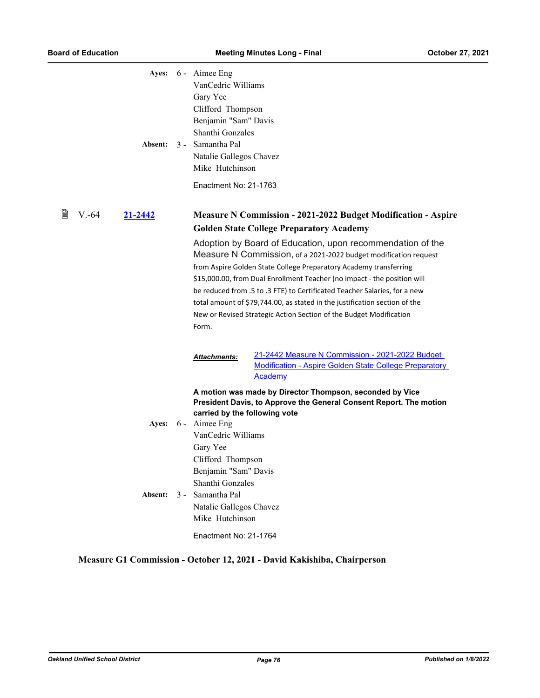| Ayes: 6 - Aimee Eng<br>VanCedric Williams<br>Gary Yee<br>Clifford Thompson<br>Benjamin "Sam" Davis<br>Shanthi Gonzales<br>Natalie Gallegos Chavez<br>Mike Hutchinson |                                                                                                                                                                                                                                                                                                                                                                                                                                                                                                                  |
|----------------------------------------------------------------------------------------------------------------------------------------------------------------------|------------------------------------------------------------------------------------------------------------------------------------------------------------------------------------------------------------------------------------------------------------------------------------------------------------------------------------------------------------------------------------------------------------------------------------------------------------------------------------------------------------------|
| Enactment No: 21-1763                                                                                                                                                |                                                                                                                                                                                                                                                                                                                                                                                                                                                                                                                  |
|                                                                                                                                                                      | <b>Measure N Commission - 2021-2022 Budget Modification - Aspire</b><br><b>Golden State College Preparatory Academy</b>                                                                                                                                                                                                                                                                                                                                                                                          |
| Form.                                                                                                                                                                | Adoption by Board of Education, upon recommendation of the<br>Measure N Commission, of a 2021-2022 budget modification request<br>from Aspire Golden State College Preparatory Academy transferring<br>\$15,000.00, from Dual Enrollment Teacher (no impact - the position will<br>be reduced from .5 to .3 FTE) to Certificated Teacher Salaries, for a new<br>total amount of \$79,744.00, as stated in the justification section of the<br>New or Revised Strategic Action Section of the Budget Modification |
| Attachments:                                                                                                                                                         | 21-2442 Measure N Commission - 2021-2022 Budget<br><b>Modification - Aspire Golden State College Preparatory</b><br><b>Academy</b>                                                                                                                                                                                                                                                                                                                                                                               |
| carried by the following vote<br>VanCedric Williams<br>Gary Yee                                                                                                      | A motion was made by Director Thompson, seconded by Vice<br>President Davis, to Approve the General Consent Report. The motion                                                                                                                                                                                                                                                                                                                                                                                   |
| Benjamin "Sam" Davis<br>Shanthi Gonzales<br>Samantha Pal<br>Natalie Gallegos Chavez<br>Mike Hutchinson<br>Enactment No: 21-1764                                      |                                                                                                                                                                                                                                                                                                                                                                                                                                                                                                                  |
|                                                                                                                                                                      | 3 - Samantha Pal<br>6 - Aimee Eng<br>Clifford Thompson<br>$3 -$                                                                                                                                                                                                                                                                                                                                                                                                                                                  |

## **Measure G1 Commission - October 12, 2021 - David Kakishiba, Chairperson**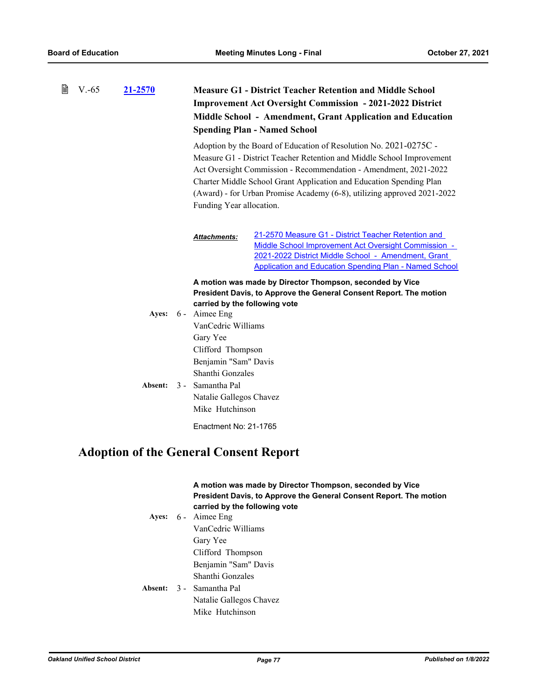| B | $V.-65$ | 21-2570          | <b>Measure G1 - District Teacher Retention and Middle School</b><br><b>Improvement Act Oversight Commission - 2021-2022 District</b><br>Middle School - Amendment, Grant Application and Education<br><b>Spending Plan - Named School</b>                                                                                                                                                    |                                                                                                                                                                                                                                     |  |
|---|---------|------------------|----------------------------------------------------------------------------------------------------------------------------------------------------------------------------------------------------------------------------------------------------------------------------------------------------------------------------------------------------------------------------------------------|-------------------------------------------------------------------------------------------------------------------------------------------------------------------------------------------------------------------------------------|--|
|   |         |                  | Adoption by the Board of Education of Resolution No. 2021-0275C -<br>Measure G1 - District Teacher Retention and Middle School Improvement<br>Act Oversight Commission - Recommendation - Amendment, 2021-2022<br>Charter Middle School Grant Application and Education Spending Plan<br>(Award) - for Urban Promise Academy (6-8), utilizing approved 2021-2022<br>Funding Year allocation. |                                                                                                                                                                                                                                     |  |
|   |         |                  | Attachments:                                                                                                                                                                                                                                                                                                                                                                                 | 21-2570 Measure G1 - District Teacher Retention and<br>Middle School Improvement Act Oversight Commission -<br>2021-2022 District Middle School - Amendment, Grant<br><b>Application and Education Spending Plan - Named School</b> |  |
|   |         | Ayes:<br>Absent: | carried by the following vote<br>6 - Aimee Eng<br>VanCedric Williams<br>Gary Yee<br>Clifford Thompson<br>Benjamin "Sam" Davis<br>Shanthi Gonzales<br>3 - Samantha Pal<br>Natalie Gallegos Chavez<br>Mike Hutchinson                                                                                                                                                                          | A motion was made by Director Thompson, seconded by Vice<br>President Davis, to Approve the General Consent Report. The motion                                                                                                      |  |
|   |         |                  | Enactment No: 21-1765                                                                                                                                                                                                                                                                                                                                                                        |                                                                                                                                                                                                                                     |  |

# **Adoption of the General Consent Report**

### **A motion was made by Director Thompson, seconded by Vice President Davis, to Approve the General Consent Report. The motion carried by the following vote**

Ayes: 6 - Aimee Eng VanCedric Williams Gary Yee Clifford Thompson Benjamin "Sam" Davis Shanthi Gonzales Absent: 3 - Samantha Pal Natalie Gallegos Chavez

### Mike Hutchinson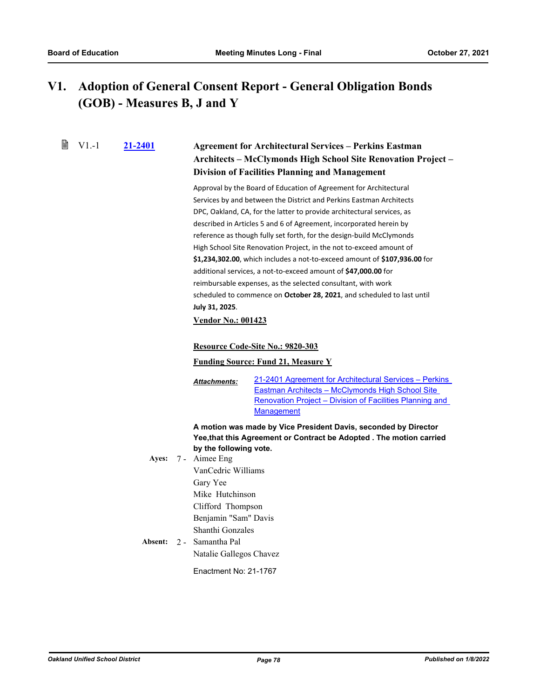#### **Adoption of General Consent Report - General Obligation Bonds (GOB) - Measures B, J and Y V1.**

昏 V1.-1

## **[21-2401](http://ousd.legistar.com/gateway.aspx?m=l&id=/matter.aspx?key=53535) Agreement for Architectural Services – Perkins Eastman Architects – McClymonds High School Site Renovation Project – Division of Facilities Planning and Management**

Approval by the Board of Education of Agreement for Architectural Services by and between the District and Perkins Eastman Architects DPC, Oakland, CA, for the latter to provide architectural services, as described in Articles 5 and 6 of Agreement, incorporated herein by reference as though fully set forth, for the design-build McClymonds High School Site Renovation Project, in the not to-exceed amount of **\$1,234,302.00**, which includes a not-to-exceed amount of **\$107,936.00** for additional services, a not-to-exceed amount of **\$47,000.00** for reimbursable expenses, as the selected consultant, with work scheduled to commence on **October 28, 2021**, and scheduled to last until **July 31, 2025**.

#### **Vendor No.: 001423**

#### **Resource Code-Site No.: 9820-303**

#### **Funding Source: Fund 21, Measure Y**

[21-2401 Agreement for Architectural Services – Perkins](http://ousd.legistar.com/gateway.aspx?M=F&ID=101215.pdf)  Eastman Architects – McClymonds High School Site Renovation Project – Division of Facilities Planning and **Management** *Attachments:*

### **A motion was made by Vice President Davis, seconded by Director Yee,that this Agreement or Contract be Adopted . The motion carried by the following vote.**

- Aimee Eng VanCedric Williams Gary Yee Mike Hutchinson Clifford Thompson Benjamin "Sam" Davis Shanthi Gonzales Ayes: 7 -
- **Absent:** Samantha Pal Natalie Gallegos Chavez Absent:  $2 -$

Enactment No: 21-1767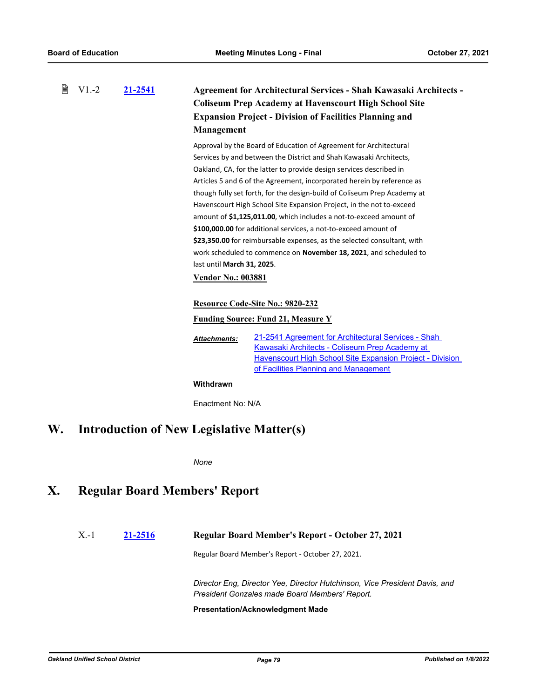| 誾<br>$V1.-2$<br>21-2541 |  |                                                  | Management                                              | <b>Agreement for Architectural Services - Shah Kawasaki Architects -</b><br><b>Coliseum Prep Academy at Havenscourt High School Site</b><br><b>Expansion Project - Division of Facilities Planning and</b>                                                                                                                                                                                                                                                                                                                                                                                                                                                                                                                            |
|-------------------------|--|--------------------------------------------------|---------------------------------------------------------|---------------------------------------------------------------------------------------------------------------------------------------------------------------------------------------------------------------------------------------------------------------------------------------------------------------------------------------------------------------------------------------------------------------------------------------------------------------------------------------------------------------------------------------------------------------------------------------------------------------------------------------------------------------------------------------------------------------------------------------|
|                         |  |                                                  | last until March 31, 2025.<br><b>Vendor No.: 003881</b> | Approval by the Board of Education of Agreement for Architectural<br>Services by and between the District and Shah Kawasaki Architects,<br>Oakland, CA, for the latter to provide design services described in<br>Articles 5 and 6 of the Agreement, incorporated herein by reference as<br>though fully set forth, for the design-build of Coliseum Prep Academy at<br>Havenscourt High School Site Expansion Project, in the not to-exceed<br>amount of \$1,125,011.00, which includes a not-to-exceed amount of<br>\$100,000.00 for additional services, a not-to-exceed amount of<br>\$23,350.00 for reimbursable expenses, as the selected consultant, with<br>work scheduled to commence on November 18, 2021, and scheduled to |
|                         |  |                                                  |                                                         | Resource Code-Site No.: 9820-232<br><b>Funding Source: Fund 21, Measure Y</b>                                                                                                                                                                                                                                                                                                                                                                                                                                                                                                                                                                                                                                                         |
|                         |  |                                                  | <b>Attachments:</b>                                     | 21-2541 Agreement for Architectural Services - Shah<br>Kawasaki Architects - Coliseum Prep Academy at<br>Havenscourt High School Site Expansion Project - Division<br>of Facilities Planning and Management                                                                                                                                                                                                                                                                                                                                                                                                                                                                                                                           |
|                         |  |                                                  | Withdrawn                                               |                                                                                                                                                                                                                                                                                                                                                                                                                                                                                                                                                                                                                                                                                                                                       |
|                         |  |                                                  | Enactment No: N/A                                       |                                                                                                                                                                                                                                                                                                                                                                                                                                                                                                                                                                                                                                                                                                                                       |
| W.                      |  | <b>Introduction of New Legislative Matter(s)</b> |                                                         |                                                                                                                                                                                                                                                                                                                                                                                                                                                                                                                                                                                                                                                                                                                                       |

*None*

# **X. Regular Board Members' Report**

### X.-1 **[21-2516](http://ousd.legistar.com/gateway.aspx?m=l&id=/matter.aspx?key=53650) Regular Board Member's Report - October 27, 2021**

Regular Board Member's Report - October 27, 2021.

*Director Eng, Director Yee, Director Hutchinson, Vice President Davis, and President Gonzales made Board Members' Report.*

#### **Presentation/Acknowledgment Made**